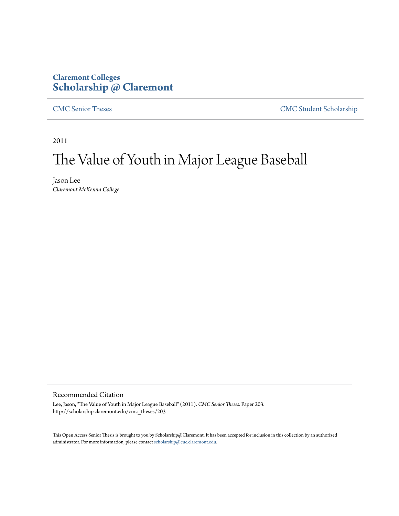# **Claremont Colleges [Scholarship @ Claremont](http://scholarship.claremont.edu)**

[CMC Senior Theses](http://scholarship.claremont.edu/cmc_theses) [CMC Student Scholarship](http://scholarship.claremont.edu/cmc_student)

2011

# The Value of Youth in Major League Baseball

Jason Lee *Claremont McKenna College*

#### Recommended Citation

Lee, Jason, "The Value of Youth in Major League Baseball" (2011). *CMC Senior Theses.* Paper 203. http://scholarship.claremont.edu/cmc\_theses/203

This Open Access Senior Thesis is brought to you by Scholarship@Claremont. It has been accepted for inclusion in this collection by an authorized administrator. For more information, please contact [scholarship@cuc.claremont.edu.](mailto:scholarship@cuc.claremont.edu)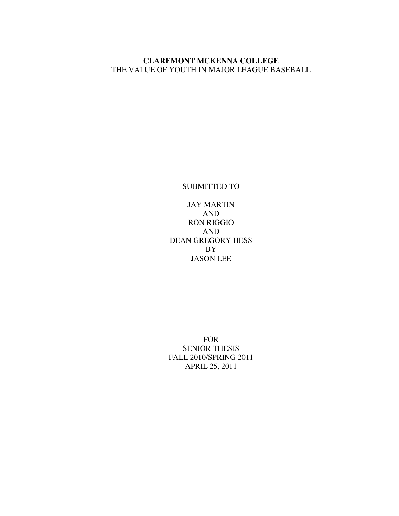# **CLAREMONT MCKENNA COLLEGE**  THE VALUE OF YOUTH IN MAJOR LEAGUE BASEBALL

SUBMITTED TO

JAY MARTIN AND RON RIGGIO AND DEAN GREGORY HESS BY JASON LEE

FOR SENIOR THESIS FALL 2010/SPRING 2011 APRIL 25, 2011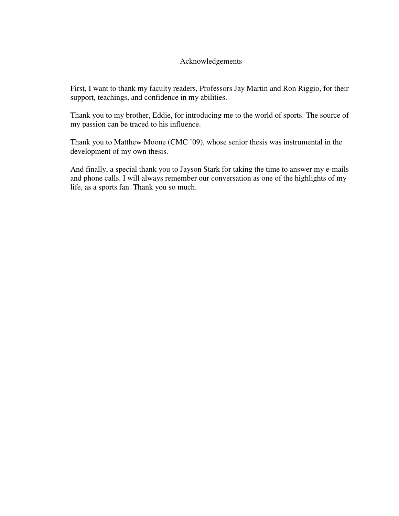# Acknowledgements

First, I want to thank my faculty readers, Professors Jay Martin and Ron Riggio, for their support, teachings, and confidence in my abilities.

Thank you to my brother, Eddie, for introducing me to the world of sports. The source of my passion can be traced to his influence.

Thank you to Matthew Moone (CMC '09), whose senior thesis was instrumental in the development of my own thesis.

And finally, a special thank you to Jayson Stark for taking the time to answer my e-mails and phone calls. I will always remember our conversation as one of the highlights of my life, as a sports fan. Thank you so much.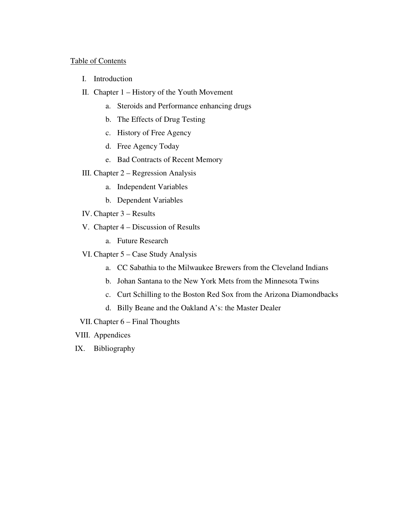#### Table of Contents

- I. Introduction
- II. Chapter 1 History of the Youth Movement
	- a. Steroids and Performance enhancing drugs
	- b. The Effects of Drug Testing
	- c. History of Free Agency
	- d. Free Agency Today
	- e. Bad Contracts of Recent Memory
- III. Chapter 2 Regression Analysis
	- a. Independent Variables
	- b. Dependent Variables
- IV. Chapter 3 Results
- V. Chapter 4 Discussion of Results
	- a. Future Research
- VI. Chapter 5 Case Study Analysis
	- a. CC Sabathia to the Milwaukee Brewers from the Cleveland Indians
	- b. Johan Santana to the New York Mets from the Minnesota Twins
	- c. Curt Schilling to the Boston Red Sox from the Arizona Diamondbacks
	- d. Billy Beane and the Oakland A's: the Master Dealer
- VII. Chapter 6 Final Thoughts
- VIII. Appendices
- IX. Bibliography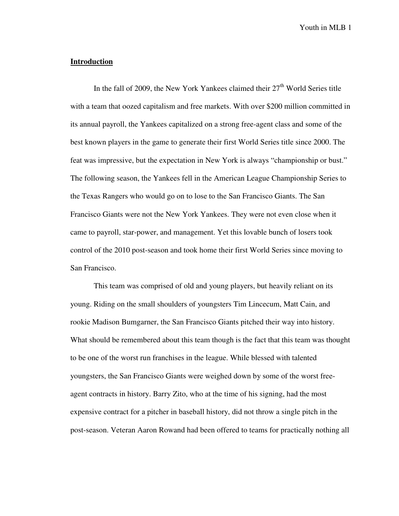#### **Introduction**

In the fall of 2009, the New York Yankees claimed their  $27<sup>th</sup>$  World Series title with a team that oozed capitalism and free markets. With over \$200 million committed in its annual payroll, the Yankees capitalized on a strong free-agent class and some of the best known players in the game to generate their first World Series title since 2000. The feat was impressive, but the expectation in New York is always "championship or bust." The following season, the Yankees fell in the American League Championship Series to the Texas Rangers who would go on to lose to the San Francisco Giants. The San Francisco Giants were not the New York Yankees. They were not even close when it came to payroll, star-power, and management. Yet this lovable bunch of losers took control of the 2010 post-season and took home their first World Series since moving to San Francisco.

This team was comprised of old and young players, but heavily reliant on its young. Riding on the small shoulders of youngsters Tim Lincecum, Matt Cain, and rookie Madison Bumgarner, the San Francisco Giants pitched their way into history. What should be remembered about this team though is the fact that this team was thought to be one of the worst run franchises in the league. While blessed with talented youngsters, the San Francisco Giants were weighed down by some of the worst freeagent contracts in history. Barry Zito, who at the time of his signing, had the most expensive contract for a pitcher in baseball history, did not throw a single pitch in the post-season. Veteran Aaron Rowand had been offered to teams for practically nothing all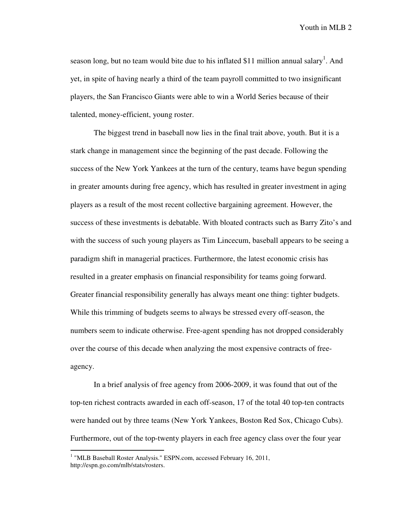season long, but no team would bite due to his inflated \$11 million annual salary<sup>1</sup>. And yet, in spite of having nearly a third of the team payroll committed to two insignificant players, the San Francisco Giants were able to win a World Series because of their talented, money-efficient, young roster.

 The biggest trend in baseball now lies in the final trait above, youth. But it is a stark change in management since the beginning of the past decade. Following the success of the New York Yankees at the turn of the century, teams have begun spending in greater amounts during free agency, which has resulted in greater investment in aging players as a result of the most recent collective bargaining agreement. However, the success of these investments is debatable. With bloated contracts such as Barry Zito's and with the success of such young players as Tim Lincecum, baseball appears to be seeing a paradigm shift in managerial practices. Furthermore, the latest economic crisis has resulted in a greater emphasis on financial responsibility for teams going forward. Greater financial responsibility generally has always meant one thing: tighter budgets. While this trimming of budgets seems to always be stressed every off-season, the numbers seem to indicate otherwise. Free-agent spending has not dropped considerably over the course of this decade when analyzing the most expensive contracts of freeagency.

 In a brief analysis of free agency from 2006-2009, it was found that out of the top-ten richest contracts awarded in each off-season, 17 of the total 40 top-ten contracts were handed out by three teams (New York Yankees, Boston Red Sox, Chicago Cubs). Furthermore, out of the top-twenty players in each free agency class over the four year

<sup>&</sup>lt;sup>1</sup> "MLB Baseball Roster Analysis." ESPN.com, accessed February 16, 2011, http://espn.go.com/mlb/stats/rosters.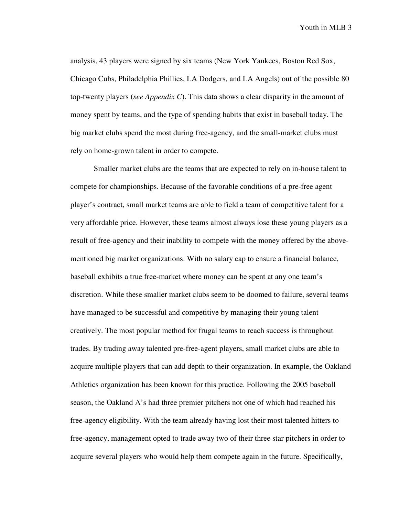analysis, 43 players were signed by six teams (New York Yankees, Boston Red Sox, Chicago Cubs, Philadelphia Phillies, LA Dodgers, and LA Angels) out of the possible 80 top-twenty players (*see Appendix C*). This data shows a clear disparity in the amount of money spent by teams, and the type of spending habits that exist in baseball today. The big market clubs spend the most during free-agency, and the small-market clubs must rely on home-grown talent in order to compete.

 Smaller market clubs are the teams that are expected to rely on in-house talent to compete for championships. Because of the favorable conditions of a pre-free agent player's contract, small market teams are able to field a team of competitive talent for a very affordable price. However, these teams almost always lose these young players as a result of free-agency and their inability to compete with the money offered by the abovementioned big market organizations. With no salary cap to ensure a financial balance, baseball exhibits a true free-market where money can be spent at any one team's discretion. While these smaller market clubs seem to be doomed to failure, several teams have managed to be successful and competitive by managing their young talent creatively. The most popular method for frugal teams to reach success is throughout trades. By trading away talented pre-free-agent players, small market clubs are able to acquire multiple players that can add depth to their organization. In example, the Oakland Athletics organization has been known for this practice. Following the 2005 baseball season, the Oakland A's had three premier pitchers not one of which had reached his free-agency eligibility. With the team already having lost their most talented hitters to free-agency, management opted to trade away two of their three star pitchers in order to acquire several players who would help them compete again in the future. Specifically,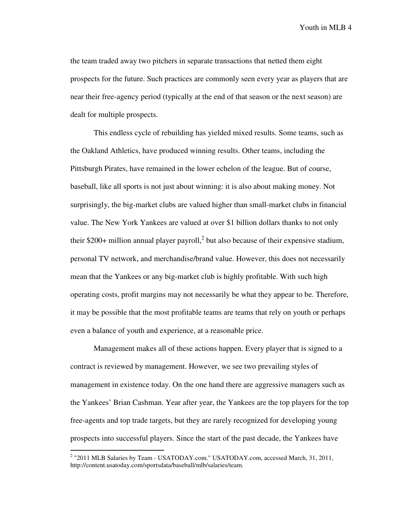the team traded away two pitchers in separate transactions that netted them eight prospects for the future. Such practices are commonly seen every year as players that are near their free-agency period (typically at the end of that season or the next season) are dealt for multiple prospects.

 This endless cycle of rebuilding has yielded mixed results. Some teams, such as the Oakland Athletics, have produced winning results. Other teams, including the Pittsburgh Pirates, have remained in the lower echelon of the league. But of course, baseball, like all sports is not just about winning: it is also about making money. Not surprisingly, the big-market clubs are valued higher than small-market clubs in financial value. The New York Yankees are valued at over \$1 billion dollars thanks to not only their \$200+ million annual player payroll,<sup>2</sup> but also because of their expensive stadium, personal TV network, and merchandise/brand value. However, this does not necessarily mean that the Yankees or any big-market club is highly profitable. With such high operating costs, profit margins may not necessarily be what they appear to be. Therefore, it may be possible that the most profitable teams are teams that rely on youth or perhaps even a balance of youth and experience, at a reasonable price.

 Management makes all of these actions happen. Every player that is signed to a contract is reviewed by management. However, we see two prevailing styles of management in existence today. On the one hand there are aggressive managers such as the Yankees' Brian Cashman. Year after year, the Yankees are the top players for the top free-agents and top trade targets, but they are rarely recognized for developing young prospects into successful players. Since the start of the past decade, the Yankees have

 2 "2011 MLB Salaries by Team - USATODAY.com." USATODAY.com, accessed March, 31, 2011, http://content.usatoday.com/sportsdata/baseball/mlb/salaries/team.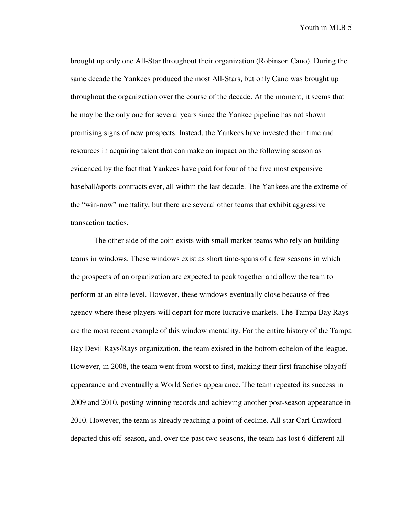brought up only one All-Star throughout their organization (Robinson Cano). During the same decade the Yankees produced the most All-Stars, but only Cano was brought up throughout the organization over the course of the decade. At the moment, it seems that he may be the only one for several years since the Yankee pipeline has not shown promising signs of new prospects. Instead, the Yankees have invested their time and resources in acquiring talent that can make an impact on the following season as evidenced by the fact that Yankees have paid for four of the five most expensive baseball/sports contracts ever, all within the last decade. The Yankees are the extreme of the "win-now" mentality, but there are several other teams that exhibit aggressive transaction tactics.

 The other side of the coin exists with small market teams who rely on building teams in windows. These windows exist as short time-spans of a few seasons in which the prospects of an organization are expected to peak together and allow the team to perform at an elite level. However, these windows eventually close because of freeagency where these players will depart for more lucrative markets. The Tampa Bay Rays are the most recent example of this window mentality. For the entire history of the Tampa Bay Devil Rays/Rays organization, the team existed in the bottom echelon of the league. However, in 2008, the team went from worst to first, making their first franchise playoff appearance and eventually a World Series appearance. The team repeated its success in 2009 and 2010, posting winning records and achieving another post-season appearance in 2010. However, the team is already reaching a point of decline. All-star Carl Crawford departed this off-season, and, over the past two seasons, the team has lost 6 different all-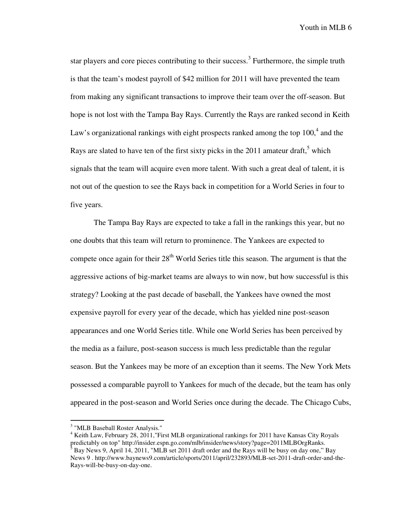star players and core pieces contributing to their success.<sup>3</sup> Furthermore, the simple truth is that the team's modest payroll of \$42 million for 2011 will have prevented the team from making any significant transactions to improve their team over the off-season. But hope is not lost with the Tampa Bay Rays. Currently the Rays are ranked second in Keith Law's organizational rankings with eight prospects ranked among the top  $100<sup>4</sup>$  and the Rays are slated to have ten of the first sixty picks in the  $2011$  amateur draft,<sup>5</sup> which signals that the team will acquire even more talent. With such a great deal of talent, it is not out of the question to see the Rays back in competition for a World Series in four to five years.

 The Tampa Bay Rays are expected to take a fall in the rankings this year, but no one doubts that this team will return to prominence. The Yankees are expected to compete once again for their  $28<sup>th</sup>$  World Series title this season. The argument is that the aggressive actions of big-market teams are always to win now, but how successful is this strategy? Looking at the past decade of baseball, the Yankees have owned the most expensive payroll for every year of the decade, which has yielded nine post-season appearances and one World Series title. While one World Series has been perceived by the media as a failure, post-season success is much less predictable than the regular season. But the Yankees may be more of an exception than it seems. The New York Mets possessed a comparable payroll to Yankees for much of the decade, but the team has only appeared in the post-season and World Series once during the decade. The Chicago Cubs,

<sup>&</sup>lt;sup>3</sup> "MLB Baseball Roster Analysis."

<sup>&</sup>lt;sup>4</sup> Keith Law, February 28, 2011, ''First MLB organizational rankings for 2011 have Kansas City Royals predictably on top" http://insider.espn.go.com/mlb/insider/news/story?page=2011MLBOrgRanks. 5 Bay News 9, April 14, 2011, "MLB set 2011 draft order and the Rays will be busy on day one," Bay News 9 . http://www.baynews9.com/article/sports/2011/april/232893/MLB-set-2011-draft-order-and-the-Rays-will-be-busy-on-day-one.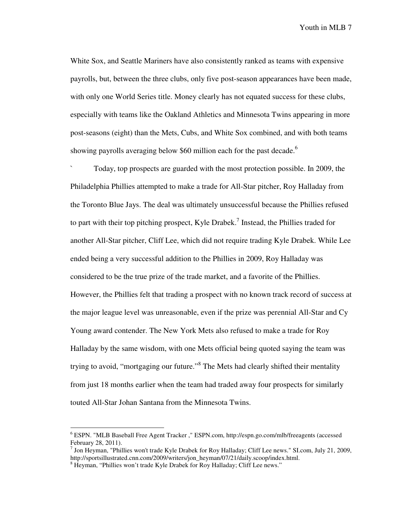White Sox, and Seattle Mariners have also consistently ranked as teams with expensive payrolls, but, between the three clubs, only five post-season appearances have been made, with only one World Series title. Money clearly has not equated success for these clubs, especially with teams like the Oakland Athletics and Minnesota Twins appearing in more post-seasons (eight) than the Mets, Cubs, and White Sox combined, and with both teams showing payrolls averaging below \$60 million each for the past decade.<sup>6</sup>

` Today, top prospects are guarded with the most protection possible. In 2009, the Philadelphia Phillies attempted to make a trade for All-Star pitcher, Roy Halladay from the Toronto Blue Jays. The deal was ultimately unsuccessful because the Phillies refused to part with their top pitching prospect, Kyle Drabek.<sup>7</sup> Instead, the Phillies traded for another All-Star pitcher, Cliff Lee, which did not require trading Kyle Drabek. While Lee ended being a very successful addition to the Phillies in 2009, Roy Halladay was considered to be the true prize of the trade market, and a favorite of the Phillies. However, the Phillies felt that trading a prospect with no known track record of success at the major league level was unreasonable, even if the prize was perennial All-Star and Cy Young award contender. The New York Mets also refused to make a trade for Roy Halladay by the same wisdom, with one Mets official being quoted saying the team was trying to avoid, "mortgaging our future."<sup>8</sup> The Mets had clearly shifted their mentality from just 18 months earlier when the team had traded away four prospects for similarly touted All-Star Johan Santana from the Minnesota Twins.

<sup>6</sup> ESPN. "MLB Baseball Free Agent Tracker ," ESPN.com, http://espn.go.com/mlb/freeagents (accessed February 28, 2011).

 $^7$  Jon Heyman, "Phillies won't trade Kyle Drabek for Roy Halladay; Cliff Lee news." SI.com, July 21, 2009, http://sportsillustrated.cnn.com/2009/writers/jon\_heyman/07/21/daily.scoop/index.html.

<sup>&</sup>lt;sup>8</sup> Heyman, "Phillies won't trade Kyle Drabek for Roy Halladay; Cliff Lee news."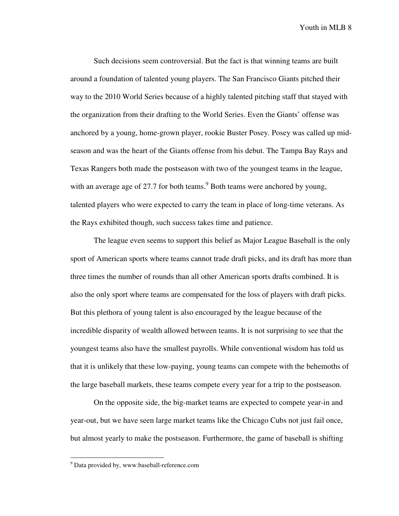Such decisions seem controversial. But the fact is that winning teams are built around a foundation of talented young players. The San Francisco Giants pitched their way to the 2010 World Series because of a highly talented pitching staff that stayed with the organization from their drafting to the World Series. Even the Giants' offense was anchored by a young, home-grown player, rookie Buster Posey. Posey was called up midseason and was the heart of the Giants offense from his debut. The Tampa Bay Rays and Texas Rangers both made the postseason with two of the youngest teams in the league, with an average age of 27.7 for both teams. $9^9$  Both teams were anchored by young, talented players who were expected to carry the team in place of long-time veterans. As the Rays exhibited though, such success takes time and patience.

The league even seems to support this belief as Major League Baseball is the only sport of American sports where teams cannot trade draft picks, and its draft has more than three times the number of rounds than all other American sports drafts combined. It is also the only sport where teams are compensated for the loss of players with draft picks. But this plethora of young talent is also encouraged by the league because of the incredible disparity of wealth allowed between teams. It is not surprising to see that the youngest teams also have the smallest payrolls. While conventional wisdom has told us that it is unlikely that these low-paying, young teams can compete with the behemoths of the large baseball markets, these teams compete every year for a trip to the postseason.

On the opposite side, the big-market teams are expected to compete year-in and year-out, but we have seen large market teams like the Chicago Cubs not just fail once, but almost yearly to make the postseason. Furthermore, the game of baseball is shifting

<sup>&</sup>lt;sup>9</sup> Data provided by, www.baseball-reference.com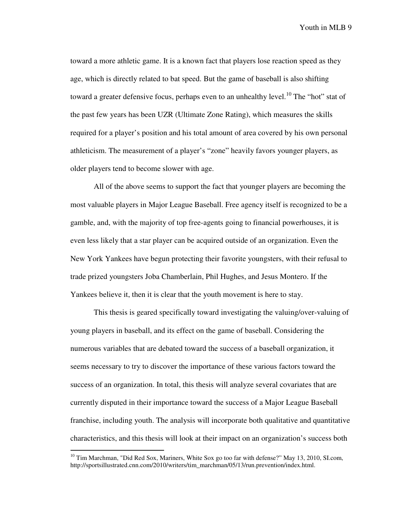toward a more athletic game. It is a known fact that players lose reaction speed as they age, which is directly related to bat speed. But the game of baseball is also shifting toward a greater defensive focus, perhaps even to an unhealthy level.<sup>10</sup> The "hot" stat of the past few years has been UZR (Ultimate Zone Rating), which measures the skills required for a player's position and his total amount of area covered by his own personal athleticism. The measurement of a player's "zone" heavily favors younger players, as older players tend to become slower with age.

All of the above seems to support the fact that younger players are becoming the most valuable players in Major League Baseball. Free agency itself is recognized to be a gamble, and, with the majority of top free-agents going to financial powerhouses, it is even less likely that a star player can be acquired outside of an organization. Even the New York Yankees have begun protecting their favorite youngsters, with their refusal to trade prized youngsters Joba Chamberlain, Phil Hughes, and Jesus Montero. If the Yankees believe it, then it is clear that the youth movement is here to stay.

 This thesis is geared specifically toward investigating the valuing/over-valuing of young players in baseball, and its effect on the game of baseball. Considering the numerous variables that are debated toward the success of a baseball organization, it seems necessary to try to discover the importance of these various factors toward the success of an organization. In total, this thesis will analyze several covariates that are currently disputed in their importance toward the success of a Major League Baseball franchise, including youth. The analysis will incorporate both qualitative and quantitative characteristics, and this thesis will look at their impact on an organization's success both

 $10$  Tim Marchman, "Did Red Sox, Mariners, White Sox go too far with defense?" May 13, 2010, SI.com, http://sportsillustrated.cnn.com/2010/writers/tim\_marchman/05/13/run.prevention/index.html.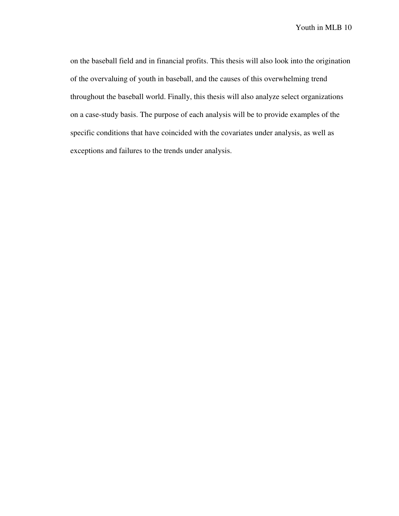on the baseball field and in financial profits. This thesis will also look into the origination of the overvaluing of youth in baseball, and the causes of this overwhelming trend throughout the baseball world. Finally, this thesis will also analyze select organizations on a case-study basis. The purpose of each analysis will be to provide examples of the specific conditions that have coincided with the covariates under analysis, as well as exceptions and failures to the trends under analysis.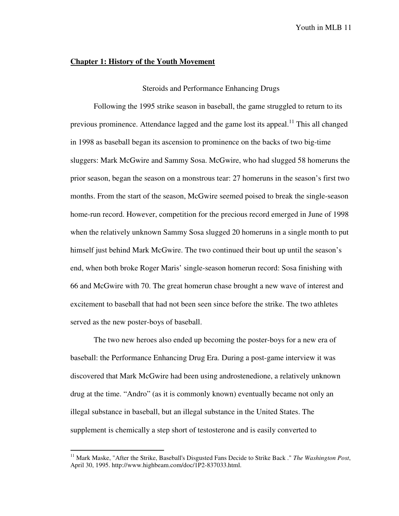#### **Chapter 1: History of the Youth Movement**

#### Steroids and Performance Enhancing Drugs

 Following the 1995 strike season in baseball, the game struggled to return to its previous prominence. Attendance lagged and the game lost its appeal.<sup>11</sup> This all changed in 1998 as baseball began its ascension to prominence on the backs of two big-time sluggers: Mark McGwire and Sammy Sosa. McGwire, who had slugged 58 homeruns the prior season, began the season on a monstrous tear: 27 homeruns in the season's first two months. From the start of the season, McGwire seemed poised to break the single-season home-run record. However, competition for the precious record emerged in June of 1998 when the relatively unknown Sammy Sosa slugged 20 homeruns in a single month to put himself just behind Mark McGwire. The two continued their bout up until the season's end, when both broke Roger Maris' single-season homerun record: Sosa finishing with 66 and McGwire with 70. The great homerun chase brought a new wave of interest and excitement to baseball that had not been seen since before the strike. The two athletes served as the new poster-boys of baseball.

 The two new heroes also ended up becoming the poster-boys for a new era of baseball: the Performance Enhancing Drug Era. During a post-game interview it was discovered that Mark McGwire had been using androstenedione, a relatively unknown drug at the time. "Andro" (as it is commonly known) eventually became not only an illegal substance in baseball, but an illegal substance in the United States. The supplement is chemically a step short of testosterone and is easily converted to

<sup>&</sup>lt;sup>11</sup> Mark Maske, "After the Strike, Baseball's Disgusted Fans Decide to Strike Back ." The Washington Post, April 30, 1995. http://www.highbeam.com/doc/1P2-837033.html.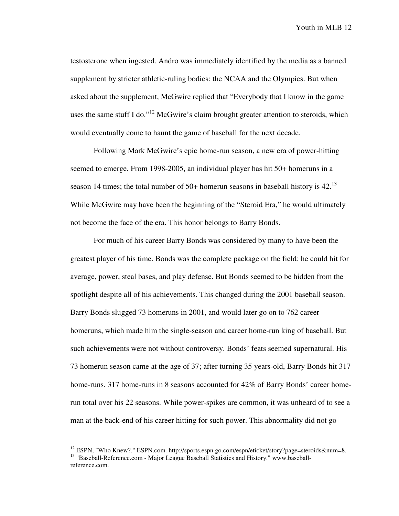testosterone when ingested. Andro was immediately identified by the media as a banned supplement by stricter athletic-ruling bodies: the NCAA and the Olympics. But when asked about the supplement, McGwire replied that "Everybody that I know in the game uses the same stuff I do."<sup>12</sup> McGwire's claim brought greater attention to steroids, which would eventually come to haunt the game of baseball for the next decade.

 Following Mark McGwire's epic home-run season, a new era of power-hitting seemed to emerge. From 1998-2005, an individual player has hit 50+ homeruns in a season 14 times; the total number of 50+ homerun seasons in baseball history is  $42<sup>13</sup>$ While McGwire may have been the beginning of the "Steroid Era," he would ultimately not become the face of the era. This honor belongs to Barry Bonds.

For much of his career Barry Bonds was considered by many to have been the greatest player of his time. Bonds was the complete package on the field: he could hit for average, power, steal bases, and play defense. But Bonds seemed to be hidden from the spotlight despite all of his achievements. This changed during the 2001 baseball season. Barry Bonds slugged 73 homeruns in 2001, and would later go on to 762 career homeruns, which made him the single-season and career home-run king of baseball. But such achievements were not without controversy. Bonds' feats seemed supernatural. His 73 homerun season came at the age of 37; after turning 35 years-old, Barry Bonds hit 317 home-runs. 317 home-runs in 8 seasons accounted for 42% of Barry Bonds' career homerun total over his 22 seasons. While power-spikes are common, it was unheard of to see a man at the back-end of his career hitting for such power. This abnormality did not go

<sup>&</sup>lt;sup>12</sup> ESPN, "Who Knew?." ESPN.com. http://sports.espn.go.com/espn/eticket/story?page=steroids&num=8. <sup>13</sup> "Baseball-Reference.com - Major League Baseball Statistics and History." www.baseballreference.com.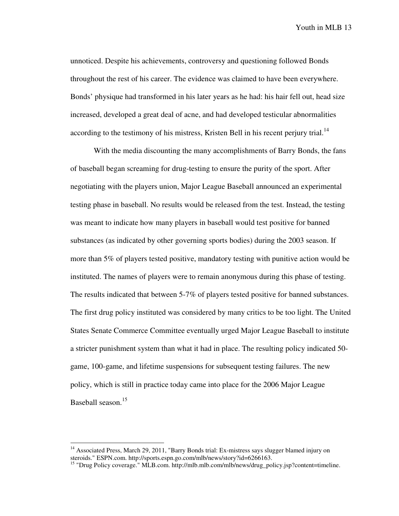unnoticed. Despite his achievements, controversy and questioning followed Bonds throughout the rest of his career. The evidence was claimed to have been everywhere. Bonds' physique had transformed in his later years as he had: his hair fell out, head size increased, developed a great deal of acne, and had developed testicular abnormalities according to the testimony of his mistress, Kristen Bell in his recent perjury trial.<sup>14</sup>

With the media discounting the many accomplishments of Barry Bonds, the fans of baseball began screaming for drug-testing to ensure the purity of the sport. After negotiating with the players union, Major League Baseball announced an experimental testing phase in baseball. No results would be released from the test. Instead, the testing was meant to indicate how many players in baseball would test positive for banned substances (as indicated by other governing sports bodies) during the 2003 season. If more than 5% of players tested positive, mandatory testing with punitive action would be instituted. The names of players were to remain anonymous during this phase of testing. The results indicated that between 5-7% of players tested positive for banned substances. The first drug policy instituted was considered by many critics to be too light. The United States Senate Commerce Committee eventually urged Major League Baseball to institute a stricter punishment system than what it had in place. The resulting policy indicated 50 game, 100-game, and lifetime suspensions for subsequent testing failures. The new policy, which is still in practice today came into place for the 2006 Major League Baseball season.<sup>15</sup>

<sup>&</sup>lt;sup>14</sup> Associated Press, March 29, 2011, "Barry Bonds trial: Ex-mistress says slugger blamed injury on steroids." ESPN.com. http://sports.espn.go.com/mlb/news/story?id=6266163.

<sup>&</sup>lt;sup>15</sup> "Drug Policy coverage." MLB.com. http://mlb.mlb.com/mlb/news/drug\_policy.jsp?content=timeline.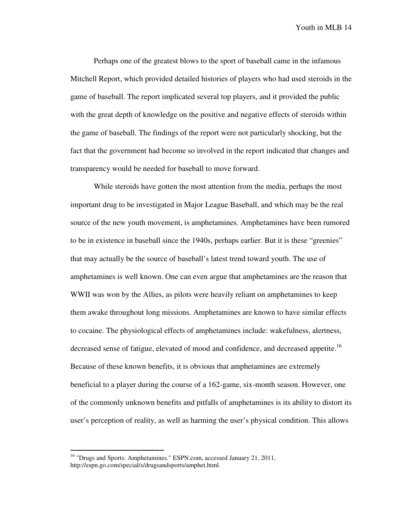Perhaps one of the greatest blows to the sport of baseball came in the infamous Mitchell Report, which provided detailed histories of players who had used steroids in the game of baseball. The report implicated several top players, and it provided the public with the great depth of knowledge on the positive and negative effects of steroids within the game of baseball. The findings of the report were not particularly shocking, but the fact that the government had become so involved in the report indicated that changes and transparency would be needed for baseball to move forward.

 While steroids have gotten the most attention from the media, perhaps the most important drug to be investigated in Major League Baseball, and which may be the real source of the new youth movement, is amphetamines. Amphetamines have been rumored to be in existence in baseball since the 1940s, perhaps earlier. But it is these "greenies" that may actually be the source of baseball's latest trend toward youth. The use of amphetamines is well known. One can even argue that amphetamines are the reason that WWII was won by the Allies, as pilots were heavily reliant on amphetamines to keep them awake throughout long missions. Amphetamines are known to have similar effects to cocaine. The physiological effects of amphetamines include: wakefulness, alertness, decreased sense of fatigue, elevated of mood and confidence, and decreased appetite.<sup>16</sup> Because of these known benefits, it is obvious that amphetamines are extremely beneficial to a player during the course of a 162-game, six-month season. However, one of the commonly unknown benefits and pitfalls of amphetamines is its ability to distort its user's perception of reality, as well as harming the user's physical condition. This allows

<u>.</u>

<sup>&</sup>lt;sup>16</sup> "Drugs and Sports: Amphetamines." ESPN.com, accessed January 21, 2011, http://espn.go.com/special/s/drugsandsports/amphet.html.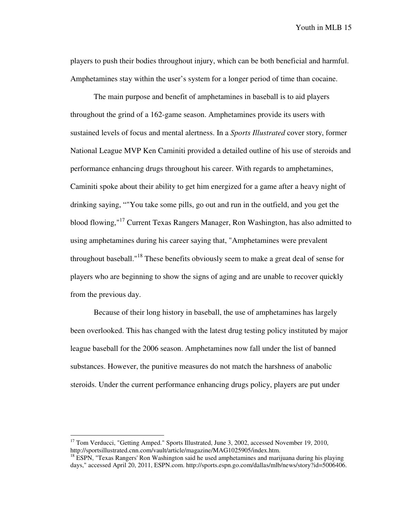players to push their bodies throughout injury, which can be both beneficial and harmful. Amphetamines stay within the user's system for a longer period of time than cocaine.

 The main purpose and benefit of amphetamines in baseball is to aid players throughout the grind of a 162-game season. Amphetamines provide its users with sustained levels of focus and mental alertness. In a *Sports Illustrated* cover story, former National League MVP Ken Caminiti provided a detailed outline of his use of steroids and performance enhancing drugs throughout his career. With regards to amphetamines, Caminiti spoke about their ability to get him energized for a game after a heavy night of drinking saying, ""You take some pills, go out and run in the outfield, and you get the blood flowing,"<sup>17</sup> Current Texas Rangers Manager, Ron Washington, has also admitted to using amphetamines during his career saying that, "Amphetamines were prevalent throughout baseball."<sup>18</sup> These benefits obviously seem to make a great deal of sense for players who are beginning to show the signs of aging and are unable to recover quickly from the previous day.

 Because of their long history in baseball, the use of amphetamines has largely been overlooked. This has changed with the latest drug testing policy instituted by major league baseball for the 2006 season. Amphetamines now fall under the list of banned substances. However, the punitive measures do not match the harshness of anabolic steroids. Under the current performance enhancing drugs policy, players are put under

<u>.</u>

<sup>&</sup>lt;sup>17</sup> Tom Verducci, "Getting Amped." Sports Illustrated, June 3, 2002, accessed November 19, 2010, http://sportsillustrated.cnn.com/vault/article/magazine/MAG1025905/index.htm.

 $18$  ESPN, "Texas Rangers' Ron Washington said he used amphetamines and marijuana during his playing days," accessed April 20, 2011, ESPN.com. http://sports.espn.go.com/dallas/mlb/news/story?id=5006406.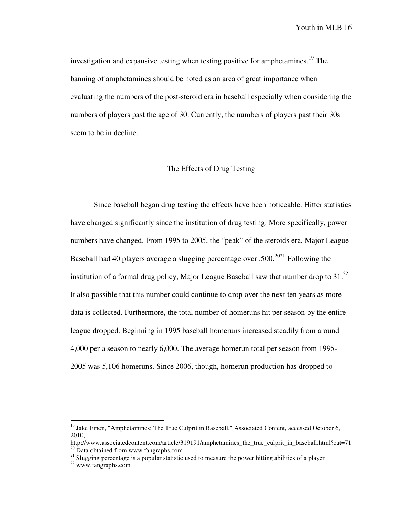investigation and expansive testing when testing positive for amphetamines.<sup>19</sup> The banning of amphetamines should be noted as an area of great importance when evaluating the numbers of the post-steroid era in baseball especially when considering the numbers of players past the age of 30. Currently, the numbers of players past their 30s seem to be in decline.

# The Effects of Drug Testing

 Since baseball began drug testing the effects have been noticeable. Hitter statistics have changed significantly since the institution of drug testing. More specifically, power numbers have changed. From 1995 to 2005, the "peak" of the steroids era, Major League Baseball had 40 players average a slugging percentage over .500.<sup>2021</sup> Following the institution of a formal drug policy, Major League Baseball saw that number drop to  $31.^{22}$ It also possible that this number could continue to drop over the next ten years as more data is collected. Furthermore, the total number of homeruns hit per season by the entire league dropped. Beginning in 1995 baseball homeruns increased steadily from around 4,000 per a season to nearly 6,000. The average homerun total per season from 1995- 2005 was 5,106 homeruns. Since 2006, though, homerun production has dropped to

<sup>&</sup>lt;sup>19</sup> Jake Emen, "Amphetamines: The True Culprit in Baseball," Associated Content, accessed October 6, 2010,

http://www.associatedcontent.com/article/319191/amphetamines\_the\_true\_culprit\_in\_baseball.html?cat=71  $20$  Data obtained from www.fangraphs.com

<sup>&</sup>lt;sup>21</sup> Slugging percentage is a popular statistic used to measure the power hitting abilities of a player

<sup>22</sup> www.fangraphs.com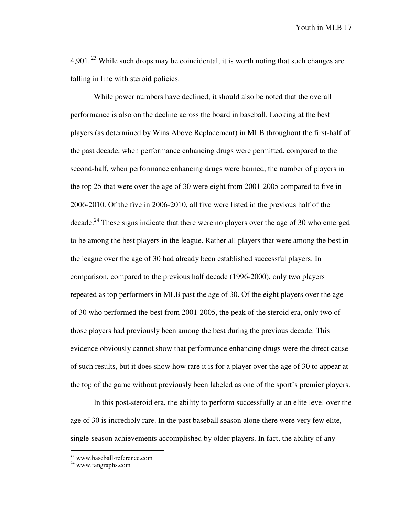4,901.<sup>23</sup> While such drops may be coincidental, it is worth noting that such changes are falling in line with steroid policies.

 While power numbers have declined, it should also be noted that the overall performance is also on the decline across the board in baseball. Looking at the best players (as determined by Wins Above Replacement) in MLB throughout the first-half of the past decade, when performance enhancing drugs were permitted, compared to the second-half, when performance enhancing drugs were banned, the number of players in the top 25 that were over the age of 30 were eight from 2001-2005 compared to five in 2006-2010. Of the five in 2006-2010, all five were listed in the previous half of the decade.<sup>24</sup> These signs indicate that there were no players over the age of 30 who emerged to be among the best players in the league. Rather all players that were among the best in the league over the age of 30 had already been established successful players. In comparison, compared to the previous half decade (1996-2000), only two players repeated as top performers in MLB past the age of 30. Of the eight players over the age of 30 who performed the best from 2001-2005, the peak of the steroid era, only two of those players had previously been among the best during the previous decade. This evidence obviously cannot show that performance enhancing drugs were the direct cause of such results, but it does show how rare it is for a player over the age of 30 to appear at the top of the game without previously been labeled as one of the sport's premier players.

 In this post-steroid era, the ability to perform successfully at an elite level over the age of 30 is incredibly rare. In the past baseball season alone there were very few elite, single-season achievements accomplished by older players. In fact, the ability of any

<sup>&</sup>lt;sup>23</sup> www.baseball-reference.com

<sup>24</sup> www.fangraphs.com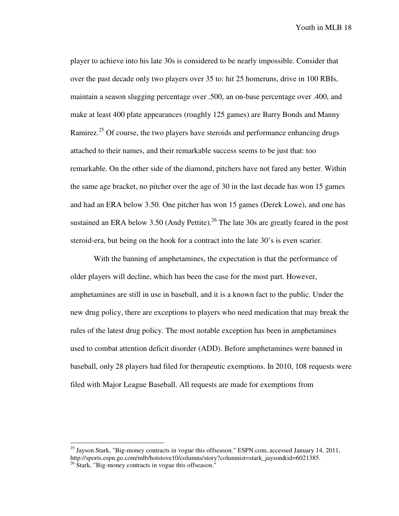player to achieve into his late 30s is considered to be nearly impossible. Consider that over the past decade only two players over 35 to: hit 25 homeruns, drive in 100 RBIs, maintain a season slugging percentage over .500, an on-base percentage over .400, and make at least 400 plate appearances (roughly 125 games) are Barry Bonds and Manny Ramirez.<sup>25</sup> Of course, the two players have steroids and performance enhancing drugs attached to their names, and their remarkable success seems to be just that: too remarkable. On the other side of the diamond, pitchers have not fared any better. Within the same age bracket, no pitcher over the age of 30 in the last decade has won 15 games and had an ERA below 3.50. One pitcher has won 15 games (Derek Lowe), and one has sustained an ERA below  $3.50$  (Andy Pettite).<sup>26</sup> The late 30s are greatly feared in the post steroid-era, but being on the hook for a contract into the late 30's is even scarier.

With the banning of amphetamines, the expectation is that the performance of older players will decline, which has been the case for the most part. However, amphetamines are still in use in baseball, and it is a known fact to the public. Under the new drug policy, there are exceptions to players who need medication that may break the rules of the latest drug policy. The most notable exception has been in amphetamines used to combat attention deficit disorder (ADD). Before amphetamines were banned in baseball, only 28 players had filed for therapeutic exemptions. In 2010, 108 requests were filed with Major League Baseball. All requests are made for exemptions from

<sup>&</sup>lt;sup>25</sup> Jayson Stark, "Big-money contracts in vogue this offseason." ESPN.com, accessed January 14, 2011, http://sports.espn.go.com/mlb/hotstove10/columns/story?columnist=stark\_jayson&id=6021385.

 $26$  Stark, "Big-money contracts in vogue this offseason."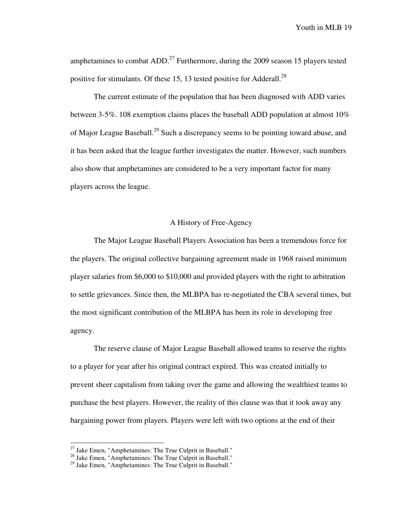amphetamines to combat  $ADD<sup>27</sup>$  Furthermore, during the 2009 season 15 players tested positive for stimulants. Of these 15, 13 tested positive for Adderall.<sup>28</sup>

The current estimate of the population that has been diagnosed with ADD varies between 3-5%. 108 exemption claims places the baseball ADD population at almost 10% of Major League Baseball.<sup>29</sup> Such a discrepancy seems to be pointing toward abuse, and it has been asked that the league further investigates the matter. However, such numbers also show that amphetamines are considered to be a very important factor for many players across the league.

# A History of Free-Agency

 The Major League Baseball Players Association has been a tremendous force for the players. The original collective bargaining agreement made in 1968 raised minimum player salaries from \$6,000 to \$10,000 and provided players with the right to arbitration to settle grievances. Since then, the MLBPA has re-negotiated the CBA several times, but the most significant contribution of the MLBPA has been its role in developing free agency.

 The reserve clause of Major League Baseball allowed teams to reserve the rights to a player for year after his original contract expired. This was created initially to prevent sheer capitalism from taking over the game and allowing the wealthiest teams to purchase the best players. However, the reality of this clause was that it took away any bargaining power from players. Players were left with two options at the end of their

 $27$  Jake Emen, "Amphetamines: The True Culprit in Baseball."

 $28$  Jake Emen, "Amphetamines: The True Culprit in Baseball."

<sup>&</sup>lt;sup>29</sup> Jake Emen, "Amphetamines: The True Culprit in Baseball."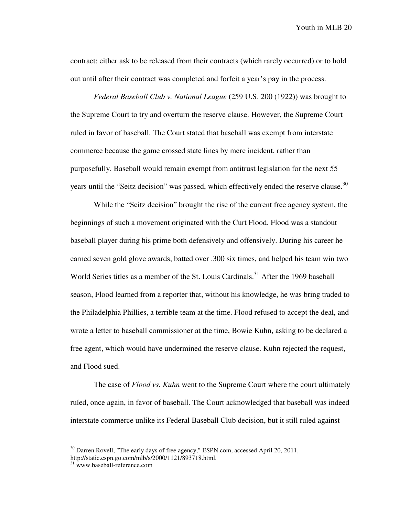contract: either ask to be released from their contracts (which rarely occurred) or to hold out until after their contract was completed and forfeit a year's pay in the process.

*Federal Baseball Club v. National League* (259 U.S. 200 (1922)) was brought to the Supreme Court to try and overturn the reserve clause. However, the Supreme Court ruled in favor of baseball. The Court stated that baseball was exempt from interstate commerce because the game crossed state lines by mere incident, rather than purposefully. Baseball would remain exempt from antitrust legislation for the next 55 years until the "Seitz decision" was passed, which effectively ended the reserve clause. $30$ 

 While the "Seitz decision" brought the rise of the current free agency system, the beginnings of such a movement originated with the Curt Flood. Flood was a standout baseball player during his prime both defensively and offensively. During his career he earned seven gold glove awards, batted over .300 six times, and helped his team win two World Series titles as a member of the St. Louis Cardinals.<sup>31</sup> After the 1969 baseball season, Flood learned from a reporter that, without his knowledge, he was bring traded to the Philadelphia Phillies, a terrible team at the time. Flood refused to accept the deal, and wrote a letter to baseball commissioner at the time, Bowie Kuhn, asking to be declared a free agent, which would have undermined the reserve clause. Kuhn rejected the request, and Flood sued.

 The case of *Flood vs. Kuhn* went to the Supreme Court where the court ultimately ruled, once again, in favor of baseball. The Court acknowledged that baseball was indeed interstate commerce unlike its Federal Baseball Club decision, but it still ruled against

 $30$  Darren Rovell, "The early days of free agency," ESPN.com, accessed April 20, 2011, http://static.espn.go.com/mlb/s/2000/1121/893718.html.

<sup>&</sup>lt;sup>31</sup> www.baseball-reference.com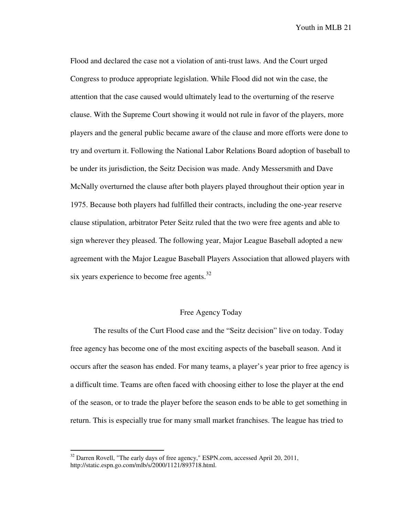Flood and declared the case not a violation of anti-trust laws. And the Court urged Congress to produce appropriate legislation. While Flood did not win the case, the attention that the case caused would ultimately lead to the overturning of the reserve clause. With the Supreme Court showing it would not rule in favor of the players, more players and the general public became aware of the clause and more efforts were done to try and overturn it. Following the National Labor Relations Board adoption of baseball to be under its jurisdiction, the Seitz Decision was made. Andy Messersmith and Dave McNally overturned the clause after both players played throughout their option year in 1975. Because both players had fulfilled their contracts, including the one-year reserve clause stipulation, arbitrator Peter Seitz ruled that the two were free agents and able to sign wherever they pleased. The following year, Major League Baseball adopted a new agreement with the Major League Baseball Players Association that allowed players with six years experience to become free agents.<sup>32</sup>

# Free Agency Today

The results of the Curt Flood case and the "Seitz decision" live on today. Today free agency has become one of the most exciting aspects of the baseball season. And it occurs after the season has ended. For many teams, a player's year prior to free agency is a difficult time. Teams are often faced with choosing either to lose the player at the end of the season, or to trade the player before the season ends to be able to get something in return. This is especially true for many small market franchises. The league has tried to

 $32$  Darren Rovell, "The early days of free agency," ESPN.com, accessed April 20, 2011, http://static.espn.go.com/mlb/s/2000/1121/893718.html.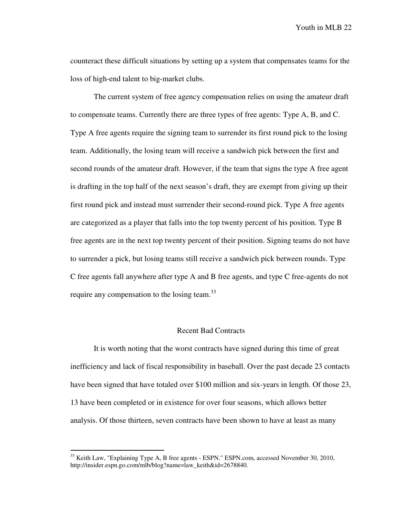counteract these difficult situations by setting up a system that compensates teams for the loss of high-end talent to big-market clubs.

 The current system of free agency compensation relies on using the amateur draft to compensate teams. Currently there are three types of free agents: Type A, B, and C. Type A free agents require the signing team to surrender its first round pick to the losing team. Additionally, the losing team will receive a sandwich pick between the first and second rounds of the amateur draft. However, if the team that signs the type A free agent is drafting in the top half of the next season's draft, they are exempt from giving up their first round pick and instead must surrender their second-round pick. Type A free agents are categorized as a player that falls into the top twenty percent of his position. Type B free agents are in the next top twenty percent of their position. Signing teams do not have to surrender a pick, but losing teams still receive a sandwich pick between rounds. Type C free agents fall anywhere after type A and B free agents, and type C free-agents do not require any compensation to the losing team.<sup>33</sup>

#### Recent Bad Contracts

It is worth noting that the worst contracts have signed during this time of great inefficiency and lack of fiscal responsibility in baseball. Over the past decade 23 contacts have been signed that have totaled over \$100 million and six-years in length. Of those 23, 13 have been completed or in existence for over four seasons, which allows better analysis. Of those thirteen, seven contracts have been shown to have at least as many

 $33$  Keith Law, "Explaining Type A, B free agents - ESPN." ESPN.com, accessed November 30, 2010, http://insider.espn.go.com/mlb/blog?name=law\_keith&id=2678840.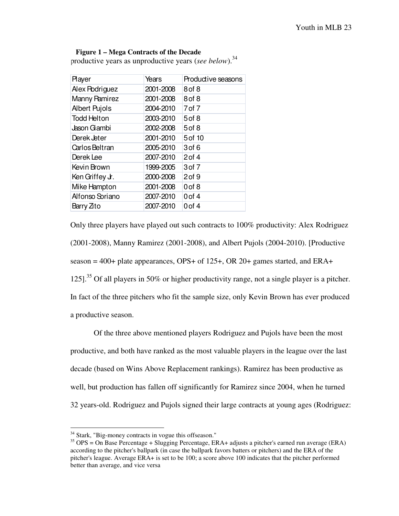#### **Figure 1 – Mega Contracts of the Decade**

productive years as unproductive years (*see below*).<sup>34</sup>

| <b>Player</b>        | Years     | Productive seasons |
|----------------------|-----------|--------------------|
| Alex Podriguez       | 2001-2008 | 8 of 8             |
| Manny Pamirez        | 2001-2008 | 8 of 8             |
| <b>Albert Pujols</b> | 2004-2010 | 7 of 7             |
| <b>Todd Helton</b>   | 2003-2010 | 5 of 8             |
| Jason Gambi          | 2002-2008 | 5 of 8             |
| Derek Jeter          | 2001-2010 | 5 of 10            |
| Carlos Beltran       | 2005-2010 | 3 of 6             |
| Derek Lee            | 2007-2010 | $2$ of 4           |
| Kevin Brown          | 1999-2005 | $3$ of $7$         |
| Ken Griffey Jr.      | 2000-2008 | $2$ of $9$         |
| Mike Hampton         | 2001-2008 | 0 of 8             |
| Alfonso Soriano      | 2007-2010 | $0$ of $4$         |
| Barry Zito           | 2007-2010 | $0$ of $4$         |

Only three players have played out such contracts to 100% productivity: Alex Rodriguez (2001-2008), Manny Ramirez (2001-2008), and Albert Pujols (2004-2010). [Productive season =  $400+$  plate appearances, OPS+ of 125+, OR 20+ games started, and ERA+ 125].<sup>35</sup> Of all players in 50% or higher productivity range, not a single player is a pitcher. In fact of the three pitchers who fit the sample size, only Kevin Brown has ever produced a productive season.

Of the three above mentioned players Rodriguez and Pujols have been the most productive, and both have ranked as the most valuable players in the league over the last decade (based on Wins Above Replacement rankings). Ramirez has been productive as well, but production has fallen off significantly for Ramirez since 2004, when he turned 32 years-old. Rodriguez and Pujols signed their large contracts at young ages (Rodriguez:

 $34$  Stark, "Big-money contracts in vogue this offseason."

<sup>&</sup>lt;sup>35</sup> OPS = On Base Percentage + Slugging Percentage, ERA+ adjusts a pitcher's earned run average (ERA) according to the pitcher's ballpark (in case the ballpark favors batters or pitchers) and the ERA of the pitcher's league. Average ERA+ is set to be 100; a score above 100 indicates that the pitcher performed better than average, and vice versa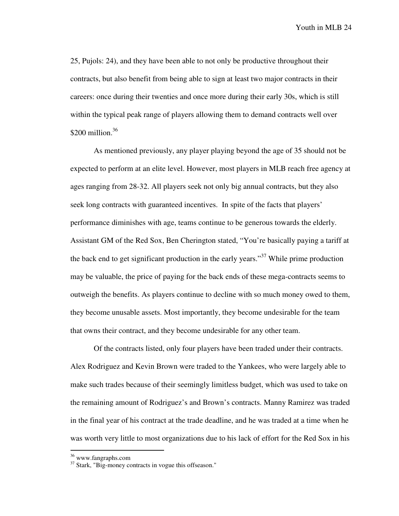25, Pujols: 24), and they have been able to not only be productive throughout their contracts, but also benefit from being able to sign at least two major contracts in their careers: once during their twenties and once more during their early 30s, which is still within the typical peak range of players allowing them to demand contracts well over  $$200$  million.<sup>36</sup>

 As mentioned previously, any player playing beyond the age of 35 should not be expected to perform at an elite level. However, most players in MLB reach free agency at ages ranging from 28-32. All players seek not only big annual contracts, but they also seek long contracts with guaranteed incentives. In spite of the facts that players' performance diminishes with age, teams continue to be generous towards the elderly. Assistant GM of the Red Sox, Ben Cherington stated, "You're basically paying a tariff at the back end to get significant production in the early years."<sup>37</sup> While prime production may be valuable, the price of paying for the back ends of these mega-contracts seems to outweigh the benefits. As players continue to decline with so much money owed to them, they become unusable assets. Most importantly, they become undesirable for the team that owns their contract, and they become undesirable for any other team.

 Of the contracts listed, only four players have been traded under their contracts. Alex Rodriguez and Kevin Brown were traded to the Yankees, who were largely able to make such trades because of their seemingly limitless budget, which was used to take on the remaining amount of Rodriguez's and Brown's contracts. Manny Ramirez was traded in the final year of his contract at the trade deadline, and he was traded at a time when he was worth very little to most organizations due to his lack of effort for the Red Sox in his

<sup>&</sup>lt;sup>36</sup> www.fangraphs.com

<sup>&</sup>lt;sup>37</sup> Stark, "Big-money contracts in vogue this offseason."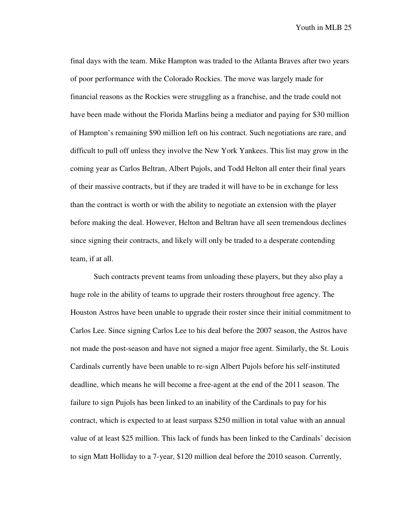final days with the team. Mike Hampton was traded to the Atlanta Braves after two years of poor performance with the Colorado Rockies. The move was largely made for financial reasons as the Rockies were struggling as a franchise, and the trade could not have been made without the Florida Marlins being a mediator and paying for \$30 million of Hampton's remaining \$90 million left on his contract. Such negotiations are rare, and difficult to pull off unless they involve the New York Yankees. This list may grow in the coming year as Carlos Beltran, Albert Pujols, and Todd Helton all enter their final years of their massive contracts, but if they are traded it will have to be in exchange for less than the contract is worth or with the ability to negotiate an extension with the player before making the deal. However, Helton and Beltran have all seen tremendous declines since signing their contracts, and likely will only be traded to a desperate contending team, if at all.

 Such contracts prevent teams from unloading these players, but they also play a huge role in the ability of teams to upgrade their rosters throughout free agency. The Houston Astros have been unable to upgrade their roster since their initial commitment to Carlos Lee. Since signing Carlos Lee to his deal before the 2007 season, the Astros have not made the post-season and have not signed a major free agent. Similarly, the St. Louis Cardinals currently have been unable to re-sign Albert Pujols before his self-instituted deadline, which means he will become a free-agent at the end of the 2011 season. The failure to sign Pujols has been linked to an inability of the Cardinals to pay for his contract, which is expected to at least surpass \$250 million in total value with an annual value of at least \$25 million. This lack of funds has been linked to the Cardinals' decision to sign Matt Holliday to a 7-year, \$120 million deal before the 2010 season. Currently,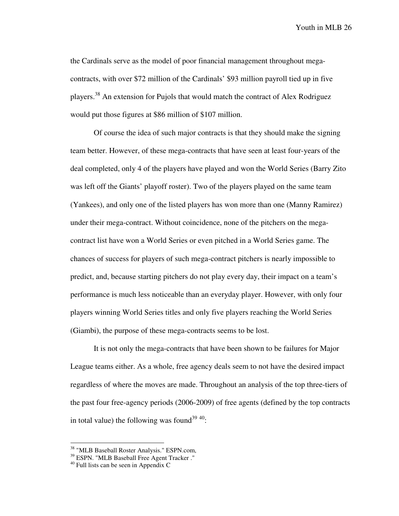the Cardinals serve as the model of poor financial management throughout megacontracts, with over \$72 million of the Cardinals' \$93 million payroll tied up in five players.<sup>38</sup> An extension for Pujols that would match the contract of Alex Rodriguez would put those figures at \$86 million of \$107 million.

 Of course the idea of such major contracts is that they should make the signing team better. However, of these mega-contracts that have seen at least four-years of the deal completed, only 4 of the players have played and won the World Series (Barry Zito was left off the Giants' playoff roster). Two of the players played on the same team (Yankees), and only one of the listed players has won more than one (Manny Ramirez) under their mega-contract. Without coincidence, none of the pitchers on the megacontract list have won a World Series or even pitched in a World Series game. The chances of success for players of such mega-contract pitchers is nearly impossible to predict, and, because starting pitchers do not play every day, their impact on a team's performance is much less noticeable than an everyday player. However, with only four players winning World Series titles and only five players reaching the World Series (Giambi), the purpose of these mega-contracts seems to be lost.

 It is not only the mega-contracts that have been shown to be failures for Major League teams either. As a whole, free agency deals seem to not have the desired impact regardless of where the moves are made. Throughout an analysis of the top three-tiers of the past four free-agency periods (2006-2009) of free agents (defined by the top contracts in total value) the following was found<sup>39 40</sup>:

<sup>&</sup>lt;sup>38</sup> "MLB Baseball Roster Analysis." ESPN.com,

<sup>39</sup> ESPN. "MLB Baseball Free Agent Tracker ."

 $40$  Full lists can be seen in Appendix C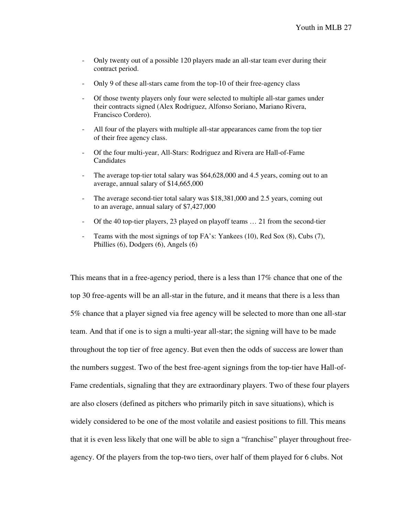- Only twenty out of a possible 120 players made an all-star team ever during their contract period.
- Only 9 of these all-stars came from the top-10 of their free-agency class
- Of those twenty players only four were selected to multiple all-star games under their contracts signed (Alex Rodriguez, Alfonso Soriano, Mariano Rivera, Francisco Cordero).
- All four of the players with multiple all-star appearances came from the top tier of their free agency class.
- Of the four multi-year, All-Stars: Rodriguez and Rivera are Hall-of-Fame Candidates
- The average top-tier total salary was \$64,628,000 and 4.5 years, coming out to an average, annual salary of \$14,665,000
- The average second-tier total salary was \$18,381,000 and 2.5 years, coming out to an average, annual salary of \$7,427,000
- Of the 40 top-tier players, 23 played on playoff teams … 21 from the second-tier
- Teams with the most signings of top FA's: Yankees (10), Red Sox (8), Cubs (7), Phillies (6), Dodgers (6), Angels (6)

This means that in a free-agency period, there is a less than 17% chance that one of the top 30 free-agents will be an all-star in the future, and it means that there is a less than 5% chance that a player signed via free agency will be selected to more than one all-star team. And that if one is to sign a multi-year all-star; the signing will have to be made throughout the top tier of free agency. But even then the odds of success are lower than the numbers suggest. Two of the best free-agent signings from the top-tier have Hall-of-Fame credentials, signaling that they are extraordinary players. Two of these four players are also closers (defined as pitchers who primarily pitch in save situations), which is widely considered to be one of the most volatile and easiest positions to fill. This means that it is even less likely that one will be able to sign a "franchise" player throughout freeagency. Of the players from the top-two tiers, over half of them played for 6 clubs. Not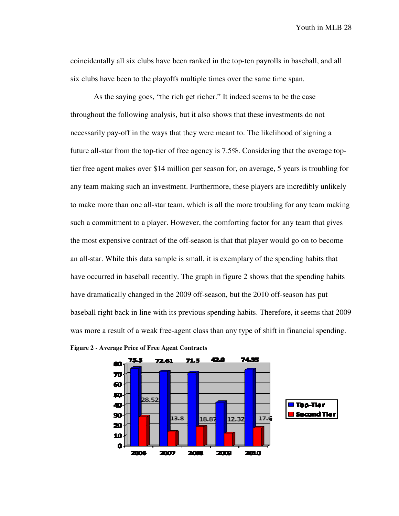coincidentally all six clubs have been ranked in the top-ten payrolls in baseball, and all six clubs have been to the playoffs multiple times over the same time span.

As the saying goes, "the rich get richer." It indeed seems to be the case throughout the following analysis, but it also shows that these investments do not necessarily pay-off in the ways that they were meant to. The likelihood of signing a future all-star from the top-tier of free agency is 7.5%. Considering that the average toptier free agent makes over \$14 million per season for, on average, 5 years is troubling for any team making such an investment. Furthermore, these players are incredibly unlikely to make more than one all-star team, which is all the more troubling for any team making such a commitment to a player. However, the comforting factor for any team that gives the most expensive contract of the off-season is that that player would go on to become an all-star. While this data sample is small, it is exemplary of the spending habits that have occurred in baseball recently. The graph in figure 2 shows that the spending habits have dramatically changed in the 2009 off-season, but the 2010 off-season has put baseball right back in line with its previous spending habits. Therefore, it seems that 2009 was more a result of a weak free-agent class than any type of shift in financial spending.



**Figure 2 - Average Price of Free Agent Contracts**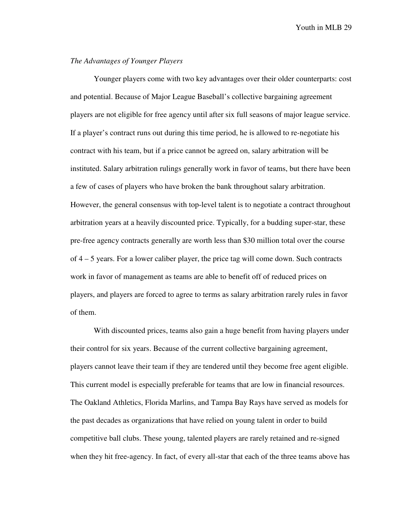# *The Advantages of Younger Players*

 Younger players come with two key advantages over their older counterparts: cost and potential. Because of Major League Baseball's collective bargaining agreement players are not eligible for free agency until after six full seasons of major league service. If a player's contract runs out during this time period, he is allowed to re-negotiate his contract with his team, but if a price cannot be agreed on, salary arbitration will be instituted. Salary arbitration rulings generally work in favor of teams, but there have been a few of cases of players who have broken the bank throughout salary arbitration. However, the general consensus with top-level talent is to negotiate a contract throughout arbitration years at a heavily discounted price. Typically, for a budding super-star, these pre-free agency contracts generally are worth less than \$30 million total over the course of 4 – 5 years. For a lower caliber player, the price tag will come down. Such contracts work in favor of management as teams are able to benefit off of reduced prices on players, and players are forced to agree to terms as salary arbitration rarely rules in favor of them.

 With discounted prices, teams also gain a huge benefit from having players under their control for six years. Because of the current collective bargaining agreement, players cannot leave their team if they are tendered until they become free agent eligible. This current model is especially preferable for teams that are low in financial resources. The Oakland Athletics, Florida Marlins, and Tampa Bay Rays have served as models for the past decades as organizations that have relied on young talent in order to build competitive ball clubs. These young, talented players are rarely retained and re-signed when they hit free-agency. In fact, of every all-star that each of the three teams above has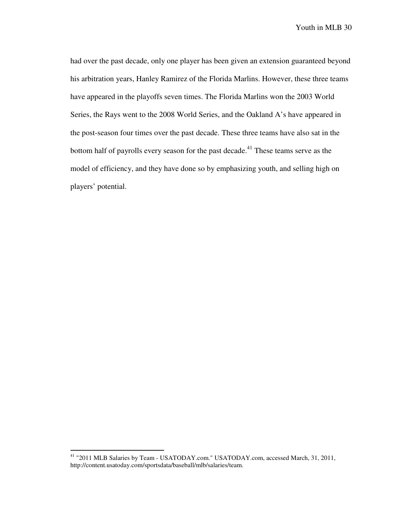had over the past decade, only one player has been given an extension guaranteed beyond his arbitration years, Hanley Ramirez of the Florida Marlins. However, these three teams have appeared in the playoffs seven times. The Florida Marlins won the 2003 World Series, the Rays went to the 2008 World Series, and the Oakland A's have appeared in the post-season four times over the past decade. These three teams have also sat in the bottom half of payrolls every season for the past decade.<sup>41</sup> These teams serve as the model of efficiency, and they have done so by emphasizing youth, and selling high on players' potential.

<sup>&</sup>lt;sup>41</sup> "2011 MLB Salaries by Team - USATODAY.com." USATODAY.com, accessed March, 31, 2011, http://content.usatoday.com/sportsdata/baseball/mlb/salaries/team.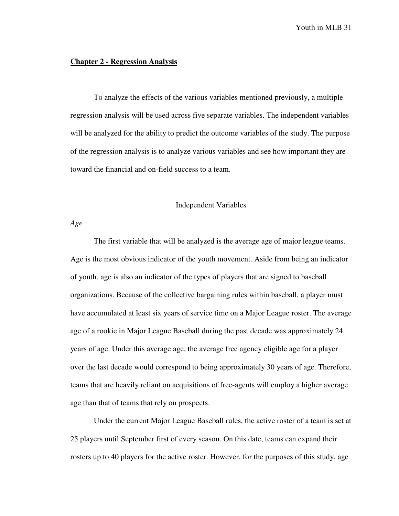#### **Chapter 2 - Regression Analysis**

 To analyze the effects of the various variables mentioned previously, a multiple regression analysis will be used across five separate variables. The independent variables will be analyzed for the ability to predict the outcome variables of the study. The purpose of the regression analysis is to analyze various variables and see how important they are toward the financial and on-field success to a team.

#### Independent Variables

*Age* 

 The first variable that will be analyzed is the average age of major league teams. Age is the most obvious indicator of the youth movement. Aside from being an indicator of youth, age is also an indicator of the types of players that are signed to baseball organizations. Because of the collective bargaining rules within baseball, a player must have accumulated at least six years of service time on a Major League roster. The average age of a rookie in Major League Baseball during the past decade was approximately 24 years of age. Under this average age, the average free agency eligible age for a player over the last decade would correspond to being approximately 30 years of age. Therefore, teams that are heavily reliant on acquisitions of free-agents will employ a higher average age than that of teams that rely on prospects.

 Under the current Major League Baseball rules, the active roster of a team is set at 25 players until September first of every season. On this date, teams can expand their rosters up to 40 players for the active roster. However, for the purposes of this study, age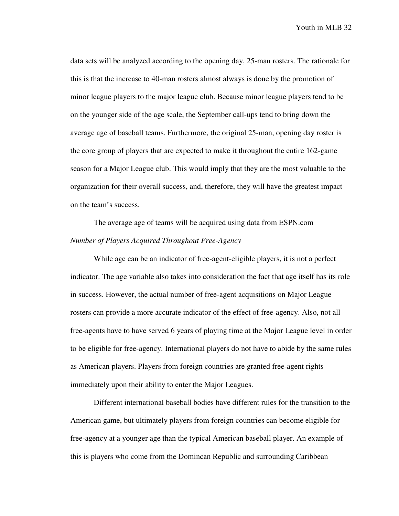data sets will be analyzed according to the opening day, 25-man rosters. The rationale for this is that the increase to 40-man rosters almost always is done by the promotion of minor league players to the major league club. Because minor league players tend to be on the younger side of the age scale, the September call-ups tend to bring down the average age of baseball teams. Furthermore, the original 25-man, opening day roster is the core group of players that are expected to make it throughout the entire 162-game season for a Major League club. This would imply that they are the most valuable to the organization for their overall success, and, therefore, they will have the greatest impact on the team's success.

 The average age of teams will be acquired using data from ESPN.com *Number of Players Acquired Throughout Free-Agency* 

 While age can be an indicator of free-agent-eligible players, it is not a perfect indicator. The age variable also takes into consideration the fact that age itself has its role in success. However, the actual number of free-agent acquisitions on Major League rosters can provide a more accurate indicator of the effect of free-agency. Also, not all free-agents have to have served 6 years of playing time at the Major League level in order to be eligible for free-agency. International players do not have to abide by the same rules as American players. Players from foreign countries are granted free-agent rights immediately upon their ability to enter the Major Leagues.

 Different international baseball bodies have different rules for the transition to the American game, but ultimately players from foreign countries can become eligible for free-agency at a younger age than the typical American baseball player. An example of this is players who come from the Domincan Republic and surrounding Caribbean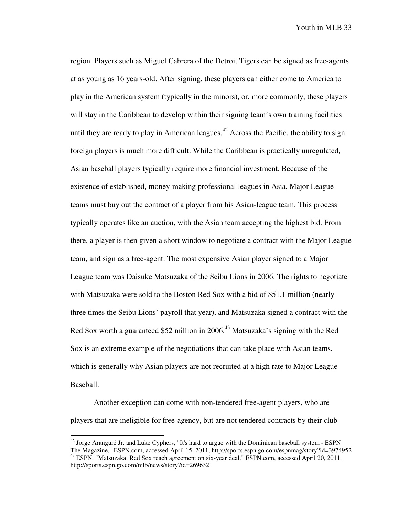region. Players such as Miguel Cabrera of the Detroit Tigers can be signed as free-agents at as young as 16 years-old. After signing, these players can either come to America to play in the American system (typically in the minors), or, more commonly, these players will stay in the Caribbean to develop within their signing team's own training facilities until they are ready to play in American leagues.<sup>42</sup> Across the Pacific, the ability to sign foreign players is much more difficult. While the Caribbean is practically unregulated, Asian baseball players typically require more financial investment. Because of the existence of established, money-making professional leagues in Asia, Major League teams must buy out the contract of a player from his Asian-league team. This process typically operates like an auction, with the Asian team accepting the highest bid. From there, a player is then given a short window to negotiate a contract with the Major League team, and sign as a free-agent. The most expensive Asian player signed to a Major League team was Daisuke Matsuzaka of the Seibu Lions in 2006. The rights to negotiate with Matsuzaka were sold to the Boston Red Sox with a bid of \$51.1 million (nearly three times the Seibu Lions' payroll that year), and Matsuzaka signed a contract with the Red Sox worth a guaranteed \$52 million in 2006.<sup>43</sup> Matsuzaka's signing with the Red Sox is an extreme example of the negotiations that can take place with Asian teams, which is generally why Asian players are not recruited at a high rate to Major League Baseball.

Another exception can come with non-tendered free-agent players, who are players that are ineligible for free-agency, but are not tendered contracts by their club

 $42$  Jorge Aranguré Jr. and Luke Cyphers, "It's hard to argue with the Dominican baseball system - ESPN The Magazine," ESPN.com, accessed April 15, 2011, http://sports.espn.go.com/espnmag/story?id=3974952 <sup>43</sup> ESPN, "Matsuzaka, Red Sox reach agreement on six-year deal." ESPN.com, accessed April 20, 2011, http://sports.espn.go.com/mlb/news/story?id=2696321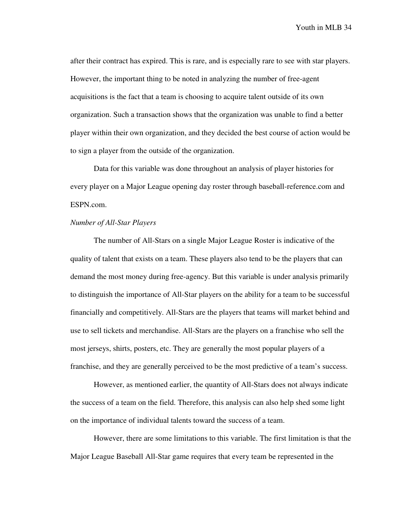after their contract has expired. This is rare, and is especially rare to see with star players. However, the important thing to be noted in analyzing the number of free-agent acquisitions is the fact that a team is choosing to acquire talent outside of its own organization. Such a transaction shows that the organization was unable to find a better player within their own organization, and they decided the best course of action would be to sign a player from the outside of the organization.

 Data for this variable was done throughout an analysis of player histories for every player on a Major League opening day roster through baseball-reference.com and ESPN.com.

## *Number of All-Star Players*

 The number of All-Stars on a single Major League Roster is indicative of the quality of talent that exists on a team. These players also tend to be the players that can demand the most money during free-agency. But this variable is under analysis primarily to distinguish the importance of All-Star players on the ability for a team to be successful financially and competitively. All-Stars are the players that teams will market behind and use to sell tickets and merchandise. All-Stars are the players on a franchise who sell the most jerseys, shirts, posters, etc. They are generally the most popular players of a franchise, and they are generally perceived to be the most predictive of a team's success.

 However, as mentioned earlier, the quantity of All-Stars does not always indicate the success of a team on the field. Therefore, this analysis can also help shed some light on the importance of individual talents toward the success of a team.

 However, there are some limitations to this variable. The first limitation is that the Major League Baseball All-Star game requires that every team be represented in the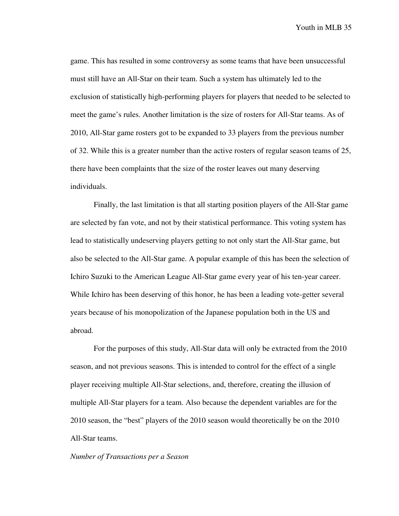game. This has resulted in some controversy as some teams that have been unsuccessful must still have an All-Star on their team. Such a system has ultimately led to the exclusion of statistically high-performing players for players that needed to be selected to meet the game's rules. Another limitation is the size of rosters for All-Star teams. As of 2010, All-Star game rosters got to be expanded to 33 players from the previous number of 32. While this is a greater number than the active rosters of regular season teams of 25, there have been complaints that the size of the roster leaves out many deserving individuals.

 Finally, the last limitation is that all starting position players of the All-Star game are selected by fan vote, and not by their statistical performance. This voting system has lead to statistically undeserving players getting to not only start the All-Star game, but also be selected to the All-Star game. A popular example of this has been the selection of Ichiro Suzuki to the American League All-Star game every year of his ten-year career. While Ichiro has been deserving of this honor, he has been a leading vote-getter several years because of his monopolization of the Japanese population both in the US and abroad.

 For the purposes of this study, All-Star data will only be extracted from the 2010 season, and not previous seasons. This is intended to control for the effect of a single player receiving multiple All-Star selections, and, therefore, creating the illusion of multiple All-Star players for a team. Also because the dependent variables are for the 2010 season, the "best" players of the 2010 season would theoretically be on the 2010 All-Star teams.

#### *Number of Transactions per a Season*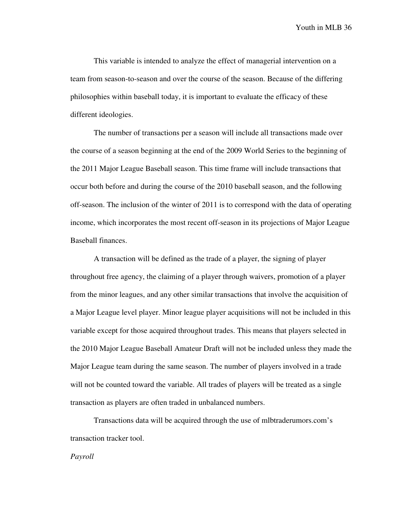This variable is intended to analyze the effect of managerial intervention on a team from season-to-season and over the course of the season. Because of the differing philosophies within baseball today, it is important to evaluate the efficacy of these different ideologies.

 The number of transactions per a season will include all transactions made over the course of a season beginning at the end of the 2009 World Series to the beginning of the 2011 Major League Baseball season. This time frame will include transactions that occur both before and during the course of the 2010 baseball season, and the following off-season. The inclusion of the winter of 2011 is to correspond with the data of operating income, which incorporates the most recent off-season in its projections of Major League Baseball finances.

 A transaction will be defined as the trade of a player, the signing of player throughout free agency, the claiming of a player through waivers, promotion of a player from the minor leagues, and any other similar transactions that involve the acquisition of a Major League level player. Minor league player acquisitions will not be included in this variable except for those acquired throughout trades. This means that players selected in the 2010 Major League Baseball Amateur Draft will not be included unless they made the Major League team during the same season. The number of players involved in a trade will not be counted toward the variable. All trades of players will be treated as a single transaction as players are often traded in unbalanced numbers.

 Transactions data will be acquired through the use of mlbtraderumors.com's transaction tracker tool.

*Payroll*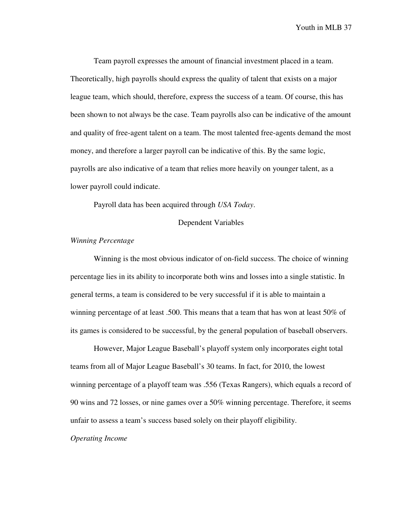Team payroll expresses the amount of financial investment placed in a team. Theoretically, high payrolls should express the quality of talent that exists on a major league team, which should, therefore, express the success of a team. Of course, this has been shown to not always be the case. Team payrolls also can be indicative of the amount and quality of free-agent talent on a team. The most talented free-agents demand the most money, and therefore a larger payroll can be indicative of this. By the same logic, payrolls are also indicative of a team that relies more heavily on younger talent, as a lower payroll could indicate.

Payroll data has been acquired through *USA Today*.

#### Dependent Variables

#### *Winning Percentage*

 Winning is the most obvious indicator of on-field success. The choice of winning percentage lies in its ability to incorporate both wins and losses into a single statistic. In general terms, a team is considered to be very successful if it is able to maintain a winning percentage of at least .500. This means that a team that has won at least 50% of its games is considered to be successful, by the general population of baseball observers.

 However, Major League Baseball's playoff system only incorporates eight total teams from all of Major League Baseball's 30 teams. In fact, for 2010, the lowest winning percentage of a playoff team was .556 (Texas Rangers), which equals a record of 90 wins and 72 losses, or nine games over a 50% winning percentage. Therefore, it seems unfair to assess a team's success based solely on their playoff eligibility.

#### *Operating Income*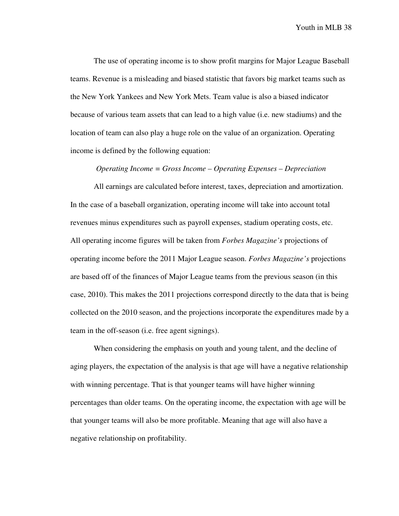The use of operating income is to show profit margins for Major League Baseball teams. Revenue is a misleading and biased statistic that favors big market teams such as the New York Yankees and New York Mets. Team value is also a biased indicator because of various team assets that can lead to a high value (i.e. new stadiums) and the location of team can also play a huge role on the value of an organization. Operating income is defined by the following equation:

#### *Operating Income = Gross Income – Operating Expenses – Depreciation*

 All earnings are calculated before interest, taxes, depreciation and amortization. In the case of a baseball organization, operating income will take into account total revenues minus expenditures such as payroll expenses, stadium operating costs, etc. All operating income figures will be taken from *Forbes Magazine's* projections of operating income before the 2011 Major League season. *Forbes Magazine's* projections are based off of the finances of Major League teams from the previous season (in this case, 2010). This makes the 2011 projections correspond directly to the data that is being collected on the 2010 season, and the projections incorporate the expenditures made by a team in the off-season (i.e. free agent signings).

 When considering the emphasis on youth and young talent, and the decline of aging players, the expectation of the analysis is that age will have a negative relationship with winning percentage. That is that younger teams will have higher winning percentages than older teams. On the operating income, the expectation with age will be that younger teams will also be more profitable. Meaning that age will also have a negative relationship on profitability.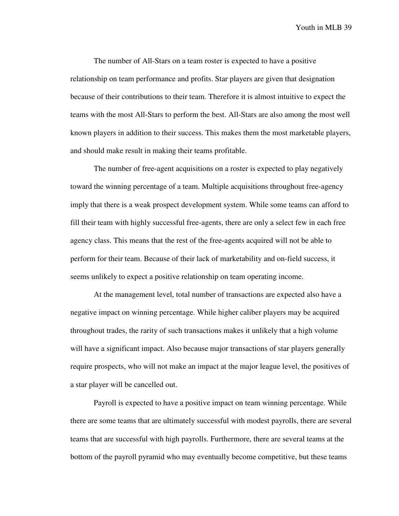The number of All-Stars on a team roster is expected to have a positive relationship on team performance and profits. Star players are given that designation because of their contributions to their team. Therefore it is almost intuitive to expect the teams with the most All-Stars to perform the best. All-Stars are also among the most well known players in addition to their success. This makes them the most marketable players, and should make result in making their teams profitable.

 The number of free-agent acquisitions on a roster is expected to play negatively toward the winning percentage of a team. Multiple acquisitions throughout free-agency imply that there is a weak prospect development system. While some teams can afford to fill their team with highly successful free-agents, there are only a select few in each free agency class. This means that the rest of the free-agents acquired will not be able to perform for their team. Because of their lack of marketability and on-field success, it seems unlikely to expect a positive relationship on team operating income.

 At the management level, total number of transactions are expected also have a negative impact on winning percentage. While higher caliber players may be acquired throughout trades, the rarity of such transactions makes it unlikely that a high volume will have a significant impact. Also because major transactions of star players generally require prospects, who will not make an impact at the major league level, the positives of a star player will be cancelled out.

Payroll is expected to have a positive impact on team winning percentage. While there are some teams that are ultimately successful with modest payrolls, there are several teams that are successful with high payrolls. Furthermore, there are several teams at the bottom of the payroll pyramid who may eventually become competitive, but these teams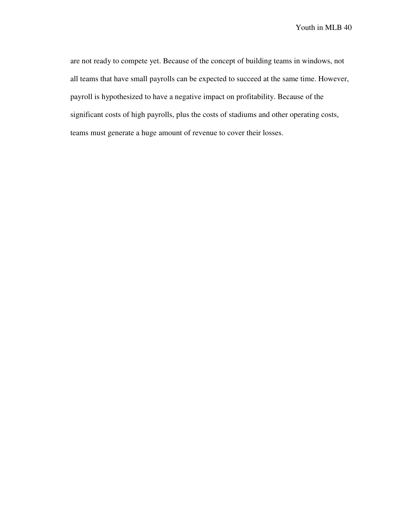are not ready to compete yet. Because of the concept of building teams in windows, not all teams that have small payrolls can be expected to succeed at the same time. However, payroll is hypothesized to have a negative impact on profitability. Because of the significant costs of high payrolls, plus the costs of stadiums and other operating costs, teams must generate a huge amount of revenue to cover their losses.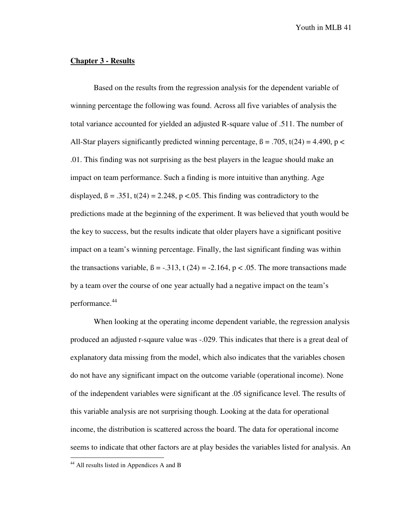### **Chapter 3 - Results**

 Based on the results from the regression analysis for the dependent variable of winning percentage the following was found. Across all five variables of analysis the total variance accounted for yielded an adjusted R-square value of .511. The number of All-Star players significantly predicted winning percentage,  $\beta = .705$ , t(24) = 4.490, p < .01. This finding was not surprising as the best players in the league should make an impact on team performance. Such a finding is more intuitive than anything. Age displayed,  $\beta = .351$ , t(24) = 2.248, p <.05. This finding was contradictory to the predictions made at the beginning of the experiment. It was believed that youth would be the key to success, but the results indicate that older players have a significant positive impact on a team's winning percentage. Finally, the last significant finding was within the transactions variable,  $\beta = -.313$ , t (24) = -2.164, p < .05. The more transactions made by a team over the course of one year actually had a negative impact on the team's performance.<sup>44</sup>

 When looking at the operating income dependent variable, the regression analysis produced an adjusted r-sqaure value was -.029. This indicates that there is a great deal of explanatory data missing from the model, which also indicates that the variables chosen do not have any significant impact on the outcome variable (operational income). None of the independent variables were significant at the .05 significance level. The results of this variable analysis are not surprising though. Looking at the data for operational income, the distribution is scattered across the board. The data for operational income seems to indicate that other factors are at play besides the variables listed for analysis. An

<sup>&</sup>lt;sup>44</sup> All results listed in Appendices A and B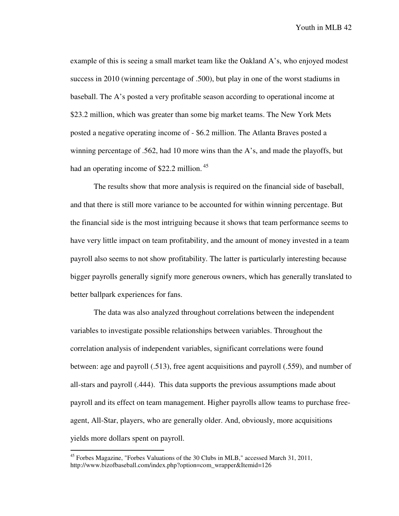example of this is seeing a small market team like the Oakland A's, who enjoyed modest success in 2010 (winning percentage of .500), but play in one of the worst stadiums in baseball. The A's posted a very profitable season according to operational income at \$23.2 million, which was greater than some big market teams. The New York Mets posted a negative operating income of - \$6.2 million. The Atlanta Braves posted a winning percentage of .562, had 10 more wins than the A's, and made the playoffs, but had an operating income of \$22.2 million.<sup>45</sup>

 The results show that more analysis is required on the financial side of baseball, and that there is still more variance to be accounted for within winning percentage. But the financial side is the most intriguing because it shows that team performance seems to have very little impact on team profitability, and the amount of money invested in a team payroll also seems to not show profitability. The latter is particularly interesting because bigger payrolls generally signify more generous owners, which has generally translated to better ballpark experiences for fans.

The data was also analyzed throughout correlations between the independent variables to investigate possible relationships between variables. Throughout the correlation analysis of independent variables, significant correlations were found between: age and payroll (.513), free agent acquisitions and payroll (.559), and number of all-stars and payroll (.444). This data supports the previous assumptions made about payroll and its effect on team management. Higher payrolls allow teams to purchase freeagent, All-Star, players, who are generally older. And, obviously, more acquisitions yields more dollars spent on payroll.

 $45$  Forbes Magazine, "Forbes Valuations of the 30 Clubs in MLB," accessed March 31, 2011, http://www.bizofbaseball.com/index.php?option=com\_wrapper&Itemid=126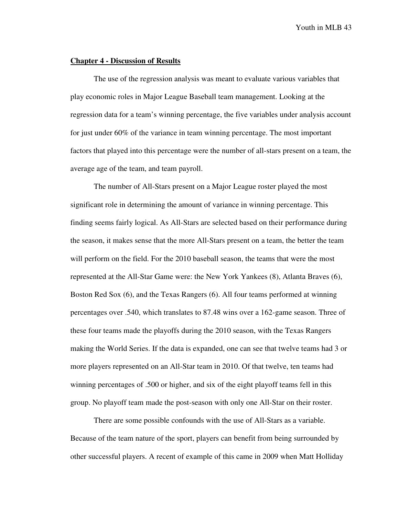#### **Chapter 4 - Discussion of Results**

The use of the regression analysis was meant to evaluate various variables that play economic roles in Major League Baseball team management. Looking at the regression data for a team's winning percentage, the five variables under analysis account for just under 60% of the variance in team winning percentage. The most important factors that played into this percentage were the number of all-stars present on a team, the average age of the team, and team payroll.

 The number of All-Stars present on a Major League roster played the most significant role in determining the amount of variance in winning percentage. This finding seems fairly logical. As All-Stars are selected based on their performance during the season, it makes sense that the more All-Stars present on a team, the better the team will perform on the field. For the 2010 baseball season, the teams that were the most represented at the All-Star Game were: the New York Yankees (8), Atlanta Braves (6), Boston Red Sox (6), and the Texas Rangers (6). All four teams performed at winning percentages over .540, which translates to 87.48 wins over a 162-game season. Three of these four teams made the playoffs during the 2010 season, with the Texas Rangers making the World Series. If the data is expanded, one can see that twelve teams had 3 or more players represented on an All-Star team in 2010. Of that twelve, ten teams had winning percentages of .500 or higher, and six of the eight playoff teams fell in this group. No playoff team made the post-season with only one All-Star on their roster.

 There are some possible confounds with the use of All-Stars as a variable. Because of the team nature of the sport, players can benefit from being surrounded by other successful players. A recent of example of this came in 2009 when Matt Holliday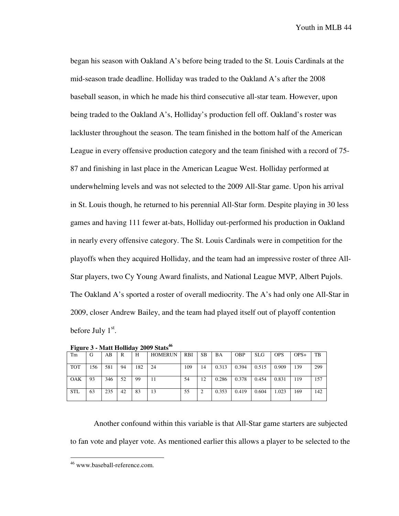began his season with Oakland A's before being traded to the St. Louis Cardinals at the mid-season trade deadline. Holliday was traded to the Oakland A's after the 2008 baseball season, in which he made his third consecutive all-star team. However, upon being traded to the Oakland A's, Holliday's production fell off. Oakland's roster was lackluster throughout the season. The team finished in the bottom half of the American League in every offensive production category and the team finished with a record of 75- 87 and finishing in last place in the American League West. Holliday performed at underwhelming levels and was not selected to the 2009 All-Star game. Upon his arrival in St. Louis though, he returned to his perennial All-Star form. Despite playing in 30 less games and having 111 fewer at-bats, Holliday out-performed his production in Oakland in nearly every offensive category. The St. Louis Cardinals were in competition for the playoffs when they acquired Holliday, and the team had an impressive roster of three All-Star players, two Cy Young Award finalists, and National League MVP, Albert Pujols. The Oakland A's sported a roster of overall mediocrity. The A's had only one All-Star in 2009, closer Andrew Bailey, and the team had played itself out of playoff contention before July  $1<sup>st</sup>$ .

|            | $-$ -post $\bullet$ $\bullet$<br>----------------<br>--------- |     |    |     |                |            |           |       |            |            |            |        |     |
|------------|----------------------------------------------------------------|-----|----|-----|----------------|------------|-----------|-------|------------|------------|------------|--------|-----|
| Tm         | G                                                              | AВ  | R  | Н   | <b>HOMERUN</b> | <b>RBI</b> | <b>SB</b> | ΒA    | <b>OBP</b> | <b>SLG</b> | <b>OPS</b> | $OPS+$ | TB  |
| <b>TOT</b> | 156                                                            | 581 | 94 | 182 | 24             | 109        | 14        | 0.313 | 0.394      | 0.515      | 0.909      | 139    | 299 |
| <b>OAK</b> | 93                                                             | 346 | 52 | 99  | 11             | 54         | 12        | 0.286 | 0.378      | 0.454      | 0.831      | 119    | 157 |
| <b>STL</b> | 63                                                             | 235 | 42 | 83  | 13             | 55         |           | 0.353 | 0.419      | 0.604      | 1.023      | 169    | 142 |

**Figure 3 - Matt Holliday 2009 Stats<sup>46</sup>**

 Another confound within this variable is that All-Star game starters are subjected to fan vote and player vote. As mentioned earlier this allows a player to be selected to the

<sup>46</sup> www.baseball-reference.com.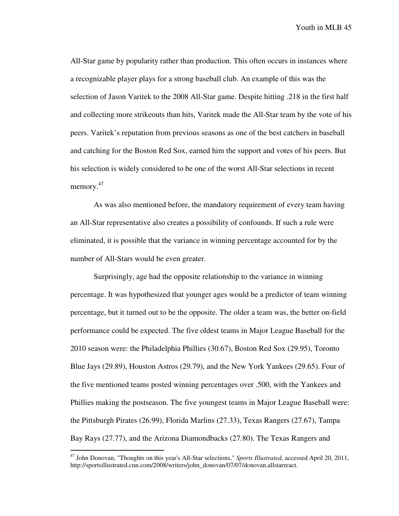All-Star game by popularity rather than production. This often occurs in instances where a recognizable player plays for a strong baseball club. An example of this was the selection of Jason Varitek to the 2008 All-Star game. Despite hitting .218 in the first half and collecting more strikeouts than hits, Varitek made the All-Star team by the vote of his peers. Varitek's reputation from previous seasons as one of the best catchers in baseball and catching for the Boston Red Sox, earned him the support and votes of his peers. But his selection is widely considered to be one of the worst All-Star selections in recent memory.<sup>47</sup>

 As was also mentioned before, the mandatory requirement of every team having an All-Star representative also creates a possibility of confounds. If such a rule were eliminated, it is possible that the variance in winning percentage accounted for by the number of All-Stars would be even greater.

 Surprisingly, age had the opposite relationship to the variance in winning percentage. It was hypothesized that younger ages would be a predictor of team winning percentage, but it turned out to be the opposite. The older a team was, the better on-field performance could be expected. The five oldest teams in Major League Baseball for the 2010 season were: the Philadelphia Phillies (30.67), Boston Red Sox (29.95), Toronto Blue Jays (29.89), Houston Astros (29.79), and the New York Yankees (29.65). Four of the five mentioned teams posted winning percentages over .500, with the Yankees and Phillies making the postseason. The five youngest teams in Major League Baseball were: the Pittsburgh Pirates (26.99), Florida Marlins (27.33), Texas Rangers (27.67), Tampa Bay Rays (27.77), and the Arizona Diamondbacks (27.80). The Texas Rangers and

<u>.</u>

<sup>47</sup> John Donovan, "Thoughts on this year's All-Star selections," *Sports Illustrated,* accessed April 20, 2011, http://sportsillustrated.cnn.com/2008/writers/john\_donovan/07/07/donovan.allstarreact.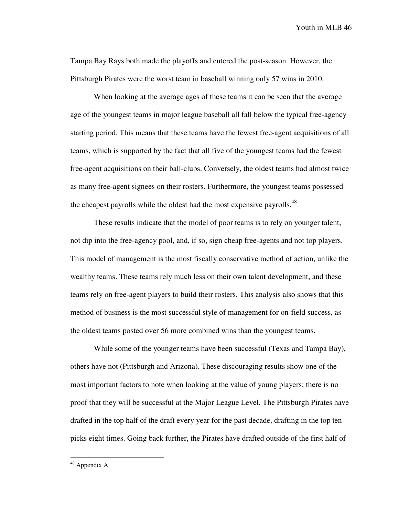Tampa Bay Rays both made the playoffs and entered the post-season. However, the Pittsburgh Pirates were the worst team in baseball winning only 57 wins in 2010.

 When looking at the average ages of these teams it can be seen that the average age of the youngest teams in major league baseball all fall below the typical free-agency starting period. This means that these teams have the fewest free-agent acquisitions of all teams, which is supported by the fact that all five of the youngest teams had the fewest free-agent acquisitions on their ball-clubs. Conversely, the oldest teams had almost twice as many free-agent signees on their rosters. Furthermore, the youngest teams possessed the cheapest payrolls while the oldest had the most expensive payrolls.<sup>48</sup>

 These results indicate that the model of poor teams is to rely on younger talent, not dip into the free-agency pool, and, if so, sign cheap free-agents and not top players. This model of management is the most fiscally conservative method of action, unlike the wealthy teams. These teams rely much less on their own talent development, and these teams rely on free-agent players to build their rosters. This analysis also shows that this method of business is the most successful style of management for on-field success, as the oldest teams posted over 56 more combined wins than the youngest teams.

While some of the younger teams have been successful (Texas and Tampa Bay), others have not (Pittsburgh and Arizona). These discouraging results show one of the most important factors to note when looking at the value of young players; there is no proof that they will be successful at the Major League Level. The Pittsburgh Pirates have drafted in the top half of the draft every year for the past decade, drafting in the top ten picks eight times. Going back further, the Pirates have drafted outside of the first half of

<sup>&</sup>lt;sup>48</sup> Appendix A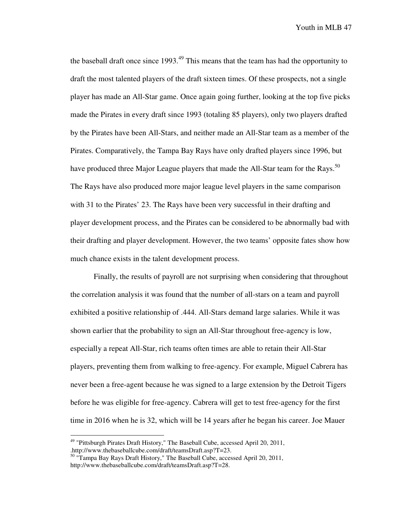the baseball draft once since  $1993<sup>49</sup>$ . This means that the team has had the opportunity to draft the most talented players of the draft sixteen times. Of these prospects, not a single player has made an All-Star game. Once again going further, looking at the top five picks made the Pirates in every draft since 1993 (totaling 85 players), only two players drafted by the Pirates have been All-Stars, and neither made an All-Star team as a member of the Pirates. Comparatively, the Tampa Bay Rays have only drafted players since 1996, but have produced three Major League players that made the All-Star team for the Rays.<sup>50</sup> The Rays have also produced more major league level players in the same comparison with 31 to the Pirates' 23. The Rays have been very successful in their drafting and player development process, and the Pirates can be considered to be abnormally bad with their drafting and player development. However, the two teams' opposite fates show how much chance exists in the talent development process.

Finally, the results of payroll are not surprising when considering that throughout the correlation analysis it was found that the number of all-stars on a team and payroll exhibited a positive relationship of .444. All-Stars demand large salaries. While it was shown earlier that the probability to sign an All-Star throughout free-agency is low, especially a repeat All-Star, rich teams often times are able to retain their All-Star players, preventing them from walking to free-agency. For example, Miguel Cabrera has never been a free-agent because he was signed to a large extension by the Detroit Tigers before he was eligible for free-agency. Cabrera will get to test free-agency for the first time in 2016 when he is 32, which will be 14 years after he began his career. Joe Mauer

<u>.</u>

<sup>49</sup> "Pittsburgh Pirates Draft History," The Baseball Cube, accessed April 20, 2011, .http://www.thebaseballcube.com/draft/teamsDraft.asp?T=23.

<sup>&</sup>lt;sup>50</sup> "Tampa Bay Rays Draft History," The Baseball Cube, accessed April 20, 2011, http://www.thebaseballcube.com/draft/teamsDraft.asp?T=28.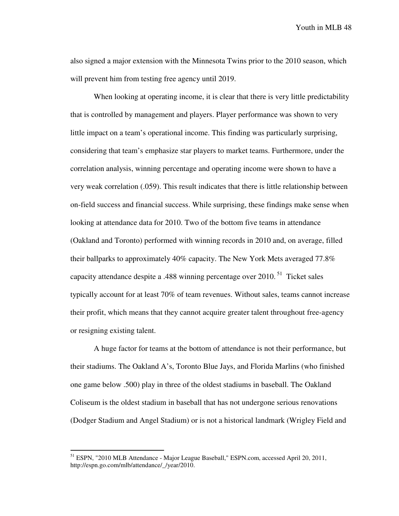also signed a major extension with the Minnesota Twins prior to the 2010 season, which will prevent him from testing free agency until 2019.

When looking at operating income, it is clear that there is very little predictability that is controlled by management and players. Player performance was shown to very little impact on a team's operational income. This finding was particularly surprising, considering that team's emphasize star players to market teams. Furthermore, under the correlation analysis, winning percentage and operating income were shown to have a very weak correlation (.059). This result indicates that there is little relationship between on-field success and financial success. While surprising, these findings make sense when looking at attendance data for 2010. Two of the bottom five teams in attendance (Oakland and Toronto) performed with winning records in 2010 and, on average, filled their ballparks to approximately 40% capacity. The New York Mets averaged 77.8% capacity attendance despite a .488 winning percentage over 2010.<sup>51</sup> Ticket sales typically account for at least 70% of team revenues. Without sales, teams cannot increase their profit, which means that they cannot acquire greater talent throughout free-agency or resigning existing talent.

A huge factor for teams at the bottom of attendance is not their performance, but their stadiums. The Oakland A's, Toronto Blue Jays, and Florida Marlins (who finished one game below .500) play in three of the oldest stadiums in baseball. The Oakland Coliseum is the oldest stadium in baseball that has not undergone serious renovations (Dodger Stadium and Angel Stadium) or is not a historical landmark (Wrigley Field and

<sup>&</sup>lt;sup>51</sup> ESPN, "2010 MLB Attendance - Major League Baseball," ESPN.com, accessed April 20, 2011, http://espn.go.com/mlb/attendance/\_/year/2010.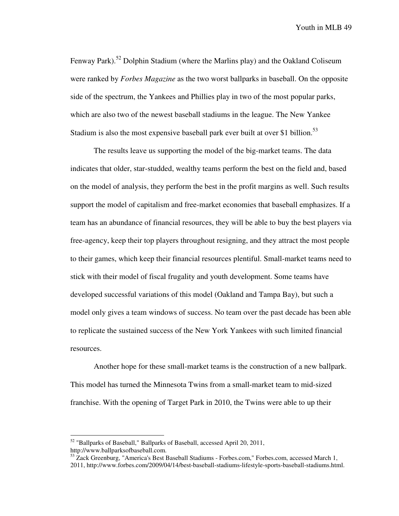Fenway Park).<sup>52</sup> Dolphin Stadium (where the Marlins play) and the Oakland Coliseum were ranked by *Forbes Magazine* as the two worst ballparks in baseball. On the opposite side of the spectrum, the Yankees and Phillies play in two of the most popular parks, which are also two of the newest baseball stadiums in the league. The New Yankee Stadium is also the most expensive baseball park ever built at over \$1 billion.<sup>53</sup>

The results leave us supporting the model of the big-market teams. The data indicates that older, star-studded, wealthy teams perform the best on the field and, based on the model of analysis, they perform the best in the profit margins as well. Such results support the model of capitalism and free-market economies that baseball emphasizes. If a team has an abundance of financial resources, they will be able to buy the best players via free-agency, keep their top players throughout resigning, and they attract the most people to their games, which keep their financial resources plentiful. Small-market teams need to stick with their model of fiscal frugality and youth development. Some teams have developed successful variations of this model (Oakland and Tampa Bay), but such a model only gives a team windows of success. No team over the past decade has been able to replicate the sustained success of the New York Yankees with such limited financial resources.

Another hope for these small-market teams is the construction of a new ballpark. This model has turned the Minnesota Twins from a small-market team to mid-sized franchise. With the opening of Target Park in 2010, the Twins were able to up their

<sup>52</sup> "Ballparks of Baseball," Ballparks of Baseball, accessed April 20, 2011, http://www.ballparksofbaseball.com.

<sup>&</sup>lt;sup>53</sup> Zack Greenburg, "America's Best Baseball Stadiums - Forbes.com," Forbes.com, accessed March 1, 2011, http://www.forbes.com/2009/04/14/best-baseball-stadiums-lifestyle-sports-baseball-stadiums.html.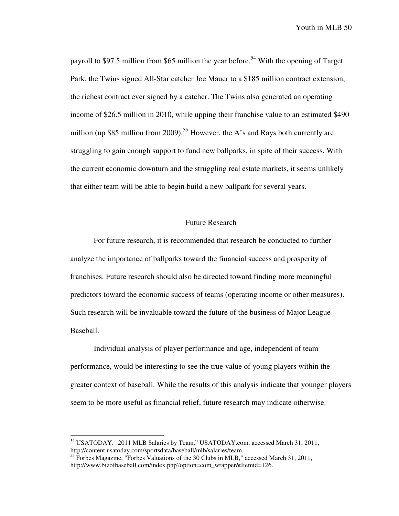payroll to \$97.5 million from \$65 million the year before.<sup>54</sup> With the opening of Target Park, the Twins signed All-Star catcher Joe Mauer to a \$185 million contract extension, the richest contract ever signed by a catcher. The Twins also generated an operating income of \$26.5 million in 2010, while upping their franchise value to an estimated \$490 million (up \$85 million from 2009).<sup>55</sup> However, the A's and Rays both currently are struggling to gain enough support to fund new ballparks, in spite of their success. With the current economic downturn and the struggling real estate markets, it seems unlikely that either team will be able to begin build a new ballpark for several years.

### Future Research

For future research, it is recommended that research be conducted to further analyze the importance of ballparks toward the financial success and prosperity of franchises. Future research should also be directed toward finding more meaningful predictors toward the economic success of teams (operating income or other measures). Such research will be invaluable toward the future of the business of Major League Baseball.

Individual analysis of player performance and age, independent of team performance, would be interesting to see the true value of young players within the greater context of baseball. While the results of this analysis indicate that younger players seem to be more useful as financial relief, future research may indicate otherwise.

<sup>54</sup> USATODAY. "2011 MLB Salaries by Team," USATODAY.com, accessed March 31, 2011, http://content.usatoday.com/sportsdata/baseball/mlb/salaries/team.

<sup>&</sup>lt;sup>55</sup> Forbes Magazine, "Forbes Valuations of the 30 Clubs in MLB," accessed March 31, 2011, http://www.bizofbaseball.com/index.php?option=com\_wrapper&Itemid=126.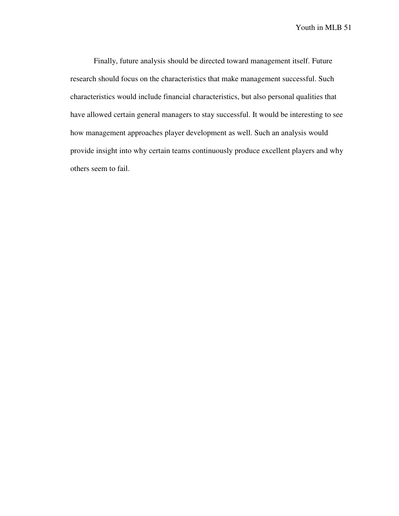Finally, future analysis should be directed toward management itself. Future research should focus on the characteristics that make management successful. Such characteristics would include financial characteristics, but also personal qualities that have allowed certain general managers to stay successful. It would be interesting to see how management approaches player development as well. Such an analysis would provide insight into why certain teams continuously produce excellent players and why others seem to fail.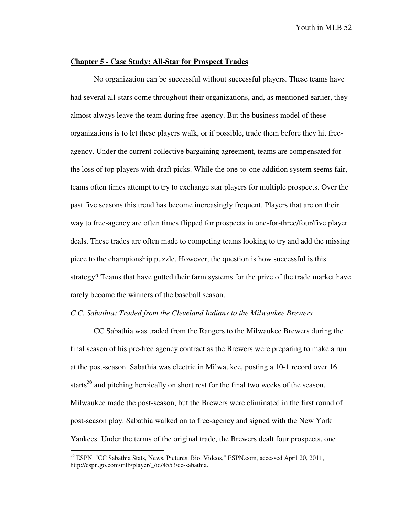#### **Chapter 5 - Case Study: All-Star for Prospect Trades**

No organization can be successful without successful players. These teams have had several all-stars come throughout their organizations, and, as mentioned earlier, they almost always leave the team during free-agency. But the business model of these organizations is to let these players walk, or if possible, trade them before they hit freeagency. Under the current collective bargaining agreement, teams are compensated for the loss of top players with draft picks. While the one-to-one addition system seems fair, teams often times attempt to try to exchange star players for multiple prospects. Over the past five seasons this trend has become increasingly frequent. Players that are on their way to free-agency are often times flipped for prospects in one-for-three/four/five player deals. These trades are often made to competing teams looking to try and add the missing piece to the championship puzzle. However, the question is how successful is this strategy? Teams that have gutted their farm systems for the prize of the trade market have rarely become the winners of the baseball season.

#### *C.C. Sabathia: Traded from the Cleveland Indians to the Milwaukee Brewers*

CC Sabathia was traded from the Rangers to the Milwaukee Brewers during the final season of his pre-free agency contract as the Brewers were preparing to make a run at the post-season. Sabathia was electric in Milwaukee, posting a 10-1 record over 16 starts<sup>56</sup> and pitching heroically on short rest for the final two weeks of the season. Milwaukee made the post-season, but the Brewers were eliminated in the first round of post-season play. Sabathia walked on to free-agency and signed with the New York Yankees. Under the terms of the original trade, the Brewers dealt four prospects, one

<u>.</u>

<sup>&</sup>lt;sup>56</sup> ESPN. "CC Sabathia Stats, News, Pictures, Bio, Videos," ESPN.com, accessed April 20, 2011, http://espn.go.com/mlb/player/\_/id/4553/cc-sabathia.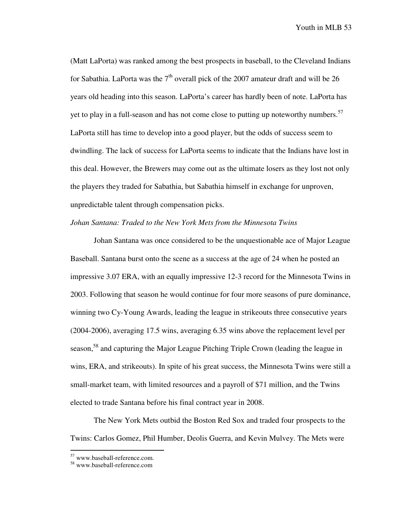(Matt LaPorta) was ranked among the best prospects in baseball, to the Cleveland Indians for Sabathia. LaPorta was the  $7<sup>th</sup>$  overall pick of the 2007 amateur draft and will be 26 years old heading into this season. LaPorta's career has hardly been of note. LaPorta has yet to play in a full-season and has not come close to putting up noteworthy numbers.<sup>57</sup> LaPorta still has time to develop into a good player, but the odds of success seem to dwindling. The lack of success for LaPorta seems to indicate that the Indians have lost in this deal. However, the Brewers may come out as the ultimate losers as they lost not only the players they traded for Sabathia, but Sabathia himself in exchange for unproven, unpredictable talent through compensation picks.

## *Johan Santana: Traded to the New York Mets from the Minnesota Twins*

 Johan Santana was once considered to be the unquestionable ace of Major League Baseball. Santana burst onto the scene as a success at the age of 24 when he posted an impressive 3.07 ERA, with an equally impressive 12-3 record for the Minnesota Twins in 2003. Following that season he would continue for four more seasons of pure dominance, winning two Cy-Young Awards, leading the league in strikeouts three consecutive years (2004-2006), averaging 17.5 wins, averaging 6.35 wins above the replacement level per season,<sup>58</sup> and capturing the Major League Pitching Triple Crown (leading the league in wins, ERA, and strikeouts). In spite of his great success, the Minnesota Twins were still a small-market team, with limited resources and a payroll of \$71 million, and the Twins elected to trade Santana before his final contract year in 2008.

 The New York Mets outbid the Boston Red Sox and traded four prospects to the Twins: Carlos Gomez, Phil Humber, Deolis Guerra, and Kevin Mulvey. The Mets were

<sup>&</sup>lt;sup>57</sup> www.baseball-reference.com.

<sup>58</sup> www.baseball-reference.com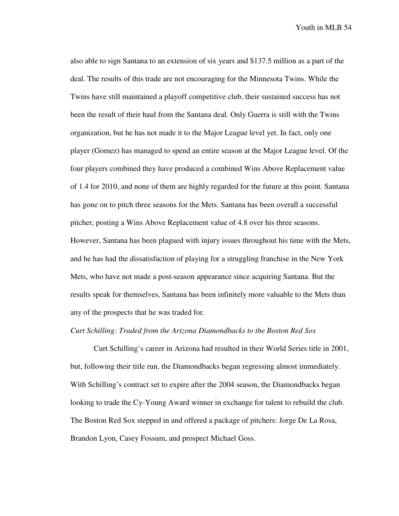also able to sign Santana to an extension of six years and \$137.5 million as a part of the deal. The results of this trade are not encouraging for the Minnesota Twins. While the Twins have still maintained a playoff competitive club, their sustained success has not been the result of their haul from the Santana deal. Only Guerra is still with the Twins organization, but he has not made it to the Major League level yet. In fact, only one player (Gomez) has managed to spend an entire season at the Major League level. Of the four players combined they have produced a combined Wins Above Replacement value of 1.4 for 2010, and none of them are highly regarded for the future at this point. Santana has gone on to pitch three seasons for the Mets. Santana has been overall a successful pitcher, posting a Wins Above Replacement value of 4.8 over his three seasons. However, Santana has been plagued with injury issues throughout his time with the Mets, and he has had the dissatisfaction of playing for a struggling franchise in the New York Mets, who have not made a post-season appearance since acquiring Santana. But the results speak for themselves, Santana has been infinitely more valuable to the Mets than any of the prospects that he was traded for.

### *Curt Schilling: Traded from the Arizona Diamondbacks to the Boston Red Sox*

 Curt Schilling's career in Arizona had resulted in their World Series title in 2001, but, following their title run, the Diamondbacks began regressing almost immediately. With Schilling's contract set to expire after the 2004 season, the Diamondbacks began looking to trade the Cy-Young Award winner in exchange for talent to rebuild the club. The Boston Red Sox stepped in and offered a package of pitchers: Jorge De La Rosa, Brandon Lyon, Casey Fossum, and prospect Michael Goss.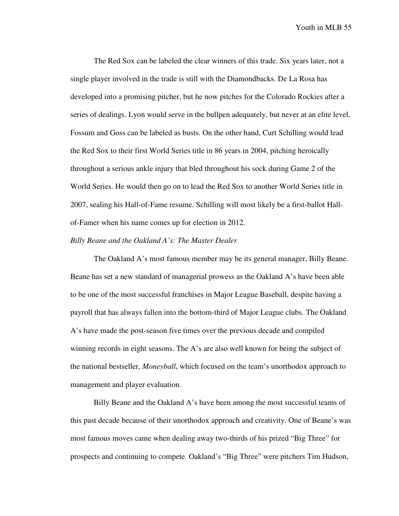The Red Sox can be labeled the clear winners of this trade. Six years later, not a single player involved in the trade is still with the Diamondbacks. De La Rosa has developed into a promising pitcher, but he now pitches for the Colorado Rockies after a series of dealings. Lyon would serve in the bullpen adequately, but never at an elite level. Fossum and Goss can be labeled as busts. On the other hand, Curt Schilling would lead the Red Sox to their first World Series title in 86 years in 2004, pitching heroically throughout a serious ankle injury that bled throughout his sock during Game 2 of the World Series. He would then go on to lead the Red Sox to another World Series title in 2007, sealing his Hall-of-Fame resume. Schilling will most likely be a first-ballot Hallof-Famer when his name comes up for election in 2012.

#### *Billy Beane and the Oakland A's: The Master Dealer*

The Oakland A's most famous member may be its general manager, Billy Beane. Beane has set a new standard of managerial prowess as the Oakland A's have been able to be one of the most successful franchises in Major League Baseball, despite having a payroll that has always fallen into the bottom-third of Major League clubs. The Oakland A's have made the post-season five times over the previous decade and compiled winning records in eight seasons. The A's are also well known for being the subject of the national bestseller, *Moneyball*, which focused on the team's unorthodox approach to management and player evaluation.

Billy Beane and the Oakland A's have been among the most successful teams of this past decade because of their unorthodox approach and creativity. One of Beane's was most famous moves came when dealing away two-thirds of his prized "Big Three" for prospects and continuing to compete. Oakland's "Big Three" were pitchers Tim Hudson,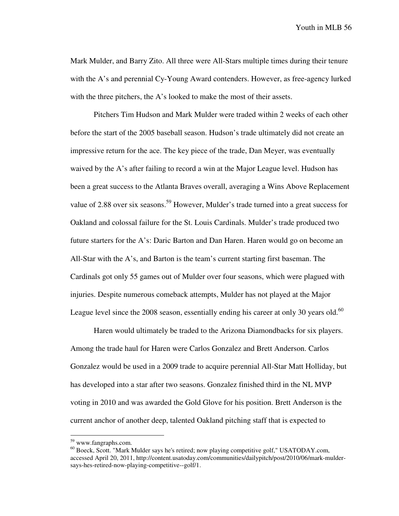Mark Mulder, and Barry Zito. All three were All-Stars multiple times during their tenure with the A's and perennial Cy-Young Award contenders. However, as free-agency lurked with the three pitchers, the A's looked to make the most of their assets.

Pitchers Tim Hudson and Mark Mulder were traded within 2 weeks of each other before the start of the 2005 baseball season. Hudson's trade ultimately did not create an impressive return for the ace. The key piece of the trade, Dan Meyer, was eventually waived by the A's after failing to record a win at the Major League level. Hudson has been a great success to the Atlanta Braves overall, averaging a Wins Above Replacement value of 2.88 over six seasons.<sup>59</sup> However, Mulder's trade turned into a great success for Oakland and colossal failure for the St. Louis Cardinals. Mulder's trade produced two future starters for the A's: Daric Barton and Dan Haren. Haren would go on become an All-Star with the A's, and Barton is the team's current starting first baseman. The Cardinals got only 55 games out of Mulder over four seasons, which were plagued with injuries. Despite numerous comeback attempts, Mulder has not played at the Major League level since the 2008 season, essentially ending his career at only 30 years old. $^{60}$ 

Haren would ultimately be traded to the Arizona Diamondbacks for six players. Among the trade haul for Haren were Carlos Gonzalez and Brett Anderson. Carlos Gonzalez would be used in a 2009 trade to acquire perennial All-Star Matt Holliday, but has developed into a star after two seasons. Gonzalez finished third in the NL MVP voting in 2010 and was awarded the Gold Glove for his position. Brett Anderson is the current anchor of another deep, talented Oakland pitching staff that is expected to

<sup>59</sup> www.fangraphs.com.

<sup>60</sup> Boeck, Scott. "Mark Mulder says he's retired; now playing competitive golf," USATODAY.com, accessed April 20, 2011, http://content.usatoday.com/communities/dailypitch/post/2010/06/mark-muldersays-hes-retired-now-playing-competitive--golf/1.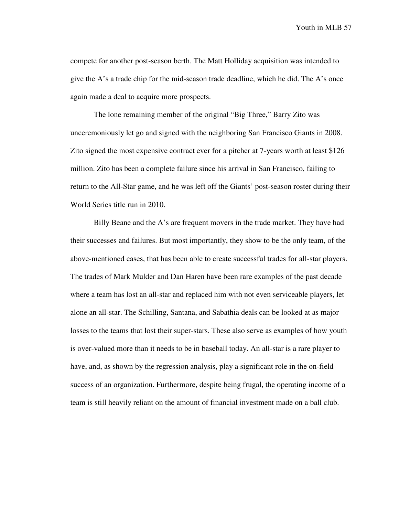compete for another post-season berth. The Matt Holliday acquisition was intended to give the A's a trade chip for the mid-season trade deadline, which he did. The A's once again made a deal to acquire more prospects.

 The lone remaining member of the original "Big Three," Barry Zito was unceremoniously let go and signed with the neighboring San Francisco Giants in 2008. Zito signed the most expensive contract ever for a pitcher at 7-years worth at least \$126 million. Zito has been a complete failure since his arrival in San Francisco, failing to return to the All-Star game, and he was left off the Giants' post-season roster during their World Series title run in 2010.

 Billy Beane and the A's are frequent movers in the trade market. They have had their successes and failures. But most importantly, they show to be the only team, of the above-mentioned cases, that has been able to create successful trades for all-star players. The trades of Mark Mulder and Dan Haren have been rare examples of the past decade where a team has lost an all-star and replaced him with not even serviceable players, let alone an all-star. The Schilling, Santana, and Sabathia deals can be looked at as major losses to the teams that lost their super-stars. These also serve as examples of how youth is over-valued more than it needs to be in baseball today. An all-star is a rare player to have, and, as shown by the regression analysis, play a significant role in the on-field success of an organization. Furthermore, despite being frugal, the operating income of a team is still heavily reliant on the amount of financial investment made on a ball club.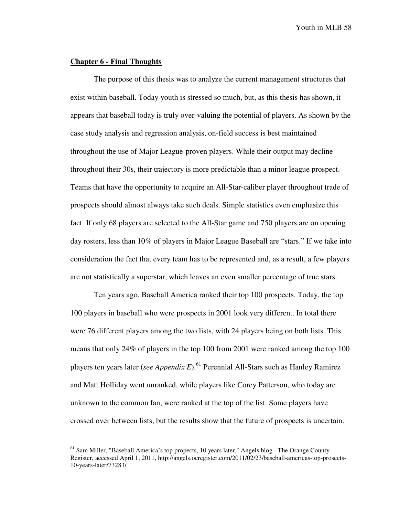### **Chapter 6 - Final Thoughts**

 $\overline{a}$ 

 The purpose of this thesis was to analyze the current management structures that exist within baseball. Today youth is stressed so much, but, as this thesis has shown, it appears that baseball today is truly over-valuing the potential of players. As shown by the case study analysis and regression analysis, on-field success is best maintained throughout the use of Major League-proven players. While their output may decline throughout their 30s, their trajectory is more predictable than a minor league prospect. Teams that have the opportunity to acquire an All-Star-caliber player throughout trade of prospects should almost always take such deals. Simple statistics even emphasize this fact. If only 68 players are selected to the All-Star game and 750 players are on opening day rosters, less than 10% of players in Major League Baseball are "stars." If we take into consideration the fact that every team has to be represented and, as a result, a few players are not statistically a superstar, which leaves an even smaller percentage of true stars.

Ten years ago, Baseball America ranked their top 100 prospects. Today, the top 100 players in baseball who were prospects in 2001 look very different. In total there were 76 different players among the two lists, with 24 players being on both lists. This means that only 24% of players in the top 100 from 2001 were ranked among the top 100 players ten years later (*see Appendix E*).<sup>61</sup> Perennial All-Stars such as Hanley Ramirez and Matt Holliday went unranked, while players like Corey Patterson, who today are unknown to the common fan, were ranked at the top of the list. Some players have crossed over between lists, but the results show that the future of prospects is uncertain.

 $<sup>61</sup>$  Sam Miller, "Baseball America's top propects, 10 years later," Angels blog - The Orange County</sup> Register, accessed April 1, 2011, http://angels.ocregister.com/2011/02/23/baseball-americas-top-prosects-10-years-later/73283/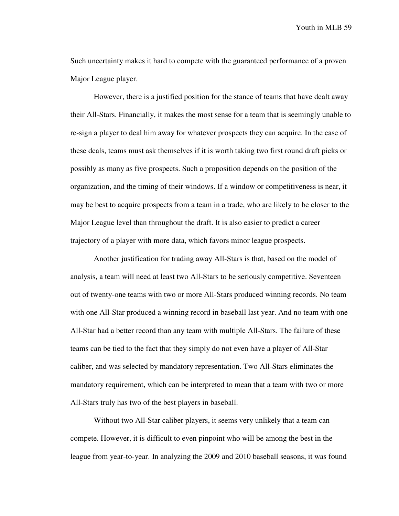Such uncertainty makes it hard to compete with the guaranteed performance of a proven Major League player.

However, there is a justified position for the stance of teams that have dealt away their All-Stars. Financially, it makes the most sense for a team that is seemingly unable to re-sign a player to deal him away for whatever prospects they can acquire. In the case of these deals, teams must ask themselves if it is worth taking two first round draft picks or possibly as many as five prospects. Such a proposition depends on the position of the organization, and the timing of their windows. If a window or competitiveness is near, it may be best to acquire prospects from a team in a trade, who are likely to be closer to the Major League level than throughout the draft. It is also easier to predict a career trajectory of a player with more data, which favors minor league prospects.

Another justification for trading away All-Stars is that, based on the model of analysis, a team will need at least two All-Stars to be seriously competitive. Seventeen out of twenty-one teams with two or more All-Stars produced winning records. No team with one All-Star produced a winning record in baseball last year. And no team with one All-Star had a better record than any team with multiple All-Stars. The failure of these teams can be tied to the fact that they simply do not even have a player of All-Star caliber, and was selected by mandatory representation. Two All-Stars eliminates the mandatory requirement, which can be interpreted to mean that a team with two or more All-Stars truly has two of the best players in baseball.

Without two All-Star caliber players, it seems very unlikely that a team can compete. However, it is difficult to even pinpoint who will be among the best in the league from year-to-year. In analyzing the 2009 and 2010 baseball seasons, it was found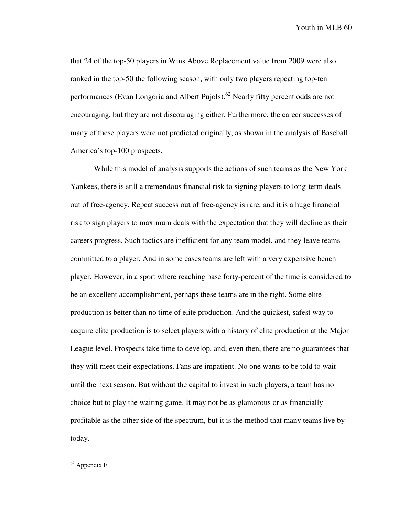that 24 of the top-50 players in Wins Above Replacement value from 2009 were also ranked in the top-50 the following season, with only two players repeating top-ten performances (Evan Longoria and Albert Pujols).<sup>62</sup> Nearly fifty percent odds are not encouraging, but they are not discouraging either. Furthermore, the career successes of many of these players were not predicted originally, as shown in the analysis of Baseball America's top-100 prospects.

While this model of analysis supports the actions of such teams as the New York Yankees, there is still a tremendous financial risk to signing players to long-term deals out of free-agency. Repeat success out of free-agency is rare, and it is a huge financial risk to sign players to maximum deals with the expectation that they will decline as their careers progress. Such tactics are inefficient for any team model, and they leave teams committed to a player. And in some cases teams are left with a very expensive bench player. However, in a sport where reaching base forty-percent of the time is considered to be an excellent accomplishment, perhaps these teams are in the right. Some elite production is better than no time of elite production. And the quickest, safest way to acquire elite production is to select players with a history of elite production at the Major League level. Prospects take time to develop, and, even then, there are no guarantees that they will meet their expectations. Fans are impatient. No one wants to be told to wait until the next season. But without the capital to invest in such players, a team has no choice but to play the waiting game. It may not be as glamorous or as financially profitable as the other side of the spectrum, but it is the method that many teams live by today.

 $62$  Appendix F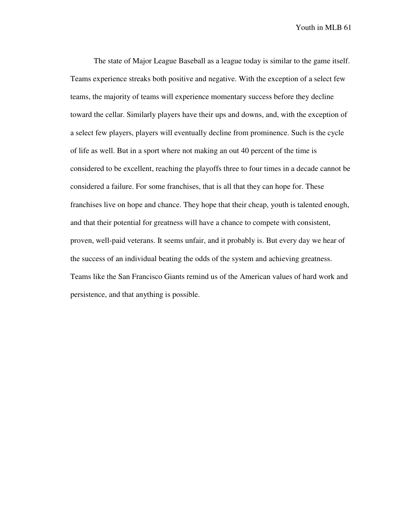The state of Major League Baseball as a league today is similar to the game itself. Teams experience streaks both positive and negative. With the exception of a select few teams, the majority of teams will experience momentary success before they decline toward the cellar. Similarly players have their ups and downs, and, with the exception of a select few players, players will eventually decline from prominence. Such is the cycle of life as well. But in a sport where not making an out 40 percent of the time is considered to be excellent, reaching the playoffs three to four times in a decade cannot be considered a failure. For some franchises, that is all that they can hope for. These franchises live on hope and chance. They hope that their cheap, youth is talented enough, and that their potential for greatness will have a chance to compete with consistent, proven, well-paid veterans. It seems unfair, and it probably is. But every day we hear of the success of an individual beating the odds of the system and achieving greatness. Teams like the San Francisco Giants remind us of the American values of hard work and persistence, and that anything is possible.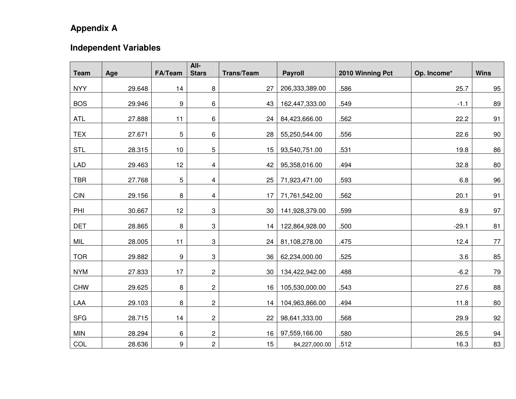## **Appendix A**

## **Independent Variables**

|             |        |            | All-           |                   |                |                  |             |             |
|-------------|--------|------------|----------------|-------------------|----------------|------------------|-------------|-------------|
| <b>Team</b> | Age    | FA/Team    | <b>Stars</b>   | <b>Trans/Team</b> | <b>Payroll</b> | 2010 Winning Pct | Op. Income* | <b>Wins</b> |
| <b>NYY</b>  | 29.648 | 14         | 8              | 27                | 206,333,389.00 | .586             | 25.7        | 95          |
| <b>BOS</b>  | 29.946 | 9          | 6              | 43                | 162,447,333.00 | .549             | $-1.1$      | 89          |
| <b>ATL</b>  | 27.888 | 11         | 6              | 24                | 84,423,666.00  | .562             | 22.2        | 91          |
| <b>TEX</b>  | 27.671 | $\sqrt{5}$ | 6              | 28                | 55,250,544.00  | .556             | 22.6        | $90\,$      |
| <b>STL</b>  | 28.315 | 10         | 5              | 15                | 93,540,751.00  | .531             | 19.8        | 86          |
| <b>LAD</b>  | 29.463 | 12         | 4              | 42                | 95,358,016.00  | .494             | 32.8        | 80          |
| <b>TBR</b>  | 27.768 | 5          | 4              | 25                | 71,923,471.00  | .593             | 6.8         | 96          |
| CIN         | 29.156 | 8          | 4              | 17                | 71,761,542.00  | .562             | 20.1        | 91          |
| PHI         | 30.667 | 12         | 3              | 30                | 141,928,379.00 | .599             | 8.9         | 97          |
| <b>DET</b>  | 28.865 | 8          | 3              | 14                | 122,864,928.00 | .500             | $-29.1$     | 81          |
| MIL         | 28.005 | 11         | 3              | 24                | 81,108,278.00  | .475             | 12.4        | 77          |
| <b>TOR</b>  | 29.882 | 9          | 3              | 36                | 62,234,000.00  | .525             | 3.6         | 85          |
| <b>NYM</b>  | 27.833 | 17         | $\overline{c}$ | 30                | 134,422,942.00 | .488             | $-6.2$      | 79          |
| <b>CHW</b>  | 29.625 | 8          | $\overline{c}$ | 16                | 105,530,000.00 | .543             | 27.6        | 88          |
| LAA         | 29.103 | 8          | 2              | 14                | 104,963,866.00 | .494             | 11.8        | 80          |
| <b>SFG</b>  | 28.715 | 14         | $\overline{c}$ | 22                | 98,641,333.00  | .568             | 29.9        | 92          |
| <b>MIN</b>  | 28.294 | 6          | $\overline{c}$ | 16                | 97,559,166.00  | .580             | 26.5        | 94          |
| COL         | 28.636 | 9          | $\overline{2}$ | 15                | 84,227,000.00  | .512             | 16.3        | 83          |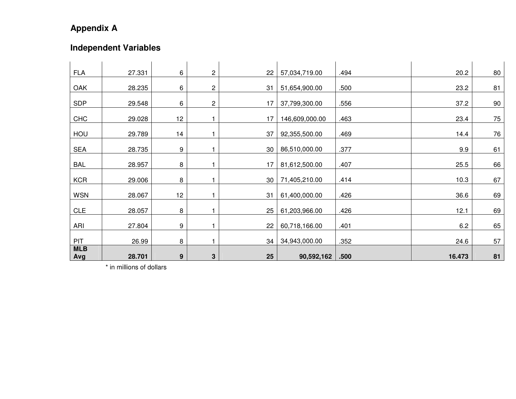# **Appendix A**

# **Independent Variables**

| <b>FLA</b>        | 27.331 | 6                | $\overline{c}$ | 22 | 57,034,719.00  | .494 | 20.2   | 80     |
|-------------------|--------|------------------|----------------|----|----------------|------|--------|--------|
| OAK               | 28.235 | 6                | $\overline{c}$ | 31 | 51,654,900.00  | .500 | 23.2   | 81     |
| <b>SDP</b>        | 29.548 | 6                | $\sqrt{2}$     | 17 | 37,799,300.00  | .556 | 37.2   | 90     |
| <b>CHC</b>        | 29.028 | 12               |                | 17 | 146,609,000.00 | .463 | 23.4   | $75\,$ |
| HOU               | 29.789 | 14               |                | 37 | 92,355,500.00  | .469 | 14.4   | 76     |
| <b>SEA</b>        | 28.735 | 9                |                | 30 | 86,510,000.00  | .377 | 9.9    | 61     |
| <b>BAL</b>        | 28.957 | 8                |                | 17 | 81,612,500.00  | .407 | 25.5   | 66     |
| <b>KCR</b>        | 29.006 | 8                |                | 30 | 71,405,210.00  | .414 | 10.3   | 67     |
| <b>WSN</b>        | 28.067 | 12               |                | 31 | 61,400,000.00  | .426 | 36.6   | 69     |
| <b>CLE</b>        | 28.057 | 8                |                | 25 | 61,203,966.00  | .426 | 12.1   | 69     |
| ARI               | 27.804 | 9                |                | 22 | 60,718,166.00  | .401 | 6.2    | 65     |
| <b>PIT</b>        | 26.99  | 8                |                | 34 | 34,943,000.00  | .352 | 24.6   | 57     |
| <b>MLB</b><br>Avg | 28.701 | $\boldsymbol{9}$ | 3              | 25 | 90,592,162     | .500 | 16.473 | 81     |

\* in millions of dollars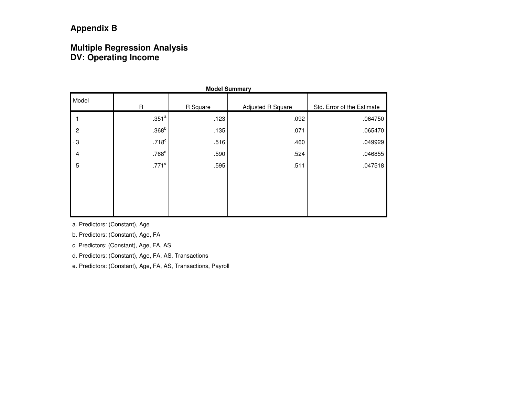# **Multiple Regression Analysis DV: Operating Income**

| <b>Model Summary</b> |                   |          |                   |                            |  |  |  |  |
|----------------------|-------------------|----------|-------------------|----------------------------|--|--|--|--|
| Model                | $\mathsf R$       | R Square | Adjusted R Square | Std. Error of the Estimate |  |  |  |  |
|                      | .351 <sup>a</sup> | .123     | .092              | .064750                    |  |  |  |  |
| $\overline{c}$       | .368 <sup>b</sup> | .135     | .071              | .065470                    |  |  |  |  |
| 3                    | .718 <sup>c</sup> | .516     | .460              | .049929                    |  |  |  |  |
| 4                    | .768 <sup>d</sup> | .590     | .524              | .046855                    |  |  |  |  |
| $\overline{5}$       | $.771^e$          | .595     | .511              | .047518                    |  |  |  |  |
|                      |                   |          |                   |                            |  |  |  |  |
|                      |                   |          |                   |                            |  |  |  |  |
|                      |                   |          |                   |                            |  |  |  |  |
|                      |                   |          |                   |                            |  |  |  |  |

a. Predictors: (Constant), Age

b. Predictors: (Constant), Age, FA

c. Predictors: (Constant), Age, FA, AS

d. Predictors: (Constant), Age, FA, AS, Transactions

e. Predictors: (Constant), Age, FA, AS, Transactions, Payroll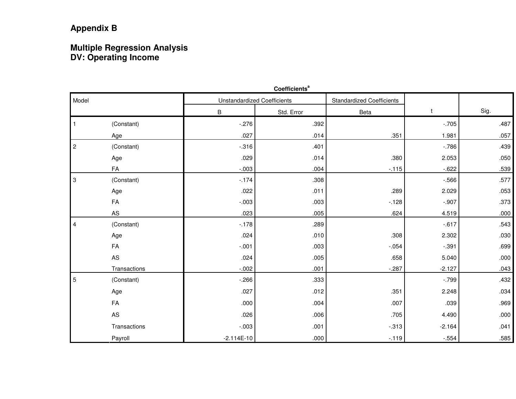# **Multiple Regression Analysis DV: Operating Income**

|                           |               |              | Coefficients <sup>a</sup>          |                                  |          |      |
|---------------------------|---------------|--------------|------------------------------------|----------------------------------|----------|------|
| Model                     |               |              | <b>Unstandardized Coefficients</b> | <b>Standardized Coefficients</b> |          |      |
|                           |               | B            | Std. Error                         | Beta                             | t        | Sig. |
|                           | (Constant)    | $-276$       | .392                               |                                  | $-.705$  | .487 |
|                           | Age           | .027         | .014                               | .351                             | 1.981    | .057 |
| $\sqrt{2}$                | (Constant)    | $-0.316$     | .401                               |                                  | $-786$   | .439 |
|                           | Age           | .029         | .014                               | .380                             | 2.053    | .050 |
|                           | FA            | $-.003$      | .004                               | $-115$                           | $-622$   | .539 |
| $\ensuremath{\mathsf{3}}$ | (Constant)    | $-174$       | .308                               |                                  | $-566$   | .577 |
|                           | Age           | .022         | .011                               | .289                             | 2.029    | .053 |
|                           | FA            | $-0.003$     | .003                               | $-128$                           | $-.907$  | .373 |
|                           | $\mathsf{AS}$ | .023         | .005                               | .624                             | 4.519    | .000 |
| $\overline{4}$            | (Constant)    | $-178$       | .289                               |                                  | $-617$   | .543 |
|                           | Age           | .024         | .010                               | .308                             | 2.302    | .030 |
|                           | FA            | $-.001$      | .003                               | $-.054$                          | $-0.391$ | .699 |
|                           | AS            | .024         | .005                               | .658                             | 5.040    | .000 |
|                           | Transactions  | $-.002$      | .001                               | $-0.287$                         | $-2.127$ | .043 |
| $\overline{5}$            | (Constant)    | $-266$       | .333                               |                                  | $-.799$  | .432 |
|                           | Age           | .027         | .012                               | .351                             | 2.248    | .034 |
|                           | FA            | .000         | .004                               | .007                             | .039     | .969 |
|                           | AS            | .026         | .006                               | .705                             | 4.490    | .000 |
|                           | Transactions  | $-.003$      | .001                               | $-.313$                          | $-2.164$ | .041 |
|                           | Payroll       | $-2.114E-10$ | .000                               | $-119$                           | $-0.554$ | .585 |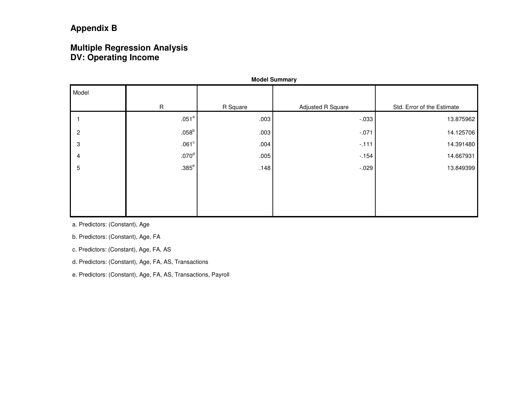## **Multiple Regression Analysis DV: Operating Income**

| <b>Model Summary</b> |                   |          |                   |                            |  |  |  |  |  |
|----------------------|-------------------|----------|-------------------|----------------------------|--|--|--|--|--|
| Model                |                   |          |                   |                            |  |  |  |  |  |
|                      | $\mathsf R$       | R Square | Adjusted R Square | Std. Error of the Estimate |  |  |  |  |  |
|                      | .051 <sup>a</sup> | .003     | $-0.033$          | 13.875962                  |  |  |  |  |  |
| $\overline{2}$       | $.058^{\rm b}$    | .003     | $-.071$           | 14.125706                  |  |  |  |  |  |
| 3                    | .061 <sup>c</sup> | .004     | $-111$            | 14.391480                  |  |  |  |  |  |
| 4                    | .070 <sup>d</sup> | .005     | $-154$            | 14.667931                  |  |  |  |  |  |
| $\mathbf 5$          | $.385^{\circ}$    | .148     | $-0.29$           | 13.849399                  |  |  |  |  |  |
|                      |                   |          |                   |                            |  |  |  |  |  |
|                      |                   |          |                   |                            |  |  |  |  |  |
|                      |                   |          |                   |                            |  |  |  |  |  |
|                      |                   |          |                   |                            |  |  |  |  |  |

a. Predictors: (Constant), Age

b. Predictors: (Constant), Age, FA

c. Predictors: (Constant), Age, FA, AS

d. Predictors: (Constant), Age, FA, AS, Transactions

e. Predictors: (Constant), Age, FA, AS, Transactions, Payroll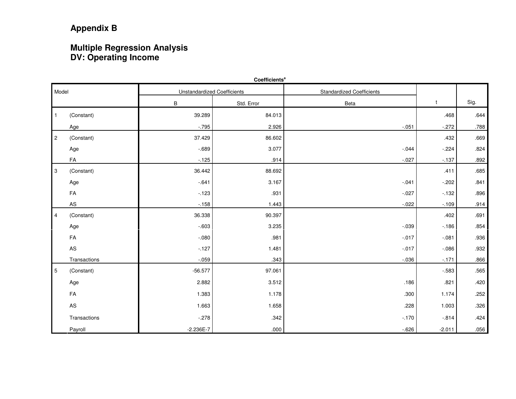# **Multiple Regression Analysis DV: Operating Income**

| Coefficients <sup>a</sup> |              |                                    |            |                                  |          |      |  |  |  |
|---------------------------|--------------|------------------------------------|------------|----------------------------------|----------|------|--|--|--|
| Model                     |              | <b>Unstandardized Coefficients</b> |            | <b>Standardized Coefficients</b> |          |      |  |  |  |
|                           |              | B                                  | Std. Error | Beta                             | t        | Sig. |  |  |  |
| $\mathbf{1}$              | (Constant)   | 39.289                             | 84.013     |                                  | .468     | .644 |  |  |  |
|                           | Age          | $-795$                             | 2.926      | $-.051$                          | $-.272$  | .788 |  |  |  |
| $\overline{2}$            | (Constant)   | 37.429                             | 86.602     |                                  | .432     | .669 |  |  |  |
|                           | Age          | $-689$                             | 3.077      | $-0.044$                         | $-.224$  | .824 |  |  |  |
|                           | FA           | $-.125$                            | .914       | $-.027$                          | $-137$   | .892 |  |  |  |
| 3                         | (Constant)   | 36.442                             | 88.692     |                                  | .411     | .685 |  |  |  |
|                           | Age          | $-641$                             | 3.167      | $-.041$                          | $-0.202$ | .841 |  |  |  |
|                           | FA           | $-123$                             | .931       | $-.027$                          | $-132$   | .896 |  |  |  |
|                           | ${\sf AS}$   | $-158$                             | 1.443      | $-0.022$                         | $-109$   | .914 |  |  |  |
| $\overline{4}$            | (Constant)   | 36.338                             | 90.397     |                                  | .402     | .691 |  |  |  |
|                           | Age          | $-603$                             | 3.235      | $-0.039$                         | $-186$   | .854 |  |  |  |
|                           | FA           | $-080$                             | .981       | $-.017$                          | $-.081$  | .936 |  |  |  |
|                           | ${\sf AS}$   | $-127$                             | 1.481      | $-0.017$                         | $-0.086$ | .932 |  |  |  |
|                           | Transactions | $-0.059$                           | .343       | $-0.036$                         | $-171$   | .866 |  |  |  |
| $\,$ 5 $\,$               | (Constant)   | $-56.577$                          | 97.061     |                                  | $-583$   | .565 |  |  |  |
|                           | Age          | 2.882                              | 3.512      | .186                             | .821     | .420 |  |  |  |
|                           | FA           | 1.383                              | 1.178      | .300                             | 1.174    | .252 |  |  |  |
|                           | AS           | 1.663                              | 1.658      | .228                             | 1.003    | .326 |  |  |  |
|                           | Transactions | $-.278$                            | .342       | $-170$                           | $-0.814$ | .424 |  |  |  |
|                           | Payroll      | $-2.236E - 7$                      | .000       | $-626$                           | $-2.011$ | .056 |  |  |  |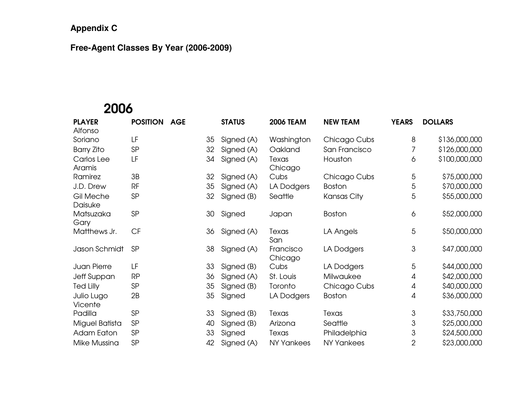#### **Free-Agent Classes By Year (2006-2009)**

# 2006

| <b>PLAYER</b>         | <b>POSITION</b> | <b>AGE</b> |    | <b>STATUS</b> | <b>2006 TEAM</b>     | <b>NEW TEAM</b> | <b>YEARS</b>   | <b>DOLLARS</b> |
|-----------------------|-----------------|------------|----|---------------|----------------------|-----------------|----------------|----------------|
| Alfonso               | LF              |            |    |               |                      |                 |                | \$136,000,000  |
| Soriano               |                 |            | 35 | Signed (A)    | Washington           | Chicago Cubs    | 8              |                |
| <b>Barry Zito</b>     | SP              |            | 32 | Signed (A)    | Oakland              | San Francisco   | 7              | \$126,000,000  |
| Carlos Lee<br>Aramis  | LF              |            | 34 | Signed (A)    | Texas<br>Chicago     | Houston         | 6              | \$100,000,000  |
| Ramirez               | 3B              |            | 32 | Signed (A)    | Cubs                 | Chicago Cubs    | 5              | \$75,000,000   |
| J.D. Drew             | <b>RF</b>       |            | 35 | Signed (A)    | LA Dodgers           | <b>Boston</b>   | 5              | \$70,000,000   |
| Gil Meche<br>Daisuke  | SP              |            | 32 | Signed (B)    | Seattle              | Kansas City     | 5              | \$55,000,000   |
| Matsuzaka<br>Gary     | SP              |            | 30 | Signed        | Japan                | Boston          | 6              | \$52,000,000   |
| Matthews Jr.          | CF              |            | 36 | Signed (A)    | Texas<br>San         | LA Angels       | 5              | \$50,000,000   |
| Jason Schmidt         | <b>SP</b>       |            | 38 | Signed (A)    | Francisco<br>Chicago | LA Dodgers      | 3              | \$47,000,000   |
| <b>Juan Pierre</b>    | LF              |            | 33 | Signed (B)    | Cubs                 | LA Dodgers      | 5              | \$44,000,000   |
| Jeff Suppan           | <b>RP</b>       |            | 36 | Signed (A)    | St. Louis            | Milwaukee       | 4              | \$42,000,000   |
| <b>Ted Lilly</b>      | SP              |            | 35 | Signed (B)    | Toronto              | Chicago Cubs    | 4              | \$40,000,000   |
| Julio Lugo<br>Vicente | 2B              |            | 35 | Signed        | LA Dodgers           | <b>Boston</b>   | 4              | \$36,000,000   |
| Padilla               | <b>SP</b>       |            | 33 | Signed (B)    | Texas                | Texas           | 3              | \$33,750,000   |
| Miguel Batista        | SP              |            | 40 | Signed (B)    | Arizona              | Seattle         | 3              | \$25,000,000   |
| <b>Adam Eaton</b>     | SP              |            | 33 | Signed        | Texas                | Philadelphia    | 3              | \$24,500,000   |
| Mike Mussina          | SP              |            | 42 | Signed (A)    | NY Yankees           | NY Yankees      | $\overline{2}$ | \$23,000,000   |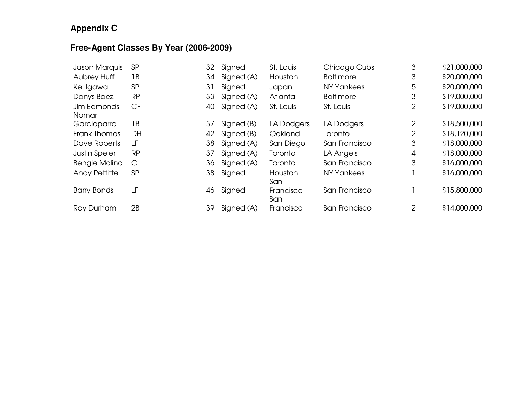#### **Free-Agent Classes By Year (2006-2009)**

| Jason Marquis        | <b>SP</b>    | 32 | Signed     | St. Louis        | Chicago Cubs      | 3              | \$21,000,000 |
|----------------------|--------------|----|------------|------------------|-------------------|----------------|--------------|
| <b>Aubrey Huff</b>   | 1В           | 34 | Signed (A) | Houston          | <b>Baltimore</b>  | 3              | \$20,000,000 |
| Kei Igawa            | SP           | 31 | Signed     | Japan            | <b>NY Yankees</b> | 5              | \$20,000,000 |
| Danys Baez           | <b>RP</b>    | 33 | Signed (A) | Atlanta          | <b>Baltimore</b>  | 3              | \$19,000,000 |
| Jim Edmonds<br>Nomar | <b>CF</b>    | 40 | Signed (A) | St. Louis        | St. Louis         | 2              | \$19,000,000 |
| Garciaparra          | 1В           | 37 | Signed (B) | LA Dodgers       | LA Dodgers        | 2              | \$18,500,000 |
| Frank Thomas         | DH           | 42 | Signed (B) | Oakland          | Toronto           | $\overline{2}$ | \$18,120,000 |
| Dave Roberts         | LF           | 38 | Signed (A) | San Diego        | San Francisco     | 3              | \$18,000,000 |
| <b>Justin Speier</b> | <b>RP</b>    | 37 | Signed (A) | Toronto          | LA Angels         | 4              | \$18,000,000 |
| Bengie Molina        | $\mathsf{C}$ | 36 | Signed (A) | Toronto          | San Francisco     | 3              | \$16,000,000 |
| <b>Andy Pettitte</b> | <b>SP</b>    | 38 | Signed     | Houston<br>San   | <b>NY Yankees</b> |                | \$16,000,000 |
| <b>Barry Bonds</b>   | LF           | 46 | Signed     | Francisco<br>San | San Francisco     |                | \$15,800,000 |
| Ray Durham           | 2B           | 39 | Signed (A) | Francisco        | San Francisco     | $\overline{2}$ | \$14,000,000 |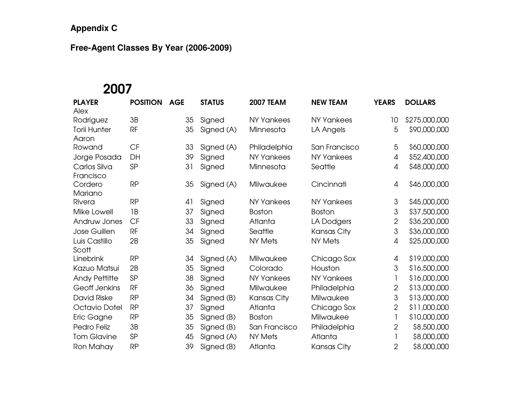#### **Free-Agent Classes By Year (2006-2009)**

# 2007

| <b>PLAYER</b>                | <b>POSITION</b> | <b>AGE</b> | <b>STATUS</b> | <b>2007 TEAM</b>  | <b>NEW TEAM</b>   | <b>YEARS</b>   | <b>DOLLARS</b> |
|------------------------------|-----------------|------------|---------------|-------------------|-------------------|----------------|----------------|
| Alex<br>Rodriguez            | 3B              | 35         | Signed        | <b>NY Yankees</b> | <b>NY Yankees</b> | 10             | \$275,000,000  |
|                              |                 |            |               |                   |                   |                |                |
| <b>Torii Hunter</b><br>Aaron | RF              | 35         | Signed (A)    | Minnesota         | LA Angels         | 5              | \$90,000,000   |
| Rowand                       | CF              | 33         | Signed (A)    | Philadelphia      | San Francisco     | 5              | \$60,000,000   |
| Jorge Posada                 | DH              | 39         | Signed        | <b>NY Yankees</b> | <b>NY Yankees</b> | 4              | \$52,400,000   |
| Carlos Silva<br>Francisco    | SP              | 31         | Signed        | Minnesota         | Seattle           | 4              | \$48,000,000   |
| Cordero<br>Mariano           | <b>RP</b>       | 35         | Signed (A)    | Milwaukee         | Cincinnati        | $\overline{A}$ | \$46,000,000   |
| Rivera                       | <b>RP</b>       | 41         | Signed        | <b>NY Yankees</b> | <b>NY Yankees</b> | 3              | \$45,000,000   |
| Mike Lowell                  | 1B              | 37         | Signed        | <b>Boston</b>     | <b>Boston</b>     | 3              | \$37,500,000   |
| Andruw Jones                 | <b>CF</b>       | 33         | Signed        | Atlanta           | LA Dodgers        | $\overline{2}$ | \$36,200,000   |
| Jose Guillen                 | <b>RF</b>       | 34         | Signed        | Seattle           | Kansas City       | 3              | \$36,000,000   |
| Luis Castillo<br>Scott       | 2B              | 35         | Signed        | <b>NY Mets</b>    | <b>NY Mets</b>    | 4              | \$25,000,000   |
| Linebrink                    | <b>RP</b>       | 34         | Signed (A)    | Milwaukee         | Chicago Sox       | $\overline{4}$ | \$19,000,000   |
| Kazuo Matsui                 | 2B              | 35         | Signed        | Colorado          | Houston           | 3              | \$16,500,000   |
| <b>Andy Pettitte</b>         | SP              | 38         | Signed        | <b>NY Yankees</b> | <b>NY Yankees</b> |                | \$16,000,000   |
| Geoff Jenkins                | <b>RF</b>       | 36         | Signed        | Milwaukee         | Philadelphia      | $\overline{2}$ | \$13,000,000   |
| <b>David Riske</b>           | <b>RP</b>       | 34         | Signed (B)    | Kansas City       | Milwaukee         | 3              | \$13,000,000   |
| Octavio Dotel                | <b>RP</b>       | 37         | Signed        | Atlanta           | Chicago Sox       | $\mathbf{2}$   | \$11,000,000   |
| Eric Gagne                   | <b>RP</b>       | 35         | Signed (B)    | <b>Boston</b>     | Milwaukee         |                | \$10,000,000   |
| Pedro Feliz                  | 3B              | 35         | Signed (B)    | San Francisco     | Philadelphia      | $\overline{2}$ | \$8,500,000    |
| <b>Tom Glavine</b>           | SP              | 45         | Signed (A)    | <b>NY Mets</b>    | Atlanta           |                | \$8,000,000    |
| Ron Mahay                    | <b>RP</b>       | 39         | Signed (B)    | Atlanta           | Kansas City       | $\overline{2}$ | \$8,000,000    |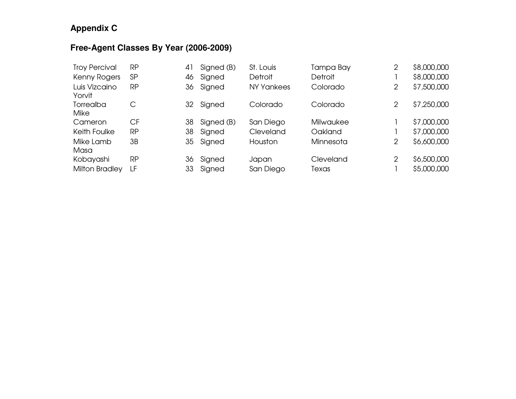#### **Free-Agent Classes By Year (2006-2009)**

| <b>Troy Percival</b>     | RP        | 41 | Signed (B) | St. Louis         | Tampa Bay      | 2              | \$8,000,000 |
|--------------------------|-----------|----|------------|-------------------|----------------|----------------|-------------|
| Kenny Rogers             | <b>SP</b> | 46 | Signed     | <b>Detroit</b>    | <b>Detroit</b> |                | \$8,000,000 |
| Luis Vizcaino<br>Yorvit  | RP        | 36 | Signed     | <b>NY Yankees</b> | Colorado       | $\overline{2}$ | \$7,500,000 |
| Torrealba<br><b>Mike</b> | С         | 32 | Signed     | Colorado          | Colorado       | $\overline{2}$ | \$7,250,000 |
| Cameron                  | <b>CF</b> | 38 | Signed (B) | San Diego         | Milwaukee      |                | \$7,000,000 |
| Keith Foulke             | <b>RP</b> | 38 | Signed     | Cleveland         | Oakland        |                | \$7,000,000 |
| Mike Lamb<br>Masa        | 3B        | 35 | Signed     | Houston           | Minnesota      | $\overline{2}$ | \$6,600,000 |
| Kobayashi                | <b>RP</b> | 36 | Signed     | Japan             | Cleveland      | $\overline{2}$ | \$6,500,000 |
| <b>Milton Bradley</b>    | LF        | 33 | Signed     | San Diego         | Texas          |                | \$5,000,000 |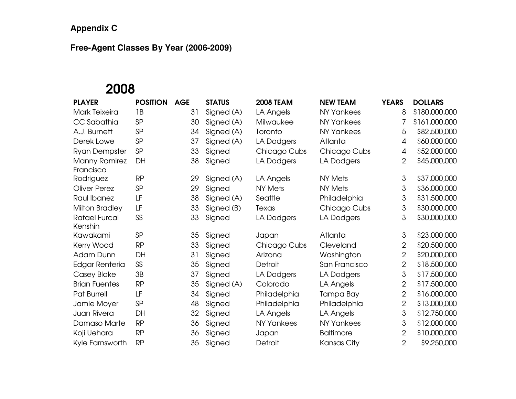#### **Free-Agent Classes By Year (2006-2009)**

# 2008

| <b>PLAYER</b>                     | <b>POSITION</b> | <b>AGE</b> | <b>STATUS</b> | <b>2008 TEAM</b>  | <b>NEW TEAM</b>   | <b>YEARS</b>   | <b>DOLLARS</b> |
|-----------------------------------|-----------------|------------|---------------|-------------------|-------------------|----------------|----------------|
| <b>Mark Teixeira</b>              | 1B              | 31         | Signed (A)    | LA Angels         | <b>NY Yankees</b> | 8              | \$180,000,000  |
| CC Sabathia                       | SP              | 30         | Signed (A)    | Milwaukee         | <b>NY Yankees</b> | 7              | \$161,000,000  |
| A.J. Burnett                      | SP              | 34         | Signed (A)    | Toronto           | <b>NY Yankees</b> | 5              | \$82,500,000   |
| Derek Lowe                        | SP              | 37         | Signed (A)    | LA Dodgers        | Atlanta           | 4              | \$60,000,000   |
| <b>Ryan Dempster</b>              | SP              | 33         | Signed        | Chicago Cubs      | Chicago Cubs      | 4              | \$52,000,000   |
| <b>Manny Ramirez</b><br>Francisco | DH              | 38         | Signed        | LA Dodgers        | LA Dodgers        | $\overline{2}$ | \$45,000,000   |
| Rodriguez                         | <b>RP</b>       | 29         | Signed (A)    | LA Angels         | <b>NY Mets</b>    | 3              | \$37,000,000   |
| <b>Oliver Perez</b>               | SP              | 29         | Signed        | <b>NY Mets</b>    | <b>NY Mets</b>    | 3              | \$36,000,000   |
| Raul Ibanez                       | LF              | 38         | Signed (A)    | Seattle           | Philadelphia      | 3              | \$31,500,000   |
| Milton Bradley                    | LF              | 33         | Signed (B)    | Texas             | Chicago Cubs      | 3              | \$30,000,000   |
| <b>Rafael Furcal</b><br>Kenshin   | SS              | 33         | Signed        | LA Dodgers        | LA Dodgers        | 3              | \$30,000,000   |
| Kawakami                          | SP              | 35         | Signed        | Japan             | Atlanta           | 3              | \$23,000,000   |
| Kerry Wood                        | <b>RP</b>       | 33         | Signed        | Chicago Cubs      | Cleveland         | $\overline{2}$ | \$20,500,000   |
| Adam Dunn                         | DH              | 31         | Signed        | Arizona           | Washington        | $\overline{2}$ | \$20,000,000   |
| <b>Edgar Renteria</b>             | SS              | 35         | Signed        | Detroit           | San Francisco     | $\overline{2}$ | \$18,500,000   |
| Casey Blake                       | 3B              | 37         | Signed        | LA Dodgers        | LA Dodgers        | 3              | \$17,500,000   |
| <b>Brian Fuentes</b>              | <b>RP</b>       | 35         | Signed (A)    | Colorado          | LA Angels         | $\overline{2}$ | \$17,500,000   |
| Pat Burrell                       | LF              | 34         | Signed        | Philadelphia      | Tampa Bay         | $\overline{2}$ | \$16,000,000   |
| Jamie Moyer                       | SP              | 48         | Signed        | Philadelphia      | Philadelphia      | $\overline{2}$ | \$13,000,000   |
| Juan Rivera                       | DH              | 32         | Signed        | LA Angels         | LA Angels         | 3              | \$12,750,000   |
| Damaso Marte                      | <b>RP</b>       | 36         | Signed        | <b>NY Yankees</b> | <b>NY Yankees</b> | 3              | \$12,000,000   |
| Koji Uehara                       | <b>RP</b>       | 36         | Signed        | Japan             | <b>Baltimore</b>  | $\overline{2}$ | \$10,000,000   |
| Kyle Farnsworth                   | <b>RP</b>       | 35         | Signed        | Detroit           | Kansas City       | $\overline{2}$ | \$9,250,000    |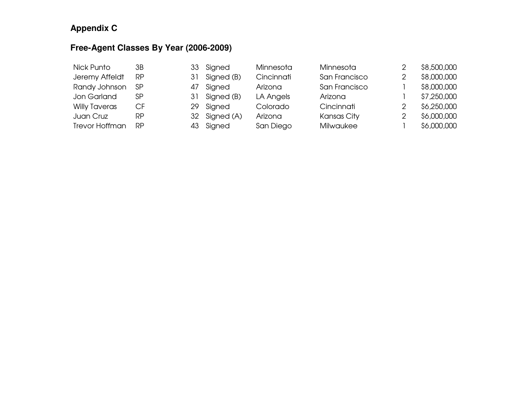#### **Free-Agent Classes By Year (2006-2009)**

| Nick Punto            | ЗB        |     | 33 Signed  | Minnesota  | Minnesota     |   | \$8,500,000 |
|-----------------------|-----------|-----|------------|------------|---------------|---|-------------|
| Jeremy Affeldt        | <b>RP</b> | 31  | Signed (B) | Cincinnati | San Francisco | 2 | \$8,000,000 |
| Randy Johnson         | <b>SP</b> | 47  | Signed     | Arizona    | San Francisco |   | \$8,000,000 |
| Jon Garland           | SP        | 31  | Signed (B) | LA Angels  | Arizona       |   | \$7,250,000 |
| <b>Willy Taveras</b>  | CF        | 29. | Signed     | Colorado   | Cincinnati    |   | \$6,250,000 |
| Juan Cruz             | <b>RP</b> | 32  | Signed (A) | Arizona    | Kansas City   |   | \$6,000,000 |
| <b>Trevor Hoffman</b> | RP        |     | 43 Signed  | San Diego  | Milwaukee     |   | \$6,000,000 |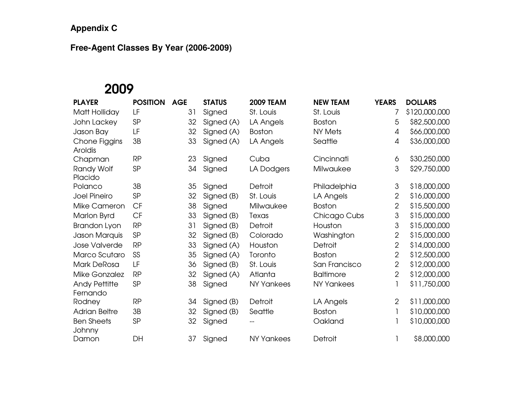#### **Free-Agent Classes By Year (2006-2009)**

# 2009

| <b>PLAYER</b>                    | <b>POSITION</b> | <b>AGE</b> | <b>STATUS</b> | <b>2009 TEAM</b>  | <b>NEW TEAM</b>   | <b>YEARS</b>   | <b>DOLLARS</b> |
|----------------------------------|-----------------|------------|---------------|-------------------|-------------------|----------------|----------------|
| Matt Holliday                    | LF              | 31         | Signed        | St. Louis         | St. Louis         | 7              | \$120,000,000  |
| John Lackey                      | SP              | 32         | Signed (A)    | LA Angels         | <b>Boston</b>     | 5              | \$82,500,000   |
| Jason Bay                        | LF              | 32         | Signed (A)    | <b>Boston</b>     | NY Mets           | 4              | \$66,000,000   |
| Chone Figgins<br>Aroldis         | 3B              | 33         | Signed (A)    | LA Angels         | Seattle           | 4              | \$36,000,000   |
| Chapman                          | <b>RP</b>       | 23         | Signed        | Cuba              | Cincinnati        | 6              | \$30,250,000   |
| Randy Wolf<br>Placido            | SP              | 34         | Signed        | LA Dodgers        | Milwaukee         | 3              | \$29,750,000   |
| Polanco                          | 3B              | 35         | Signed        | Detroit           | Philadelphia      | 3              | \$18,000,000   |
| Joel Pineiro                     | SP              | 32         | Signed (B)    | St. Louis         | LA Angels         | $\overline{2}$ | \$16,000,000   |
| Mike Cameron                     | <b>CF</b>       | 38         | Signed        | Milwaukee         | <b>Boston</b>     | $\overline{2}$ | \$15,500,000   |
| Marlon Byrd                      | CF              | 33         | Signed (B)    | Texas             | Chicago Cubs      | 3              | \$15,000,000   |
| Brandon Lyon                     | <b>RP</b>       | 31         | Signed (B)    | Detroit           | Houston           | 3              | \$15,000,000   |
| Jason Marquis                    | SP              | 32         | Signed (B)    | Colorado          | Washington        | 2              | \$15,000,000   |
| Jose Valverde                    | <b>RP</b>       | 33         | Signed (A)    | Houston           | <b>Detroit</b>    | $\overline{2}$ | \$14,000,000   |
| Marco Scutaro                    | SS              | 35         | Signed (A)    | Toronto           | <b>Boston</b>     | $\overline{2}$ | \$12,500,000   |
| Mark DeRosa                      | LF              | 36         | Signed (B)    | St. Louis         | San Francisco     | $\overline{2}$ | \$12,000,000   |
| Mike Gonzalez                    | <b>RP</b>       | 32         | Signed (A)    | Atlanta           | <b>Baltimore</b>  | $\overline{2}$ | \$12,000,000   |
| <b>Andy Pettitte</b><br>Fernando | SP              | 38         | Signed        | <b>NY Yankees</b> | <b>NY Yankees</b> |                | \$11,750,000   |
| Rodney                           | <b>RP</b>       | 34         | Signed (B)    | Detroit           | LA Angels         | $\overline{2}$ | \$11,000,000   |
| <b>Adrian Beltre</b>             | 3B              | 32         | Signed (B)    | Seattle           | <b>Boston</b>     | 1              | \$10,000,000   |
| <b>Ben Sheets</b><br>Johnny      | SP              | 32         | Signed        |                   | Oakland           |                | \$10,000,000   |
| Damon                            | DH              | 37         | Signed        | <b>NY Yankees</b> | Detroit           |                | \$8,000,000    |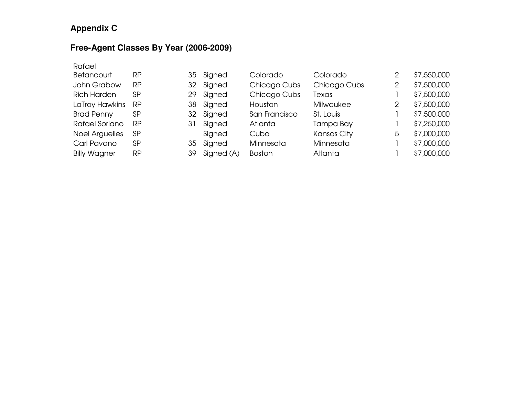#### **Free-Agent Classes By Year (2006-2009)**

| Rafael                |           |    |            |                |                    |                |             |
|-----------------------|-----------|----|------------|----------------|--------------------|----------------|-------------|
| Betancourt            | <b>RP</b> | 35 | Signed     | Colorado       | Colorado           | $\overline{2}$ | \$7,550,000 |
| John Grabow           | <b>RP</b> | 32 | Signed     | Chicago Cubs   | Chicago Cubs       | 2              | \$7,500,000 |
| <b>Rich Harden</b>    | SP        | 29 | Signed     | Chicago Cubs   | Texas              |                | \$7,500,000 |
| LaTroy Hawkins        | RP        | 38 | Signed     | Houston        | <b>Milwaukee</b>   | 2              | \$7,500,000 |
| <b>Brad Penny</b>     | SP        | 32 | Signed     | San Francisco  | St. Louis          |                | \$7,500,000 |
| Rafael Soriano        | <b>RP</b> | 31 | Signed     | <b>Atlanta</b> | Tampa Bay          |                | \$7,250,000 |
| <b>Noel Arguelles</b> | <b>SP</b> |    | Signed     | Cuba           | <b>Kansas City</b> | 5              | \$7,000,000 |
| Carl Pavano           | SP        | 35 | Signed     | Minnesota      | Minnesota          |                | \$7,000,000 |
| <b>Billy Wagner</b>   | <b>RP</b> | 39 | Signed (A) | <b>Boston</b>  | Atlanta            |                | \$7,000,000 |
|                       |           |    |            |                |                    |                |             |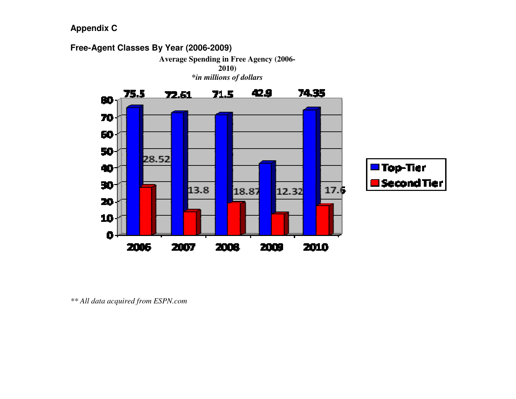

*<sup>\*\*</sup> All data acquired from ESPN.com*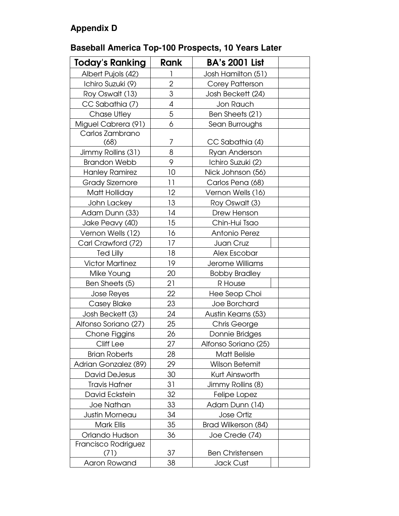## **Appendix D**

## **Baseball America Top-100 Prospects, 10 Years Later**

| <b>Today's Ranking</b> | Rank           | <b>BA's 2001 List</b>  |  |
|------------------------|----------------|------------------------|--|
| Albert Pujols (42)     |                | Josh Hamilton (51)     |  |
| Ichiro Suzuki (9)      | $\overline{2}$ | Corey Patterson        |  |
| Roy Oswalt (13)        | 3              | Josh Beckett (24)      |  |
| CC Sabathia (7)        | 4              | Jon Rauch              |  |
| Chase Utley            | 5              | Ben Sheets (21)        |  |
| Miguel Cabrera (91)    | 6              | Sean Burroughs         |  |
| Carlos Zambrano        |                |                        |  |
| (68)                   | 7              | CC Sabathia (4)        |  |
| Jimmy Rollins (31)     | 8              | Ryan Anderson          |  |
| <b>Brandon Webb</b>    | 9              | Ichiro Suzuki (2)      |  |
| <b>Hanley Ramirez</b>  | 10             | Nick Johnson (56)      |  |
| <b>Grady Sizemore</b>  | 11             | Carlos Pena (68)       |  |
| Matt Holliday          | 12             | Vernon Wells (16)      |  |
| John Lackey            | 13             | Roy Oswalt (3)         |  |
| Adam Dunn (33)         | 14             | Drew Henson            |  |
| Jake Peavy (40)        | 15             | Chin-Hui Tsao          |  |
| Vernon Wells (12)      | 16             | <b>Antonio Perez</b>   |  |
| Carl Crawford (72)     | 17             | Juan Cruz              |  |
| <b>Ted Lilly</b>       | 18             | Alex Escobar           |  |
| <b>Victor Martinez</b> | 19             | Jerome Williams        |  |
| Mike Young             | 20             | <b>Bobby Bradley</b>   |  |
| Ben Sheets (5)         | 21             | R House                |  |
| Jose Reyes             | 22             | Hee Seop Choi          |  |
| Casey Blake            | 23             | Joe Borchard           |  |
| Josh Beckett (3)       | 24             | Austin Kearns (53)     |  |
| Alfonso Soriano (27)   | 25             | Chris George           |  |
| Chone Figgins          | 26             | Donnie Bridges         |  |
| Cliff Lee              | 27             | Alfonso Soriano (25)   |  |
| <b>Brian Roberts</b>   | 28             | <b>Matt Belisle</b>    |  |
| Adrian Gonzalez (89)   | 29             | <b>Wilson Betemit</b>  |  |
| <b>David DeJesus</b>   | 30             | Kurt Ainsworth         |  |
| <b>Travis Hafner</b>   | 31             | Jimmy Rollins (8)      |  |
| David Eckstein         | 32             | Felipe Lopez           |  |
| <b>Joe Nathan</b>      | 33             | Adam Dunn (14)         |  |
| Justin Morneau         | 34             | <b>Jose Ortiz</b>      |  |
| Mark Ellis             | 35             | Brad Wilkerson (84)    |  |
| Orlando Hudson         | 36             | Joe Crede (74)         |  |
| Francisco Rodriguez    |                |                        |  |
| (71)                   | 37             | <b>Ben Christensen</b> |  |
| Aaron Rowand           | 38             | Jack Cust              |  |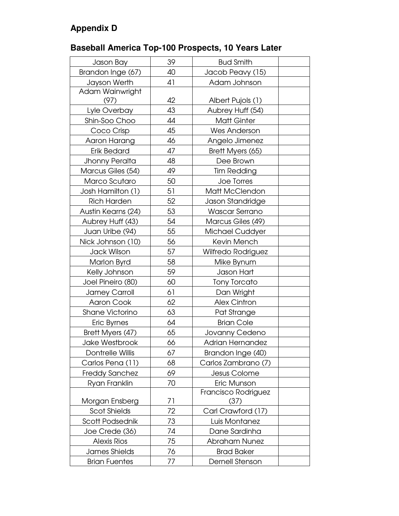## **Appendix D**

## **Baseball America Top-100 Prospects, 10 Years Later**

| Jason Bay               | 39 | <b>Bud Smith</b>          |  |
|-------------------------|----|---------------------------|--|
| Brandon Inge (67)       | 40 | Jacob Peavy (15)          |  |
| Jayson Werth            | 41 | Adam Johnson              |  |
| Adam Wainwright         |    |                           |  |
| (97)                    | 42 | Albert Pujols (1)         |  |
| Lyle Overbay            | 43 | Aubrey Huff (54)          |  |
| Shin-Soo Choo           | 44 | <b>Matt Ginter</b>        |  |
| Coco Crisp              | 45 | Wes Anderson              |  |
| Aaron Harang            | 46 | Angelo Jimenez            |  |
| <b>Erik Bedard</b>      | 47 | Brett Myers (65)          |  |
| Jhonny Peralta          | 48 | Dee Brown                 |  |
| Marcus Giles (54)       | 49 | <b>Tim Redding</b>        |  |
| Marco Scutaro           | 50 | Joe Torres                |  |
| Josh Hamilton (1)       | 51 | Matt McClendon            |  |
| <b>Rich Harden</b>      | 52 | Jason Standridge          |  |
| Austin Kearns (24)      | 53 | <b>Wascar Serrano</b>     |  |
| Aubrey Huff (43)        | 54 | Marcus Giles (49)         |  |
| Juan Uribe (94)         | 55 | Michael Cuddyer           |  |
| Nick Johnson (10)       | 56 | Kevin Mench               |  |
| <b>Jack Wilson</b>      | 57 | <b>Wilfredo Rodriguez</b> |  |
| Marlon Byrd             | 58 | Mike Bynum                |  |
| Kelly Johnson           | 59 | Jason Hart                |  |
| Joel Pineiro (80)       | 60 | <b>Tony Torcato</b>       |  |
| Jamey Carroll           | 61 | Dan Wright                |  |
| <b>Aaron Cook</b>       | 62 | <b>Alex Cintron</b>       |  |
| <b>Shane Victorino</b>  | 63 | Pat Strange               |  |
| Eric Byrnes             | 64 | <b>Brian Cole</b>         |  |
| Brett Myers (47)        | 65 | Jovanny Cedeno            |  |
| Jake Westbrook          | 66 | <b>Adrian Hernandez</b>   |  |
| <b>Dontrelle Willis</b> | 67 | Brandon Inge (40)         |  |
| Carlos Pena (11)        | 68 | Carlos Zambrano (7)       |  |
| <b>Freddy Sanchez</b>   | 69 | Jesus Colome              |  |
| Ryan Franklin           | 70 | Eric Munson               |  |
|                         |    | Francisco Rodriguez       |  |
| Morgan Ensberg          | 71 | (37)                      |  |
| <b>Scot Shields</b>     | 72 | Carl Crawford (17)        |  |
| Scott Podsednik         | 73 | Luis Montanez             |  |
| Joe Crede (36)          | 74 | Dane Sardinha             |  |
| <b>Alexis Rios</b>      | 75 | <b>Abraham Nunez</b>      |  |
| James Shields           | 76 | <b>Brad Baker</b>         |  |
| <b>Brian Fuentes</b>    | 77 | Dernell Stenson           |  |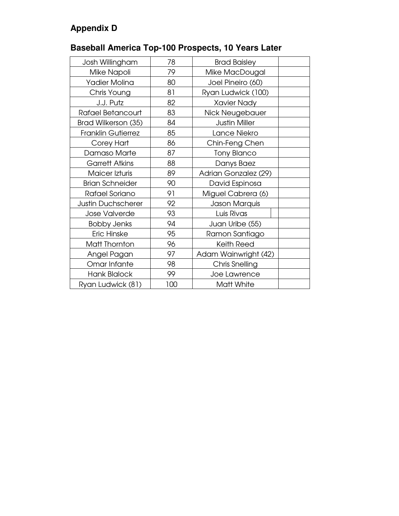## **Appendix D**

## **Baseball America Top-100 Prospects, 10 Years Later**

| Josh Willingham           | 78  | <b>Brad Baisley</b>  |  |
|---------------------------|-----|----------------------|--|
| Mike Napoli               | 79  | Mike MacDougal       |  |
| Yadier Molina             | 80  | Joel Pineiro (60)    |  |
| Chris Young               | 81  | Ryan Ludwick (100)   |  |
| J.J. Putz                 | 82  | <b>Xavier Nady</b>   |  |
| Rafael Betancourt         | 83  | Nick Neugebauer      |  |
| Brad Wilkerson (35)       | 84  | <b>Justin Miller</b> |  |
| <b>Franklin Gutierrez</b> | 85  | Lance Niekro         |  |
| Corey Hart                | 86  | Chin-Feng Chen       |  |
| Damaso Marte              | 87  | <b>Tony Blanco</b>   |  |
| <b>Garrett Atkins</b>     | 88  | Danys Baez           |  |
| Maicer Izturis            | 89  | Adrian Gonzalez (29) |  |
| <b>Brian Schneider</b>    | 90  | David Espinosa       |  |
| Rafael Soriano            | 91  | Miguel Cabrera (6)   |  |
| <b>Justin Duchscherer</b> | 92  | Jason Marquis        |  |
| <b>Jose Valverde</b>      | 93  | Luis Rivas           |  |
| <b>Bobby Jenks</b>        | 94  | Juan Uribe (55)      |  |
| Eric Hinske               | 95  | Ramon Santiago       |  |
| Matt Thornton             | 96  | <b>Keith Reed</b>    |  |
| Angel Pagan               | 97  | Adam Wainwright (42) |  |
| Omar Infante              | 98  | Chris Snelling       |  |
| <b>Hank Blalock</b>       | 99  | Joe Lawrence         |  |
| Ryan Ludwick (81)         | 100 | Matt White           |  |
|                           |     |                      |  |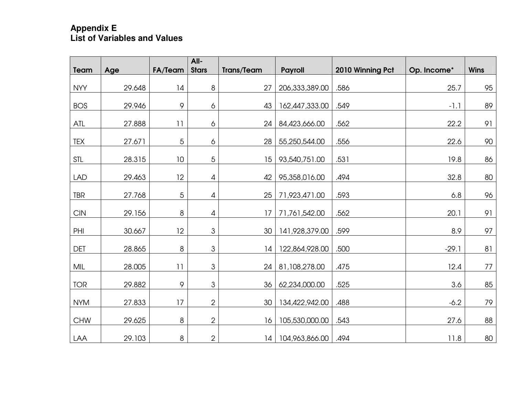# **Appendix E List of Variables and Values**

| Team       | Age    | <b>FA/Team</b> | All-<br><b>Stars</b>                                                                                   | <b>Trans/Team</b> | <b>Payroll</b>   | 2010 Winning Pct | Op. Income* | <b>Wins</b> |
|------------|--------|----------------|--------------------------------------------------------------------------------------------------------|-------------------|------------------|------------------|-------------|-------------|
|            |        |                |                                                                                                        |                   |                  |                  |             |             |
| <b>NYY</b> | 29.648 | 4              | $\,8\,$                                                                                                | 27                | 206, 333, 389.00 | .586             | 25.7        | 95          |
| <b>BOS</b> | 29.946 | 9              | 6                                                                                                      | 43                | 162,447,333.00   | .549             | $-1.1$      | 89          |
| ATL        | 27.888 | 11             | 6                                                                                                      | 24                | 84,423,666.00    | .562             | 22.2        | 91          |
| <b>TEX</b> | 27.671 | 5              | 6                                                                                                      | 28                | 55,250,544.00    | .556             | 22.6        | 90          |
| <b>STL</b> | 28.315 | 10             | 5                                                                                                      | 15                | 93,540,751.00    | .531             | 19.8        | 86          |
| <b>LAD</b> | 29.463 | 12             | $\overline{4}$                                                                                         | 42                | 95,358,016.00    | .494             | 32.8        | 80          |
| <b>TBR</b> | 27.768 | 5              | $\overline{4}$                                                                                         | 25                | 71,923,471.00    | .593             | 6.8         | 96          |
| <b>CIN</b> | 29.156 | $\,8\,$        | 4                                                                                                      | 17                | 71,761,542.00    | .562             | 20.1        | 91          |
| PHI        | 30.667 | 12             | $\ensuremath{\mathsf{3}}$                                                                              | 30                | 141,928,379.00   | .599             | 8.9         | 97          |
| <b>DET</b> | 28.865 | 8              | $\mathfrak{S}% _{A}^{\ast}=\mathfrak{S}_{A}\!\left( A;B\right) ,\ \mathfrak{S}_{A}\!\left( A;B\right)$ | 14                | 122,864,928.00   | .500             | $-29.1$     | 81          |
| MIL        | 28.005 | 11             | 3                                                                                                      | 24                | 81,108,278.00    | .475             | 12.4        | 77          |
| <b>TOR</b> | 29.882 | 9              | $\mbox{3}$                                                                                             | 36                | 62,234,000.00    | .525             | 3.6         | 85          |
| <b>NYM</b> | 27.833 | 17             | $\overline{2}$                                                                                         | 30                | 134,422,942.00   | .488             | $-6.2$      | 79          |
| <b>CHW</b> | 29.625 | 8              | $\overline{2}$                                                                                         | 16                | 105,530,000.00   | .543             | 27.6        | 88          |
| LAA        | 29.103 | $\,8\,$        | $\overline{2}$                                                                                         | 14                | 104,963,866.00   | .494             | 11.8        | 80          |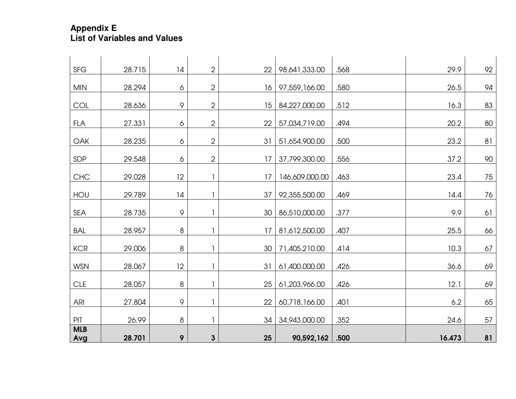# **Appendix E List of Variables and Values**

| <b>SFG</b>        | 28.715 | 14      | $\overline{2}$ | 22 | 98,641,333.00  | .568 | 29.9   | 92 |
|-------------------|--------|---------|----------------|----|----------------|------|--------|----|
|                   |        |         |                |    |                |      |        |    |
| <b>MIN</b>        | 28.294 | 6       | $\overline{2}$ | 16 | 97,559,166.00  | .580 | 26.5   | 94 |
| <b>COL</b>        | 28.636 | 9       | $\overline{2}$ | 15 | 84,227,000.00  | .512 | 16.3   | 83 |
| <b>FLA</b>        | 27.331 | 6       | $\overline{2}$ | 22 | 57,034,719.00  | .494 | 20.2   | 80 |
| <b>OAK</b>        | 28.235 | 6       | $\overline{2}$ | 31 | 51,654,900.00  | .500 | 23.2   | 81 |
| <b>SDP</b>        | 29.548 | 6       | $\overline{2}$ | 17 | 37,799,300.00  | .556 | 37.2   | 90 |
| <b>CHC</b>        | 29.028 | 12      | 1              | 17 | 146,609,000.00 | .463 | 23.4   | 75 |
| HOU               | 29.789 | 4       |                | 37 | 92,355,500.00  | .469 | 14.4   | 76 |
| SEA               | 28.735 | 9       | $\mathbf{1}$   | 30 | 86,510,000.00  | .377 | 9.9    | 61 |
| <b>BAL</b>        | 28.957 | $\,8\,$ |                | 17 | 81,612,500.00  | .407 | 25.5   | 66 |
| <b>KCR</b>        | 29.006 | 8       | 1              | 30 | 71,405,210.00  | .414 | 10.3   | 67 |
| <b>WSN</b>        | 28.067 | 12      | $\mathbf{1}$   | 31 | 61,400,000.00  | .426 | 36.6   | 69 |
| <b>CLE</b>        | 28.057 | $\,8\,$ |                | 25 | 61,203,966.00  | .426 | 12.1   | 69 |
| ARI               | 27.804 | 9       | 1              | 22 | 60,718,166.00  | .401 | 6.2    | 65 |
| PIT               | 26.99  | 8       | 1              | 34 | 34,943,000.00  | .352 | 24.6   | 57 |
| <b>MLB</b><br>Avg | 28.701 | 9       | $\mathbf{3}$   | 25 | 90,592,162     | .500 | 16.473 | 81 |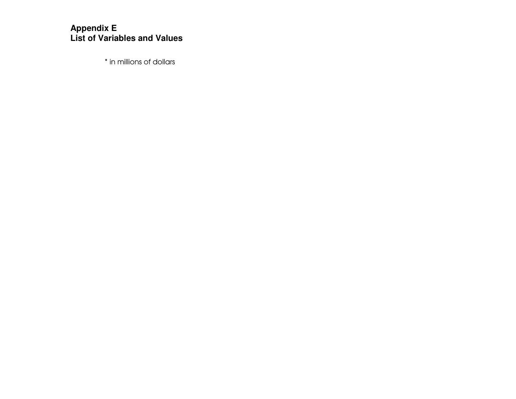# **Appendix E List of Variables and Values**

\* in millions of dollars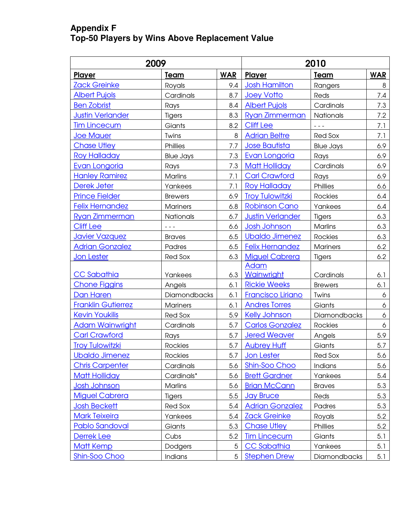#### **Appendix F Top-50 Players by Wins Above Replacement Value**

|                           | 2009             | 2010       |                           |                               |            |
|---------------------------|------------------|------------|---------------------------|-------------------------------|------------|
| <b>Player</b>             | <b>Team</b>      | <b>WAR</b> | Player                    | Team                          | <b>WAR</b> |
| <b>Zack Greinke</b>       | Royals           | 9.4        | <b>Josh Hamilton</b>      | Rangers                       | 8          |
| <b>Albert Pujols</b>      | Cardinals        | 8.7        | <b>Joey Votto</b>         | Reds                          | 7.4        |
| <b>Ben Zobrist</b>        | Rays             | 8.4        | <b>Albert Pujols</b>      | Cardinals                     | 7.3        |
| <b>Justin Verlander</b>   | Tigers           | 8.3        | <b>Ryan Zimmerman</b>     | Nationals                     | 7.2        |
| <b>Tim Lincecum</b>       | Giants           | 8.2        | <b>Cliff Lee</b>          | $\frac{1}{2}$ = $\frac{1}{2}$ | 7.1        |
| <b>Joe Mauer</b>          | Twins            | 8          | <b>Adrian Beltre</b>      | <b>Red Sox</b>                | 7.1        |
| <b>Chase Utley</b>        | Phillies         | 7.7        | <b>Jose Bautista</b>      | <b>Blue Jays</b>              | 6.9        |
| <b>Roy Halladay</b>       | <b>Blue Jays</b> | 7.3        | <b>Evan Longoria</b>      | Rays                          | 6.9        |
| Evan Longoria             | Rays             | 7.3        | <b>Matt Holliday</b>      | Cardinals                     | 6.9        |
| <b>Hanley Ramirez</b>     | <b>Marlins</b>   | 7.1        | <b>Carl Crawford</b>      | Rays                          | 6.9        |
| Derek Jeter               | Yankees          | 7.1        | <b>Roy Halladay</b>       | Phillies                      | 6.6        |
| <b>Prince Fielder</b>     | <b>Brewers</b>   | 6.9        | <b>Troy Tulowitzki</b>    | <b>Rockies</b>                | 6.4        |
| <b>Felix Hernandez</b>    | <b>Mariners</b>  | 6.8        | <b>Robinson Cano</b>      | Yankees                       | 6.4        |
| Ryan Zimmerman            | Nationals        | 6.7        | <b>Justin Verlander</b>   | Tigers                        | 6.3        |
| <b>Cliff Lee</b>          | $- - -$          | 6.6        | <b>Josh Johnson</b>       | Marlins                       | 6.3        |
| Javier Vazquez            | <b>Braves</b>    | 6.5        | <b>Ubaldo Jimenez</b>     | <b>Rockies</b>                | 6.3        |
| <b>Adrian Gonzalez</b>    | Padres           | 6.5        | <b>Felix Hernandez</b>    | <b>Mariners</b>               | 6.2        |
| Jon Lester                | Red Sox          | 6.3        | <b>Miguel Cabrera</b>     | Tigers                        | 6.2        |
| <b>CC Sabathia</b>        | Yankees          | 6.3        | <b>Adam</b><br>Wainwright | Cardinals                     | 6.1        |
| <b>Chone Figgins</b>      | Angels           | 6.1        | <b>Rickie Weeks</b>       | <b>Brewers</b>                | 6.1        |
| <b>Dan Haren</b>          | Diamondbacks     | 6.1        | <b>Francisco Liriano</b>  | Twins                         | 6          |
| <b>Franklin Gutierrez</b> | <b>Mariners</b>  | 6.1        | <b>Andres Torres</b>      | Giants                        | 6          |
| <b>Kevin Youkilis</b>     | <b>Red Sox</b>   | 5.9        | <b>Kelly Johnson</b>      | Diamondbacks                  | 6          |
| <b>Adam Wainwright</b>    | Cardinals        | 5.7        | <b>Carlos Gonzalez</b>    | Rockies                       | 6          |
| <b>Carl Crawford</b>      | Rays             | 5.7        | <b>Jered Weaver</b>       | Angels                        | 5.9        |
| <b>Troy Tulowitzki</b>    | <b>Rockies</b>   | 5.7        | <b>Aubrey Huff</b>        | Giants                        | 5.7        |
| <b>Ubaldo Jimenez</b>     | <b>Rockies</b>   | 5.7        | Jon Lester                | Red Sox                       | 5.6        |
| <b>Chris Carpenter</b>    | Cardinals        | 5.6        | <b>Shin-Soo Choo</b>      | Indians                       | 5.6        |
| <b>Matt Holliday</b>      | Cardinals*       | 5.6        | <b>Brett Gardner</b>      | Yankees                       | 5.4        |
| Josh Johnson              | Marlins          | 5.6        | <b>Brian McCann</b>       | <b>Braves</b>                 | 5.3        |
| <b>Miguel Cabrera</b>     | <b>Tigers</b>    | 5.5        | <b>Jay Bruce</b>          | Reds                          | 5.3        |
| <b>Josh Beckett</b>       | Red Sox          | 5.4        | <b>Adrian Gonzalez</b>    | Padres                        | 5.3        |
| <b>Mark Teixeira</b>      | Yankees          | 5.4        | <b>Zack Greinke</b>       | Royals                        | 5.2        |
| <b>Pablo Sandoval</b>     | Giants           | 5.3        | <b>Chase Utley</b>        | Phillies                      | 5.2        |
| Derrek Lee                | Cubs             | 5.2        | <b>Tim Lincecum</b>       | Giants                        | 5.1        |
| <b>Matt Kemp</b>          | Dodgers          | 5          | CC Sabathia               | Yankees                       | 5.1        |
| <b>Shin-Soo Choo</b>      | Indians          | 5          | <b>Stephen Drew</b>       | Diamondbacks                  | 5.1        |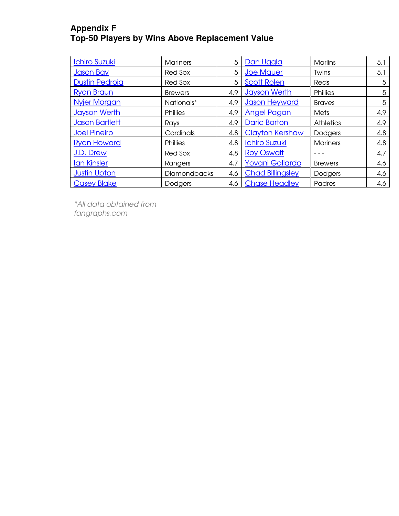#### **Appendix F Top-50 Players by Wins Above Replacement Value**

| <b>Ichiro Suzuki</b>  | <b>Mariners</b>     | 5   | Dan Uggla               | <b>Marlins</b>   | 5.1 |
|-----------------------|---------------------|-----|-------------------------|------------------|-----|
| <b>Jason Bay</b>      | Red Sox             | 5   | <b>Joe Mauer</b>        | Twins            | 5.1 |
| <b>Dustin Pedroia</b> | Red Sox             | 5   | <b>Scott Rolen</b>      | Reds             | 5   |
| <b>Ryan Braun</b>     | <b>Brewers</b>      | 4.9 | <b>Jayson Werth</b>     | Phillies         | 5   |
| <b>Nyjer Morgan</b>   | Nationals*          | 4.9 | <b>Jason Heyward</b>    | <b>Braves</b>    | 5   |
| <b>Jayson Werth</b>   | <b>Phillies</b>     | 4.9 | <b>Angel Pagan</b>      | <b>Mets</b>      | 4.9 |
| <b>Jason Bartlett</b> | Rays                | 4.9 | <b>Daric Barton</b>     | <b>Athletics</b> | 4.9 |
| <b>Joel Pineiro</b>   | Cardinals           | 4.8 | <b>Clayton Kershaw</b>  | <b>Dodgers</b>   | 4.8 |
| <b>Ryan Howard</b>    | <b>Phillies</b>     | 4.8 | <b>Ichiro Suzuki</b>    | <b>Mariners</b>  | 4.8 |
| J.D. Drew             | Red Sox             | 4.8 | <b>Roy Oswalt</b>       |                  | 4.7 |
| <b>Ian Kinsler</b>    | Rangers             | 4.7 | <b>Yovani Gallardo</b>  | <b>Brewers</b>   | 4.6 |
| <b>Justin Upton</b>   | <b>Diamondbacks</b> | 4.6 | <b>Chad Billingsley</b> | Dodgers          | 4.6 |
| <b>Casey Blake</b>    | Dodgers             | 4.6 | <b>Chase Headley</b>    | Padres           | 4.6 |

\*All data obtained from fangraphs.com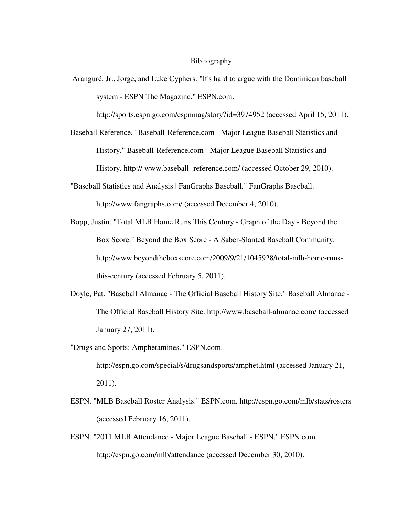#### Bibliography

 Aranguré, Jr., Jorge, and Luke Cyphers. "It's hard to argue with the Dominican baseball system - ESPN The Magazine." ESPN.com.

http://sports.espn.go.com/espnmag/story?id=3974952 (accessed April 15, 2011).

Baseball Reference. "Baseball-Reference.com - Major League Baseball Statistics and History." Baseball-Reference.com - Major League Baseball Statistics and History. http:// www.baseball- reference.com/ (accessed October 29, 2010).

- "Baseball Statistics and Analysis | FanGraphs Baseball." FanGraphs Baseball. http://www.fangraphs.com/ (accessed December 4, 2010).
- Bopp, Justin. "Total MLB Home Runs This Century Graph of the Day Beyond the Box Score." Beyond the Box Score - A Saber-Slanted Baseball Community. http://www.beyondtheboxscore.com/2009/9/21/1045928/total-mlb-home-runsthis-century (accessed February 5, 2011).
- Doyle, Pat. "Baseball Almanac The Official Baseball History Site." Baseball Almanac The Official Baseball History Site. http://www.baseball-almanac.com/ (accessed January 27, 2011).
- "Drugs and Sports: Amphetamines." ESPN.com. http://espn.go.com/special/s/drugsandsports/amphet.html (accessed January 21, 2011).
- ESPN. "MLB Baseball Roster Analysis." ESPN.com. http://espn.go.com/mlb/stats/rosters (accessed February 16, 2011).
- ESPN. "2011 MLB Attendance Major League Baseball ESPN." ESPN.com. http://espn.go.com/mlb/attendance (accessed December 30, 2010).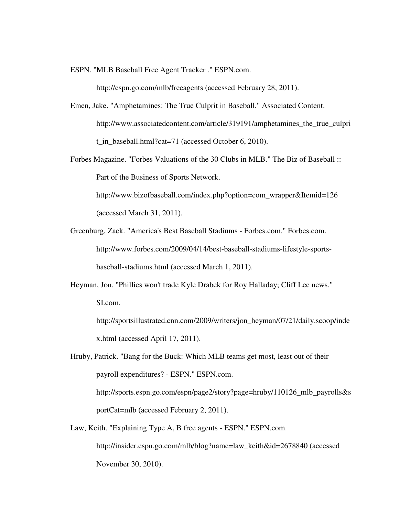ESPN. "MLB Baseball Free Agent Tracker ." ESPN.com.

http://espn.go.com/mlb/freeagents (accessed February 28, 2011).

- Emen, Jake. "Amphetamines: The True Culprit in Baseball." Associated Content. http://www.associatedcontent.com/article/319191/amphetamines\_the\_true\_culpri t\_in\_baseball.html?cat=71 (accessed October 6, 2010).
- Forbes Magazine. "Forbes Valuations of the 30 Clubs in MLB." The Biz of Baseball :: Part of the Business of Sports Network.

http://www.bizofbaseball.com/index.php?option=com\_wrapper&Itemid=126 (accessed March 31, 2011).

- Greenburg, Zack. "America's Best Baseball Stadiums Forbes.com." Forbes.com. http://www.forbes.com/2009/04/14/best-baseball-stadiums-lifestyle-sportsbaseball-stadiums.html (accessed March 1, 2011).
- Heyman, Jon. "Phillies won't trade Kyle Drabek for Roy Halladay; Cliff Lee news." SI.com.

http://sportsillustrated.cnn.com/2009/writers/jon\_heyman/07/21/daily.scoop/inde x.html (accessed April 17, 2011).

Hruby, Patrick. "Bang for the Buck: Which MLB teams get most, least out of their payroll expenditures? - ESPN." ESPN.com. http://sports.espn.go.com/espn/page2/story?page=hruby/110126\_mlb\_payrolls&s portCat=mlb (accessed February 2, 2011).

Law, Keith. "Explaining Type A, B free agents - ESPN." ESPN.com. http://insider.espn.go.com/mlb/blog?name=law\_keith&id=2678840 (accessed November 30, 2010).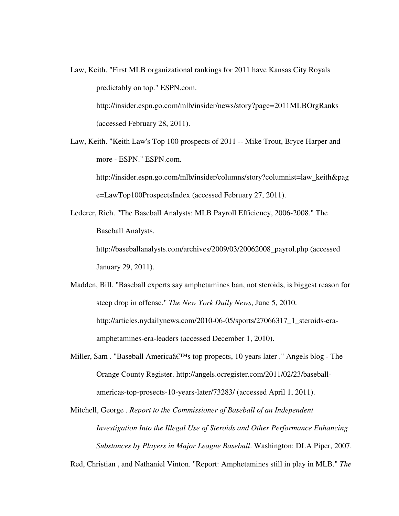- Law, Keith. "First MLB organizational rankings for 2011 have Kansas City Royals predictably on top." ESPN.com. http://insider.espn.go.com/mlb/insider/news/story?page=2011MLBOrgRanks (accessed February 28, 2011).
- Law, Keith. "Keith Law's Top 100 prospects of 2011 -- Mike Trout, Bryce Harper and more - ESPN." ESPN.com.

http://insider.espn.go.com/mlb/insider/columns/story?columnist=law\_keith&pag e=LawTop100ProspectsIndex (accessed February 27, 2011).

Lederer, Rich. "The Baseball Analysts: MLB Payroll Efficiency, 2006-2008." The Baseball Analysts.

> http://baseballanalysts.com/archives/2009/03/20062008\_payrol.php (accessed January 29, 2011).

- Madden, Bill. "Baseball experts say amphetamines ban, not steroids, is biggest reason for steep drop in offense." *The New York Daily News*, June 5, 2010. http://articles.nydailynews.com/2010-06-05/sports/27066317\_1\_steroids-eraamphetamines-era-leaders (accessed December 1, 2010).
- Miller, Sam. "Baseball America $\hat{\mathfrak{a}} \in T^M$ s top propects, 10 years later ." Angels blog The Orange County Register. http://angels.ocregister.com/2011/02/23/baseballamericas-top-prosects-10-years-later/73283/ (accessed April 1, 2011).
- Mitchell, George . *Report to the Commissioner of Baseball of an Independent Investigation Into the Illegal Use of Steroids and Other Performance Enhancing Substances by Players in Major League Baseball*. Washington: DLA Piper, 2007.

Red, Christian , and Nathaniel Vinton. "Report: Amphetamines still in play in MLB." *The*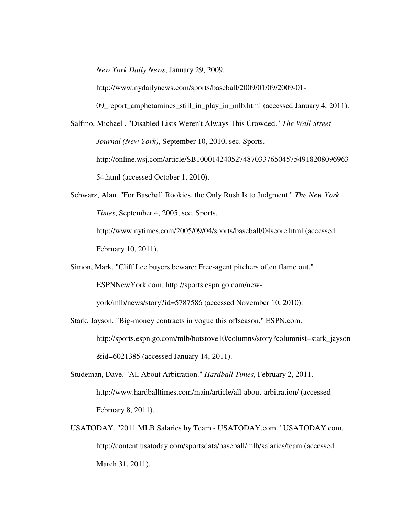*New York Daily News*, January 29, 2009.

http://www.nydailynews.com/sports/baseball/2009/01/09/2009-01-

09\_report\_amphetamines\_still\_in\_play\_in\_mlb.html (accessed January 4, 2011).

- Salfino, Michael . "Disabled Lists Weren't Always This Crowded." *The Wall Street Journal (New York)*, September 10, 2010, sec. Sports. http://online.wsj.com/article/SB100014240527487033765045754918208096963 54.html (accessed October 1, 2010).
- Schwarz, Alan. "For Baseball Rookies, the Only Rush Is to Judgment." *The New York Times*, September 4, 2005, sec. Sports. http://www.nytimes.com/2005/09/04/sports/baseball/04score.html (accessed

February 10, 2011).

Simon, Mark. "Cliff Lee buyers beware: Free-agent pitchers often flame out."

ESPNNewYork.com. http://sports.espn.go.com/new-

york/mlb/news/story?id=5787586 (accessed November 10, 2010).

- Stark, Jayson. "Big-money contracts in vogue this offseason." ESPN.com. http://sports.espn.go.com/mlb/hotstove10/columns/story?columnist=stark\_jayson &id=6021385 (accessed January 14, 2011).
- Studeman, Dave. "All About Arbitration." *Hardball Times*, February 2, 2011. http://www.hardballtimes.com/main/article/all-about-arbitration/ (accessed February 8, 2011).
- USATODAY. "2011 MLB Salaries by Team USATODAY.com." USATODAY.com. http://content.usatoday.com/sportsdata/baseball/mlb/salaries/team (accessed March 31, 2011).